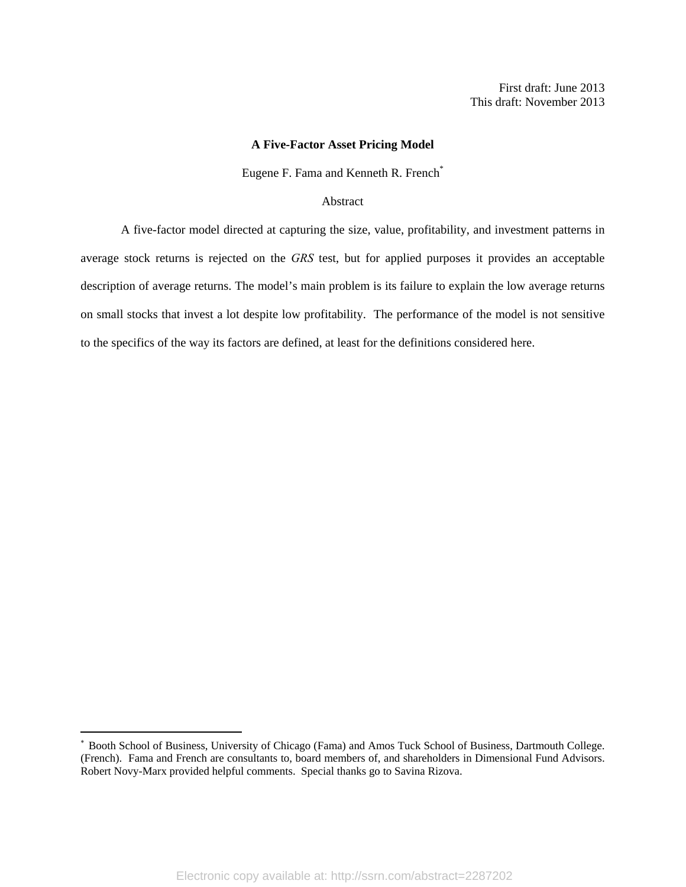## **A Five-Factor Asset Pricing Model**

Eugene F. Fama and Kenneth R. French<sup>\*</sup>

#### Abstract

A five-factor model directed at capturing the size, value, profitability, and investment patterns in average stock returns is rejected on the *GRS* test, but for applied purposes it provides an acceptable description of average returns. The model's main problem is its failure to explain the low average returns on small stocks that invest a lot despite low profitability. The performance of the model is not sensitive to the specifics of the way its factors are defined, at least for the definitions considered here.

Booth School of Business, University of Chicago (Fama) and Amos Tuck School of Business, Dartmouth College. (French). Fama and French are consultants to, board members of, and shareholders in Dimensional Fund Advisors. Robert Novy-Marx provided helpful comments. Special thanks go to Savina Rizova.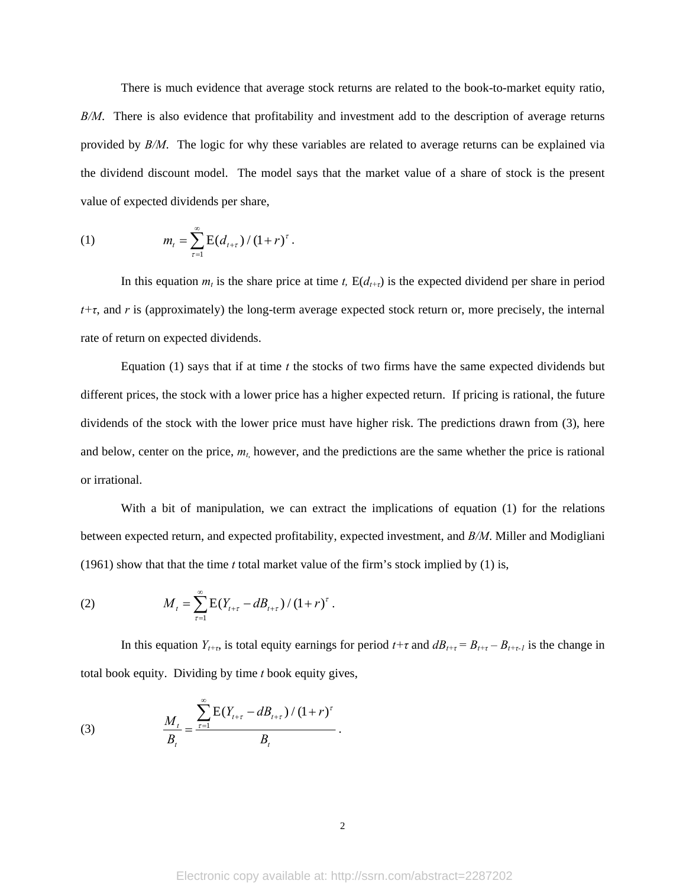There is much evidence that average stock returns are related to the book-to-market equity ratio, *B/M*. There is also evidence that profitability and investment add to the description of average returns provided by *B/M*. The logic for why these variables are related to average returns can be explained via the dividend discount model. The model says that the market value of a share of stock is the present value of expected dividends per share,

(1) 
$$
m_{t} = \sum_{\tau=1}^{\infty} \mathbb{E}(d_{t+\tau})/(1+r)^{\tau}.
$$

In this equation  $m_t$  is the share price at time *t*,  $E(d_{t+\tau})$  is the expected dividend per share in period *t+τ*, and *r* is (approximately) the long-term average expected stock return or, more precisely, the internal rate of return on expected dividends.

Equation  $(1)$  says that if at time *t* the stocks of two firms have the same expected dividends but different prices, the stock with a lower price has a higher expected return. If pricing is rational, the future dividends of the stock with the lower price must have higher risk. The predictions drawn from (3), here and below, center on the price,  $m_t$ , however, and the predictions are the same whether the price is rational or irrational.

With a bit of manipulation, we can extract the implications of equation (1) for the relations between expected return, and expected profitability, expected investment, and *B/M*. Miller and Modigliani (1961) show that that the time *t* total market value of the firm's stock implied by (1) is,

(2) 
$$
M_{t} = \sum_{\tau=1}^{\infty} E(Y_{t+\tau} - dB_{t+\tau})/(1+r)^{\tau}.
$$

In this equation  $Y_{t+\tau}$ , is total equity earnings for period  $t+\tau$  and  $dB_{t+\tau} = B_{t+\tau} - B_{t+\tau}$ , is the change in total book equity. Dividing by time *t* book equity gives,

(3) 
$$
\frac{M_t}{B_t} = \frac{\sum_{\tau=1}^{\infty} E(Y_{t+\tau} - dB_{t+\tau})/(1+r)^{\tau}}{B_t}.
$$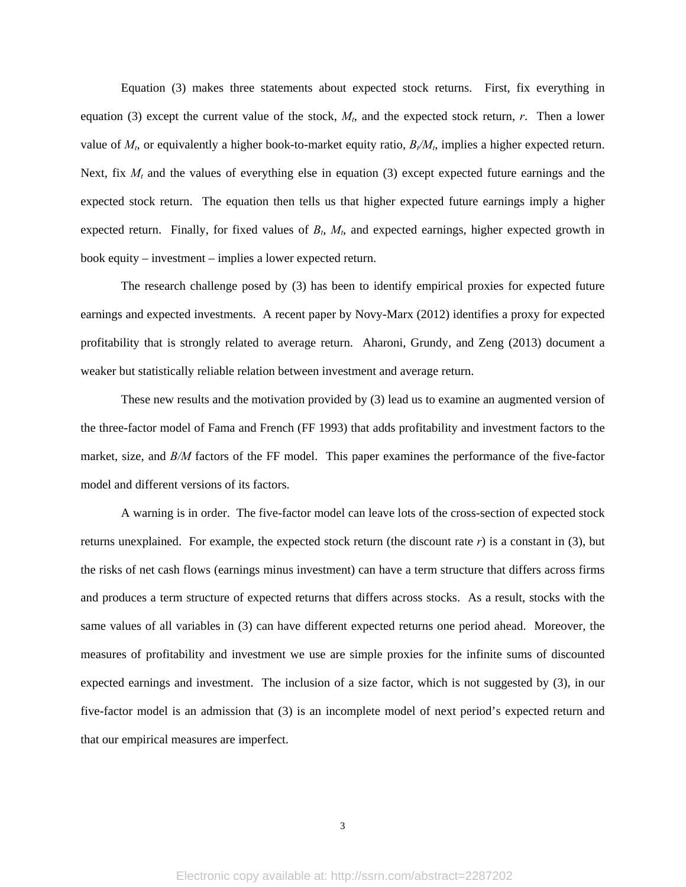Equation (3) makes three statements about expected stock returns. First, fix everything in equation (3) except the current value of the stock,  $M<sub>t</sub>$ , and the expected stock return, *r*. Then a lower value of  $M_t$ , or equivalently a higher book-to-market equity ratio,  $B_t/M_t$ , implies a higher expected return. Next, fix  $M_t$  and the values of everything else in equation (3) except expected future earnings and the expected stock return. The equation then tells us that higher expected future earnings imply a higher expected return. Finally, for fixed values of  $B_t$ ,  $M_t$ , and expected earnings, higher expected growth in book equity – investment – implies a lower expected return.

The research challenge posed by (3) has been to identify empirical proxies for expected future earnings and expected investments. A recent paper by Novy-Marx (2012) identifies a proxy for expected profitability that is strongly related to average return. Aharoni, Grundy, and Zeng (2013) document a weaker but statistically reliable relation between investment and average return.

These new results and the motivation provided by (3) lead us to examine an augmented version of the three-factor model of Fama and French (FF 1993) that adds profitability and investment factors to the market, size, and *B/M* factors of the FF model. This paper examines the performance of the five-factor model and different versions of its factors.

A warning is in order. The five-factor model can leave lots of the cross-section of expected stock returns unexplained. For example, the expected stock return (the discount rate *r*) is a constant in (3), but the risks of net cash flows (earnings minus investment) can have a term structure that differs across firms and produces a term structure of expected returns that differs across stocks. As a result, stocks with the same values of all variables in (3) can have different expected returns one period ahead. Moreover, the measures of profitability and investment we use are simple proxies for the infinite sums of discounted expected earnings and investment. The inclusion of a size factor, which is not suggested by (3), in our five-factor model is an admission that (3) is an incomplete model of next period's expected return and that our empirical measures are imperfect.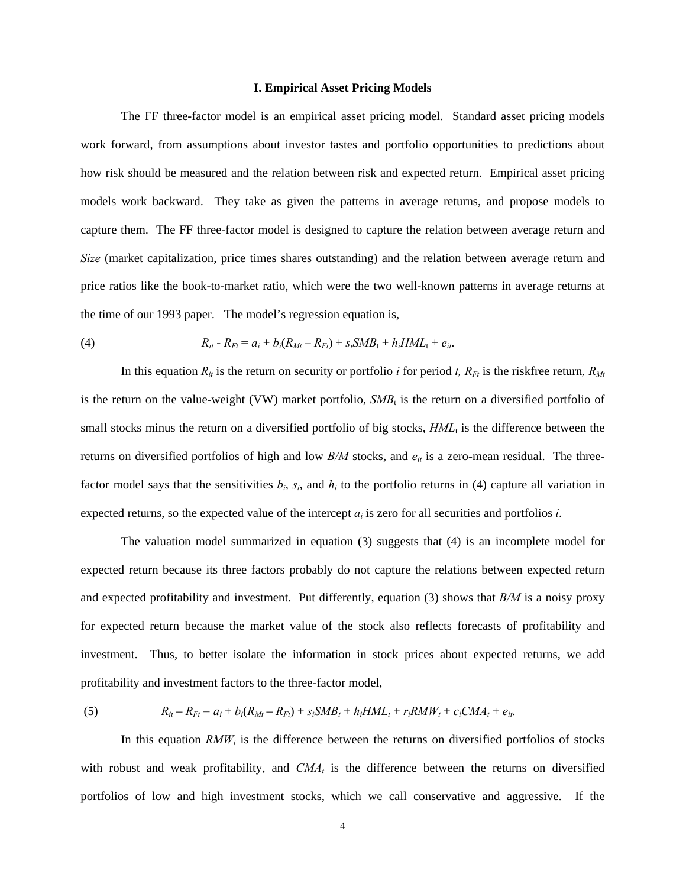#### **I. Empirical Asset Pricing Models**

The FF three-factor model is an empirical asset pricing model. Standard asset pricing models work forward, from assumptions about investor tastes and portfolio opportunities to predictions about how risk should be measured and the relation between risk and expected return. Empirical asset pricing models work backward. They take as given the patterns in average returns, and propose models to capture them. The FF three-factor model is designed to capture the relation between average return and *Size* (market capitalization, price times shares outstanding) and the relation between average return and price ratios like the book-to-market ratio, which were the two well-known patterns in average returns at the time of our 1993 paper. The model's regression equation is,

(4) 
$$
R_{it} - R_{Ft} = a_i + b_i(R_{Mt} - R_{Ft}) + s_iSMB_t + h_iHML_t + e_{it}.
$$

In this equation  $R_{it}$  is the return on security or portfolio *i* for period *t*,  $R_{Ft}$  is the riskfree return,  $R_{Mt}$ is the return on the value-weight (VW) market portfolio,  $SMB_t$  is the return on a diversified portfolio of small stocks minus the return on a diversified portfolio of big stocks,  $HML<sub>t</sub>$  is the difference between the returns on diversified portfolios of high and low  $B/M$  stocks, and  $e_{it}$  is a zero-mean residual. The threefactor model says that the sensitivities  $b_i$ ,  $s_i$ , and  $h_i$  to the portfolio returns in (4) capture all variation in expected returns, so the expected value of the intercept *ai* is zero for all securities and portfolios *i*.

The valuation model summarized in equation (3) suggests that (4) is an incomplete model for expected return because its three factors probably do not capture the relations between expected return and expected profitability and investment. Put differently, equation (3) shows that *B/M* is a noisy proxy for expected return because the market value of the stock also reflects forecasts of profitability and investment. Thus, to better isolate the information in stock prices about expected returns, we add profitability and investment factors to the three-factor model,

(5) 
$$
R_{it} - R_{Ft} = a_i + b_i(R_{Mt} - R_{Ft}) + s_iSMB_t + h_iHML_t + r_iRMW_t + c_iCMA_t + e_{it}.
$$

In this equation  $RMW_t$  is the difference between the returns on diversified portfolios of stocks with robust and weak profitability, and  $CMA_t$  is the difference between the returns on diversified portfolios of low and high investment stocks, which we call conservative and aggressive. If the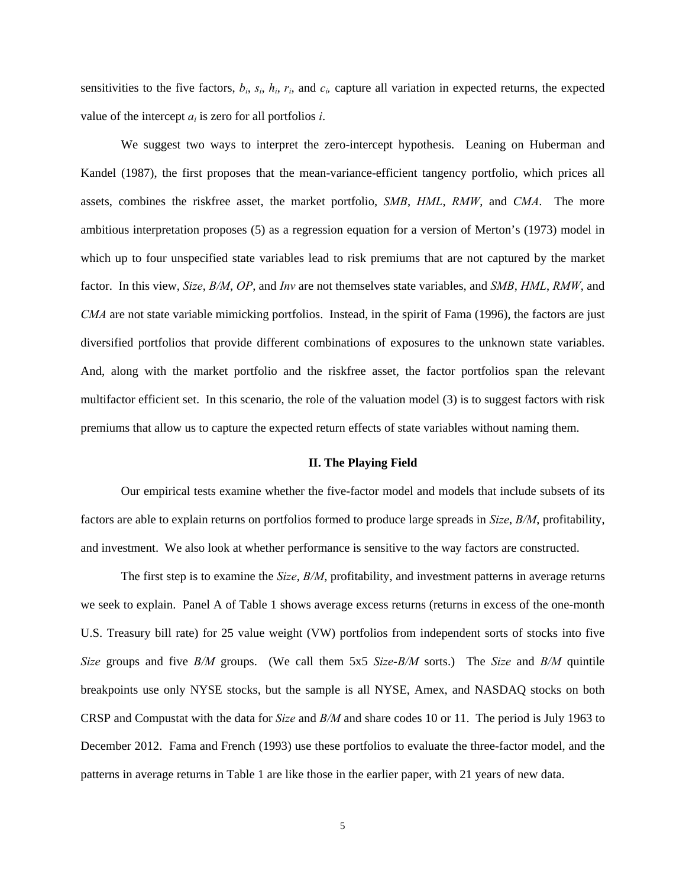sensitivities to the five factors,  $b_i$ ,  $s_i$ ,  $h_i$ ,  $r_i$ , and  $c_i$  capture all variation in expected returns, the expected value of the intercept  $a_i$  is zero for all portfolios *i*.

We suggest two ways to interpret the zero-intercept hypothesis. Leaning on Huberman and Kandel (1987), the first proposes that the mean-variance-efficient tangency portfolio, which prices all assets, combines the riskfree asset, the market portfolio, *SMB*, *HML*, *RMW*, and *CMA*. The more ambitious interpretation proposes (5) as a regression equation for a version of Merton's (1973) model in which up to four unspecified state variables lead to risk premiums that are not captured by the market factor. In this view, *Size*, *B/M*, *OP*, and *Inv* are not themselves state variables, and *SMB*, *HML*, *RMW*, and *CMA* are not state variable mimicking portfolios. Instead, in the spirit of Fama (1996), the factors are just diversified portfolios that provide different combinations of exposures to the unknown state variables. And, along with the market portfolio and the riskfree asset, the factor portfolios span the relevant multifactor efficient set. In this scenario, the role of the valuation model (3) is to suggest factors with risk premiums that allow us to capture the expected return effects of state variables without naming them.

## **II. The Playing Field**

Our empirical tests examine whether the five-factor model and models that include subsets of its factors are able to explain returns on portfolios formed to produce large spreads in *Size*, *B/M*, profitability, and investment. We also look at whether performance is sensitive to the way factors are constructed.

The first step is to examine the *Size*, *B/M*, profitability, and investment patterns in average returns we seek to explain. Panel A of Table 1 shows average excess returns (returns in excess of the one-month U.S. Treasury bill rate) for 25 value weight (VW) portfolios from independent sorts of stocks into five *Size* groups and five *B/M* groups. (We call them 5x5 *Size*-*B/M* sorts.) The *Size* and *B/M* quintile breakpoints use only NYSE stocks, but the sample is all NYSE, Amex, and NASDAQ stocks on both CRSP and Compustat with the data for *Size* and *B/M* and share codes 10 or 11. The period is July 1963 to December 2012. Fama and French (1993) use these portfolios to evaluate the three-factor model, and the patterns in average returns in Table 1 are like those in the earlier paper, with 21 years of new data.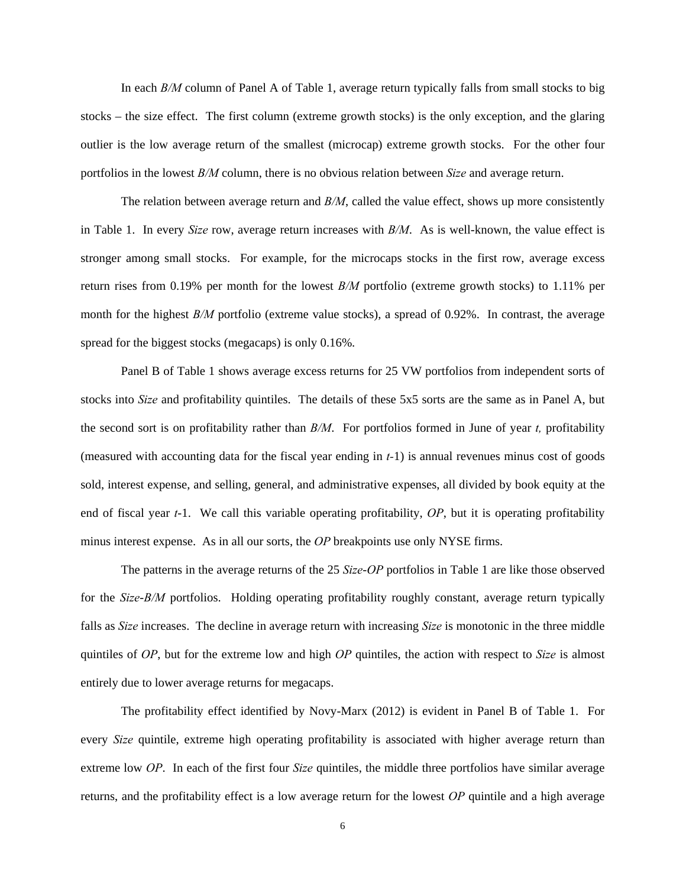In each *B/M* column of Panel A of Table 1, average return typically falls from small stocks to big stocks – the size effect. The first column (extreme growth stocks) is the only exception, and the glaring outlier is the low average return of the smallest (microcap) extreme growth stocks. For the other four portfolios in the lowest *B/M* column, there is no obvious relation between *Size* and average return.

The relation between average return and *B/M*, called the value effect, shows up more consistently in Table 1. In every *Size* row, average return increases with *B/M*. As is well-known, the value effect is stronger among small stocks. For example, for the microcaps stocks in the first row, average excess return rises from 0.19% per month for the lowest *B/M* portfolio (extreme growth stocks) to 1.11% per month for the highest *B/M* portfolio (extreme value stocks), a spread of 0.92%. In contrast, the average spread for the biggest stocks (megacaps) is only 0.16%.

 Panel B of Table 1 shows average excess returns for 25 VW portfolios from independent sorts of stocks into *Size* and profitability quintiles. The details of these 5x5 sorts are the same as in Panel A, but the second sort is on profitability rather than *B/M*. For portfolios formed in June of year *t,* profitability (measured with accounting data for the fiscal year ending in *t-*1) is annual revenues minus cost of goods sold, interest expense, and selling, general, and administrative expenses, all divided by book equity at the end of fiscal year *t*-1. We call this variable operating profitability, *OP*, but it is operating profitability minus interest expense. As in all our sorts, the *OP* breakpoints use only NYSE firms.

The patterns in the average returns of the 25 *Size*-*OP* portfolios in Table 1 are like those observed for the *Size*-*B/M* portfolios. Holding operating profitability roughly constant, average return typically falls as *Size* increases. The decline in average return with increasing *Size* is monotonic in the three middle quintiles of *OP*, but for the extreme low and high *OP* quintiles, the action with respect to *Size* is almost entirely due to lower average returns for megacaps.

The profitability effect identified by Novy-Marx (2012) is evident in Panel B of Table 1. For every *Size* quintile, extreme high operating profitability is associated with higher average return than extreme low *OP*. In each of the first four *Size* quintiles, the middle three portfolios have similar average returns, and the profitability effect is a low average return for the lowest *OP* quintile and a high average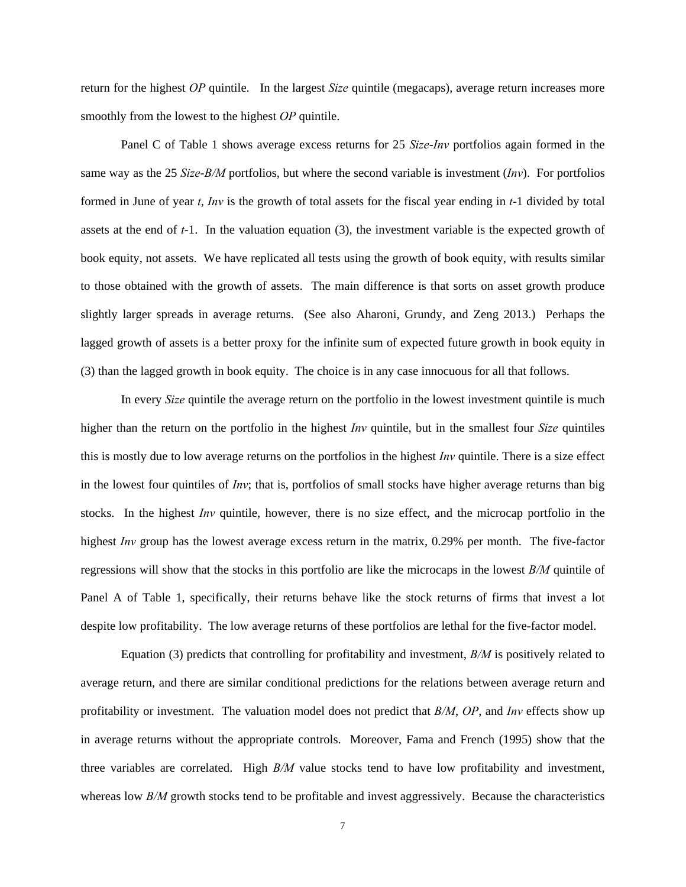return for the highest *OP* quintile. In the largest *Size* quintile (megacaps), average return increases more smoothly from the lowest to the highest *OP* quintile.

Panel C of Table 1 shows average excess returns for 25 *Size*-*Inv* portfolios again formed in the same way as the 25 *Size*-*B/M* portfolios, but where the second variable is investment (*Inv*). For portfolios formed in June of year *t*, *Inv* is the growth of total assets for the fiscal year ending in *t*-1 divided by total assets at the end of *t*-1. In the valuation equation (3), the investment variable is the expected growth of book equity, not assets. We have replicated all tests using the growth of book equity, with results similar to those obtained with the growth of assets. The main difference is that sorts on asset growth produce slightly larger spreads in average returns. (See also Aharoni, Grundy, and Zeng 2013.) Perhaps the lagged growth of assets is a better proxy for the infinite sum of expected future growth in book equity in (3) than the lagged growth in book equity. The choice is in any case innocuous for all that follows.

In every *Size* quintile the average return on the portfolio in the lowest investment quintile is much higher than the return on the portfolio in the highest *Inv* quintile, but in the smallest four *Size* quintiles this is mostly due to low average returns on the portfolios in the highest *Inv* quintile. There is a size effect in the lowest four quintiles of *Inv*; that is, portfolios of small stocks have higher average returns than big stocks. In the highest *Inv* quintile, however, there is no size effect, and the microcap portfolio in the highest *Inv* group has the lowest average excess return in the matrix, 0.29% per month. The five-factor regressions will show that the stocks in this portfolio are like the microcaps in the lowest *B/M* quintile of Panel A of Table 1, specifically, their returns behave like the stock returns of firms that invest a lot despite low profitability. The low average returns of these portfolios are lethal for the five-factor model.

Equation (3) predicts that controlling for profitability and investment, *B/M* is positively related to average return, and there are similar conditional predictions for the relations between average return and profitability or investment. The valuation model does not predict that *B/M*, *OP*, and *Inv* effects show up in average returns without the appropriate controls. Moreover, Fama and French (1995) show that the three variables are correlated. High *B/M* value stocks tend to have low profitability and investment, whereas low *B/M* growth stocks tend to be profitable and invest aggressively. Because the characteristics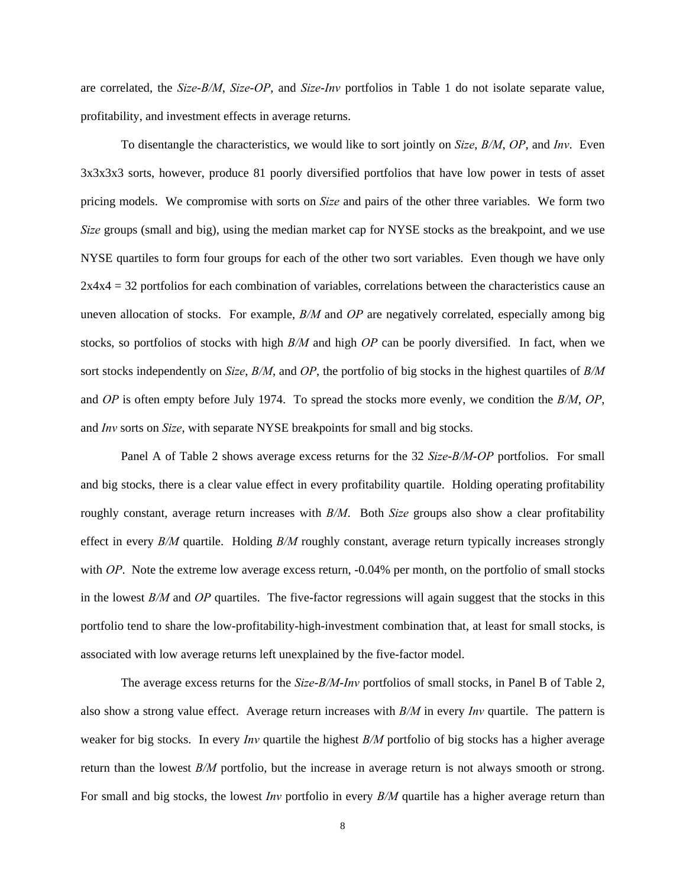are correlated, the *Size*-*B/M*, *Size*-*OP*, and *Size*-*Inv* portfolios in Table 1 do not isolate separate value, profitability, and investment effects in average returns.

To disentangle the characteristics, we would like to sort jointly on *Size*, *B/M*, *OP*, and *Inv*. Even 3x3x3x3 sorts, however, produce 81 poorly diversified portfolios that have low power in tests of asset pricing models. We compromise with sorts on *Size* and pairs of the other three variables. We form two *Size* groups (small and big), using the median market cap for NYSE stocks as the breakpoint, and we use NYSE quartiles to form four groups for each of the other two sort variables. Even though we have only 2x4x4 = 32 portfolios for each combination of variables, correlations between the characteristics cause an uneven allocation of stocks. For example, *B/M* and *OP* are negatively correlated, especially among big stocks, so portfolios of stocks with high *B/M* and high *OP* can be poorly diversified. In fact, when we sort stocks independently on *Size*, *B/M*, and *OP*, the portfolio of big stocks in the highest quartiles of *B/M* and *OP* is often empty before July 1974. To spread the stocks more evenly, we condition the *B/M*, *OP*, and *Inv* sorts on *Size*, with separate NYSE breakpoints for small and big stocks.

Panel A of Table 2 shows average excess returns for the 32 *Size*-*B/M*-*OP* portfolios. For small and big stocks, there is a clear value effect in every profitability quartile. Holding operating profitability roughly constant, average return increases with *B/M*. Both *Size* groups also show a clear profitability effect in every *B/M* quartile. Holding *B/M* roughly constant, average return typically increases strongly with *OP*. Note the extreme low average excess return, -0.04% per month, on the portfolio of small stocks in the lowest *B/M* and *OP* quartiles. The five-factor regressions will again suggest that the stocks in this portfolio tend to share the low-profitability-high-investment combination that, at least for small stocks, is associated with low average returns left unexplained by the five-factor model.

The average excess returns for the *Size*-*B/M*-*Inv* portfolios of small stocks, in Panel B of Table 2, also show a strong value effect. Average return increases with *B/M* in every *Inv* quartile. The pattern is weaker for big stocks. In every *Inv* quartile the highest *B/M* portfolio of big stocks has a higher average return than the lowest *B/M* portfolio, but the increase in average return is not always smooth or strong. For small and big stocks, the lowest *Inv* portfolio in every *B/M* quartile has a higher average return than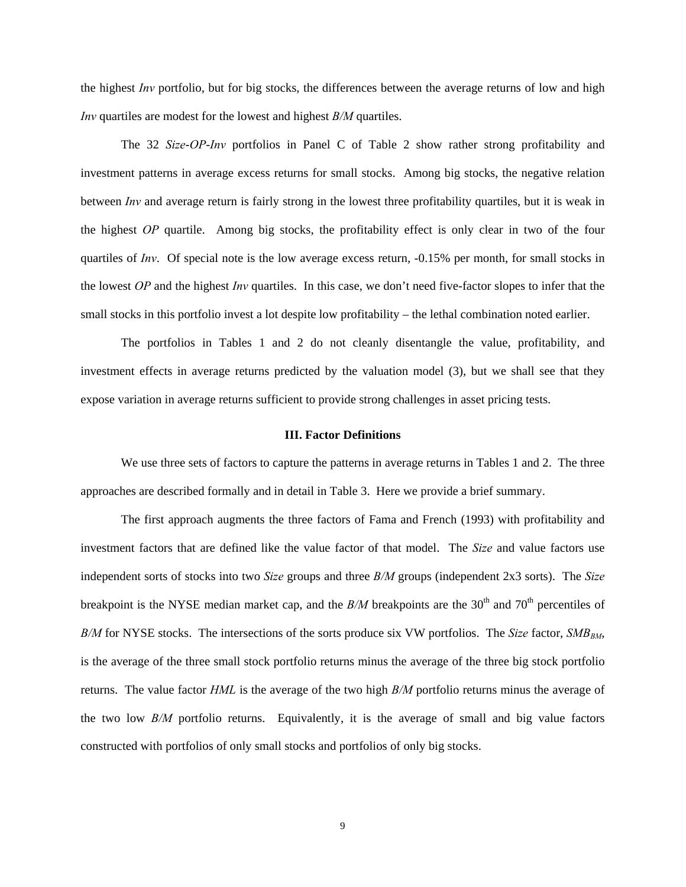the highest *Inv* portfolio, but for big stocks, the differences between the average returns of low and high *Inv* quartiles are modest for the lowest and highest *B/M* quartiles.

The 32 *Size*-*OP*-*Inv* portfolios in Panel C of Table 2 show rather strong profitability and investment patterns in average excess returns for small stocks. Among big stocks, the negative relation between *Inv* and average return is fairly strong in the lowest three profitability quartiles, but it is weak in the highest *OP* quartile. Among big stocks, the profitability effect is only clear in two of the four quartiles of *Inv*. Of special note is the low average excess return, -0.15% per month, for small stocks in the lowest *OP* and the highest *Inv* quartiles. In this case, we don't need five-factor slopes to infer that the small stocks in this portfolio invest a lot despite low profitability – the lethal combination noted earlier.

The portfolios in Tables 1 and 2 do not cleanly disentangle the value, profitability, and investment effects in average returns predicted by the valuation model (3), but we shall see that they expose variation in average returns sufficient to provide strong challenges in asset pricing tests.

## **III. Factor Definitions**

We use three sets of factors to capture the patterns in average returns in Tables 1 and 2. The three approaches are described formally and in detail in Table 3. Here we provide a brief summary.

The first approach augments the three factors of Fama and French (1993) with profitability and investment factors that are defined like the value factor of that model. The *Size* and value factors use independent sorts of stocks into two *Size* groups and three *B/M* groups (independent 2x3 sorts). The *Size* breakpoint is the NYSE median market cap, and the *B/M* breakpoints are the 30<sup>th</sup> and 70<sup>th</sup> percentiles of  $B/M$  for NYSE stocks. The intersections of the sorts produce six VW portfolios. The *Size* factor, *SMB<sub>BM</sub>*, is the average of the three small stock portfolio returns minus the average of the three big stock portfolio returns. The value factor *HML* is the average of the two high *B/M* portfolio returns minus the average of the two low *B/M* portfolio returns. Equivalently, it is the average of small and big value factors constructed with portfolios of only small stocks and portfolios of only big stocks.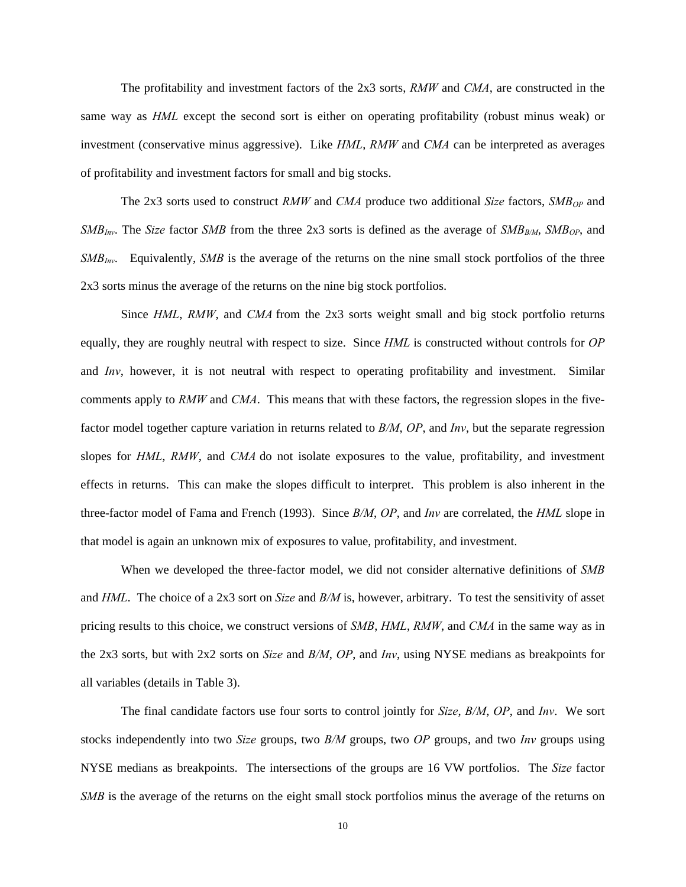The profitability and investment factors of the 2x3 sorts, *RMW* and *CMA*, are constructed in the same way as *HML* except the second sort is either on operating profitability (robust minus weak) or investment (conservative minus aggressive). Like *HML*, *RMW* and *CMA* can be interpreted as averages of profitability and investment factors for small and big stocks.

The 2x3 sorts used to construct *RMW* and *CMA* produce two additional *Size* factors, *SMB<sub>OP</sub>* and *SMB<sub>Inv</sub>*. The *Size* factor *SMB* from the three 2x3 sorts is defined as the average of *SMB<sub>B/M</sub>*, *SMB<sub>OP</sub>*, and *SMB<sub>Inv</sub>*. Equivalently, *SMB* is the average of the returns on the nine small stock portfolios of the three 2x3 sorts minus the average of the returns on the nine big stock portfolios.

Since *HML*, *RMW*, and *CMA* from the 2x3 sorts weight small and big stock portfolio returns equally, they are roughly neutral with respect to size. Since *HML* is constructed without controls for *OP* and *Inv*, however, it is not neutral with respect to operating profitability and investment. Similar comments apply to *RMW* and *CMA*. This means that with these factors, the regression slopes in the fivefactor model together capture variation in returns related to *B/M*, *OP*, and *Inv*, but the separate regression slopes for *HML*, *RMW*, and *CMA* do not isolate exposures to the value, profitability, and investment effects in returns. This can make the slopes difficult to interpret. This problem is also inherent in the three-factor model of Fama and French (1993). Since *B/M*, *OP*, and *Inv* are correlated, the *HML* slope in that model is again an unknown mix of exposures to value, profitability, and investment.

When we developed the three-factor model, we did not consider alternative definitions of *SMB* and *HML*. The choice of a 2x3 sort on *Size* and *B/M* is, however, arbitrary. To test the sensitivity of asset pricing results to this choice, we construct versions of *SMB*, *HML*, *RMW*, and *CMA* in the same way as in the 2x3 sorts, but with 2x2 sorts on *Size* and *B/M*, *OP*, and *Inv*, using NYSE medians as breakpoints for all variables (details in Table 3).

The final candidate factors use four sorts to control jointly for *Size*, *B/M*, *OP*, and *Inv*. We sort stocks independently into two *Size* groups, two *B/M* groups, two *OP* groups, and two *Inv* groups using NYSE medians as breakpoints. The intersections of the groups are 16 VW portfolios. The *Size* factor *SMB* is the average of the returns on the eight small stock portfolios minus the average of the returns on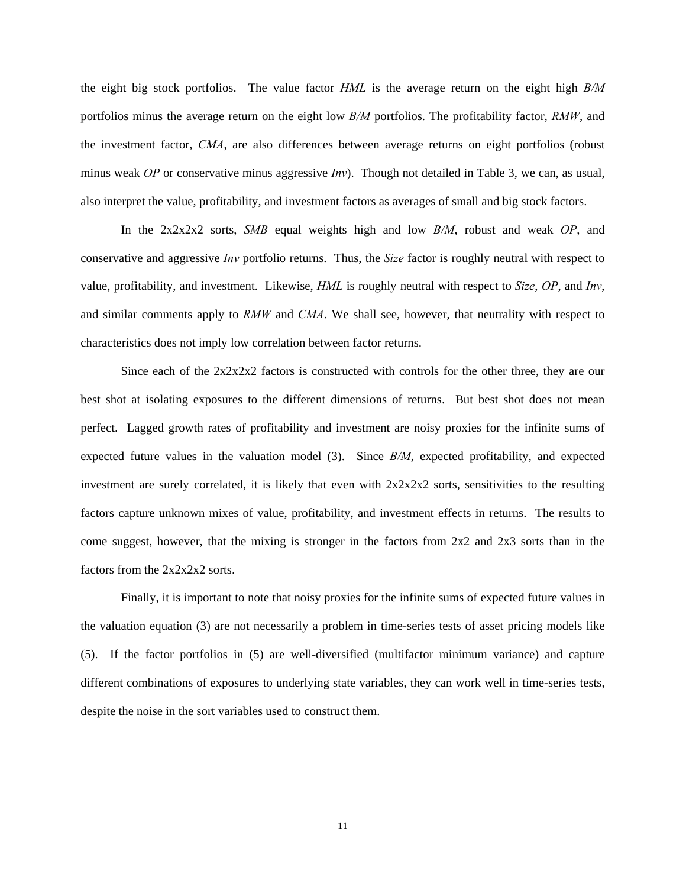the eight big stock portfolios. The value factor *HML* is the average return on the eight high *B/M* portfolios minus the average return on the eight low *B/M* portfolios. The profitability factor, *RMW*, and the investment factor, *CMA*, are also differences between average returns on eight portfolios (robust minus weak *OP* or conservative minus aggressive *Inv*). Though not detailed in Table 3, we can, as usual, also interpret the value, profitability, and investment factors as averages of small and big stock factors.

 In the 2x2x2x2 sorts, *SMB* equal weights high and low *B/M*, robust and weak *OP*, and conservative and aggressive *Inv* portfolio returns. Thus, the *Size* factor is roughly neutral with respect to value, profitability, and investment. Likewise, *HML* is roughly neutral with respect to *Size*, *OP*, and *Inv*, and similar comments apply to *RMW* and *CMA*. We shall see, however, that neutrality with respect to characteristics does not imply low correlation between factor returns.

 Since each of the 2x2x2x2 factors is constructed with controls for the other three, they are our best shot at isolating exposures to the different dimensions of returns. But best shot does not mean perfect. Lagged growth rates of profitability and investment are noisy proxies for the infinite sums of expected future values in the valuation model (3). Since *B/M*, expected profitability, and expected investment are surely correlated, it is likely that even with  $2x2x2x2$  sorts, sensitivities to the resulting factors capture unknown mixes of value, profitability, and investment effects in returns. The results to come suggest, however, that the mixing is stronger in the factors from 2x2 and 2x3 sorts than in the factors from the 2x2x2x2 sorts.

 Finally, it is important to note that noisy proxies for the infinite sums of expected future values in the valuation equation (3) are not necessarily a problem in time-series tests of asset pricing models like (5). If the factor portfolios in (5) are well-diversified (multifactor minimum variance) and capture different combinations of exposures to underlying state variables, they can work well in time-series tests, despite the noise in the sort variables used to construct them.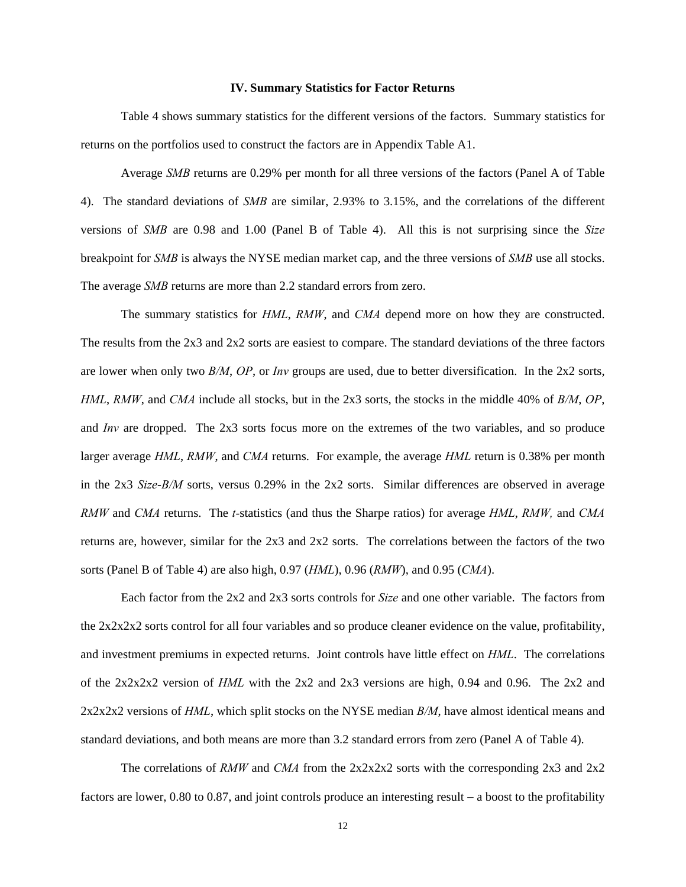#### **IV. Summary Statistics for Factor Returns**

 Table 4 shows summary statistics for the different versions of the factors. Summary statistics for returns on the portfolios used to construct the factors are in Appendix Table A1.

 Average *SMB* returns are 0.29% per month for all three versions of the factors (Panel A of Table 4). The standard deviations of *SMB* are similar, 2.93% to 3.15%, and the correlations of the different versions of *SMB* are 0.98 and 1.00 (Panel B of Table 4). All this is not surprising since the *Size* breakpoint for *SMB* is always the NYSE median market cap, and the three versions of *SMB* use all stocks. The average *SMB* returns are more than 2.2 standard errors from zero.

 The summary statistics for *HML*, *RMW*, and *CMA* depend more on how they are constructed. The results from the 2x3 and 2x2 sorts are easiest to compare. The standard deviations of the three factors are lower when only two *B/M*, *OP*, or *Inv* groups are used, due to better diversification. In the 2x2 sorts, *HML*, *RMW*, and *CMA* include all stocks, but in the 2x3 sorts, the stocks in the middle 40% of *B/M*, *OP*, and *Inv* are dropped. The 2x3 sorts focus more on the extremes of the two variables, and so produce larger average *HML*, *RMW*, and *CMA* returns. For example, the average *HML* return is 0.38% per month in the 2x3 *Size*-*B/M* sorts, versus 0.29% in the 2x2 sorts. Similar differences are observed in average *RMW* and *CMA* returns. The *t-*statistics (and thus the Sharpe ratios) for average *HML*, *RMW,* and *CMA* returns are, however, similar for the 2x3 and 2x2 sorts. The correlations between the factors of the two sorts (Panel B of Table 4) are also high, 0.97 (*HML*), 0.96 (*RMW*), and 0.95 (*CMA*).

 Each factor from the 2x2 and 2x3 sorts controls for *Size* and one other variable. The factors from the 2x2x2x2 sorts control for all four variables and so produce cleaner evidence on the value, profitability, and investment premiums in expected returns. Joint controls have little effect on *HML*. The correlations of the 2x2x2x2 version of *HML* with the 2x2 and 2x3 versions are high, 0.94 and 0.96. The 2x2 and 2x2x2x2 versions of *HML*, which split stocks on the NYSE median *B/M*, have almost identical means and standard deviations, and both means are more than 3.2 standard errors from zero (Panel A of Table 4).

The correlations of *RMW* and *CMA* from the 2x2x2x2 sorts with the corresponding 2x3 and 2x2 factors are lower,  $0.80$  to  $0.87$ , and joint controls produce an interesting result  $-$  a boost to the profitability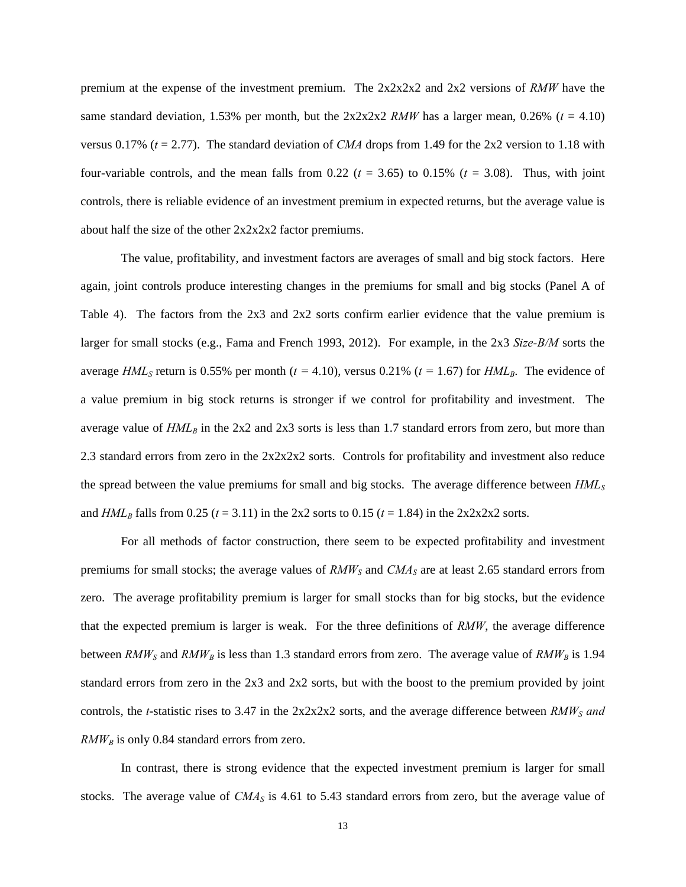premium at the expense of the investment premium. The 2x2x2x2 and 2x2 versions of *RMW* have the same standard deviation, 1.53% per month, but the  $2x2x2x2$  *RMW* has a larger mean, 0.26% ( $t = 4.10$ ) versus 0.17% (*t* = 2.77). The standard deviation of *CMA* drops from 1.49 for the 2x2 version to 1.18 with four-variable controls, and the mean falls from  $0.22$  ( $t = 3.65$ ) to  $0.15\%$  ( $t = 3.08$ ). Thus, with joint controls, there is reliable evidence of an investment premium in expected returns, but the average value is about half the size of the other 2x2x2x2 factor premiums.

The value, profitability, and investment factors are averages of small and big stock factors. Here again, joint controls produce interesting changes in the premiums for small and big stocks (Panel A of Table 4). The factors from the 2x3 and 2x2 sorts confirm earlier evidence that the value premium is larger for small stocks (e.g., Fama and French 1993, 2012). For example, in the 2x3 *Size-B/M* sorts the average *HML<sub>S</sub>* return is 0.55% per month ( $t = 4.10$ ), versus 0.21% ( $t = 1.67$ ) for *HML<sub>B</sub>*. The evidence of a value premium in big stock returns is stronger if we control for profitability and investment. The average value of  $HML_B$  in the 2x2 and 2x3 sorts is less than 1.7 standard errors from zero, but more than 2.3 standard errors from zero in the 2x2x2x2 sorts. Controls for profitability and investment also reduce the spread between the value premiums for small and big stocks. The average difference between  $HML<sub>S</sub>$ and  $HML_B$  falls from 0.25 ( $t = 3.11$ ) in the 2x2 sorts to 0.15 ( $t = 1.84$ ) in the 2x2x2x2 sorts.

For all methods of factor construction, there seem to be expected profitability and investment premiums for small stocks; the average values of *RMW<sub>S</sub>* and *CMA<sub>S</sub>* are at least 2.65 standard errors from zero. The average profitability premium is larger for small stocks than for big stocks, but the evidence that the expected premium is larger is weak. For the three definitions of *RMW*, the average difference between *RMW<sub>S</sub>* and *RMW<sub>B</sub>* is less than 1.3 standard errors from zero. The average value of *RMW<sub>B</sub>* is 1.94 standard errors from zero in the 2x3 and 2x2 sorts, but with the boost to the premium provided by joint controls, the *t*-statistic rises to 3.47 in the  $2x2x2x2$  sorts, and the average difference between *RMW<sub>S</sub>* and  $RMW_B$  is only 0.84 standard errors from zero.

In contrast, there is strong evidence that the expected investment premium is larger for small stocks. The average value of *CMA<sub>S</sub>* is 4.61 to 5.43 standard errors from zero, but the average value of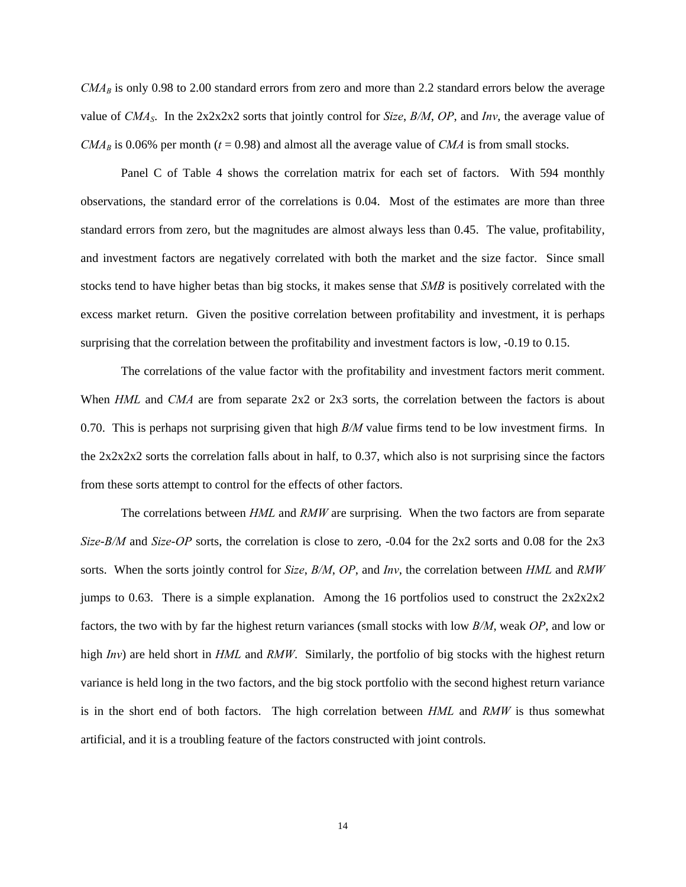$CMA<sub>B</sub>$  is only 0.98 to 2.00 standard errors from zero and more than 2.2 standard errors below the average value of *CMAS*. In the 2x2x2x2 sorts that jointly control for *Size*, *B/M*, *OP*, and *Inv*, the average value of  $CMA_B$  is 0.06% per month ( $t = 0.98$ ) and almost all the average value of *CMA* is from small stocks.

 Panel C of Table 4 shows the correlation matrix for each set of factors. With 594 monthly observations, the standard error of the correlations is 0.04. Most of the estimates are more than three standard errors from zero, but the magnitudes are almost always less than 0.45. The value, profitability, and investment factors are negatively correlated with both the market and the size factor. Since small stocks tend to have higher betas than big stocks, it makes sense that *SMB* is positively correlated with the excess market return. Given the positive correlation between profitability and investment, it is perhaps surprising that the correlation between the profitability and investment factors is low, -0.19 to 0.15.

The correlations of the value factor with the profitability and investment factors merit comment. When *HML* and *CMA* are from separate 2x2 or 2x3 sorts, the correlation between the factors is about 0.70. This is perhaps not surprising given that high *B/M* value firms tend to be low investment firms. In the 2x2x2x2 sorts the correlation falls about in half, to 0.37, which also is not surprising since the factors from these sorts attempt to control for the effects of other factors.

The correlations between *HML* and *RMW* are surprising. When the two factors are from separate *Size*-*B/M* and *Size*-*OP* sorts, the correlation is close to zero, -0.04 for the 2x2 sorts and 0.08 for the 2x3 sorts. When the sorts jointly control for *Size*, *B/M*, *OP*, and *Inv*, the correlation between *HML* and *RMW* jumps to 0.63. There is a simple explanation. Among the 16 portfolios used to construct the  $2x2x2x2$ factors, the two with by far the highest return variances (small stocks with low *B/M*, weak *OP*, and low or high *Inv*) are held short in *HML* and *RMW*. Similarly, the portfolio of big stocks with the highest return variance is held long in the two factors, and the big stock portfolio with the second highest return variance is in the short end of both factors. The high correlation between *HML* and *RMW* is thus somewhat artificial, and it is a troubling feature of the factors constructed with joint controls.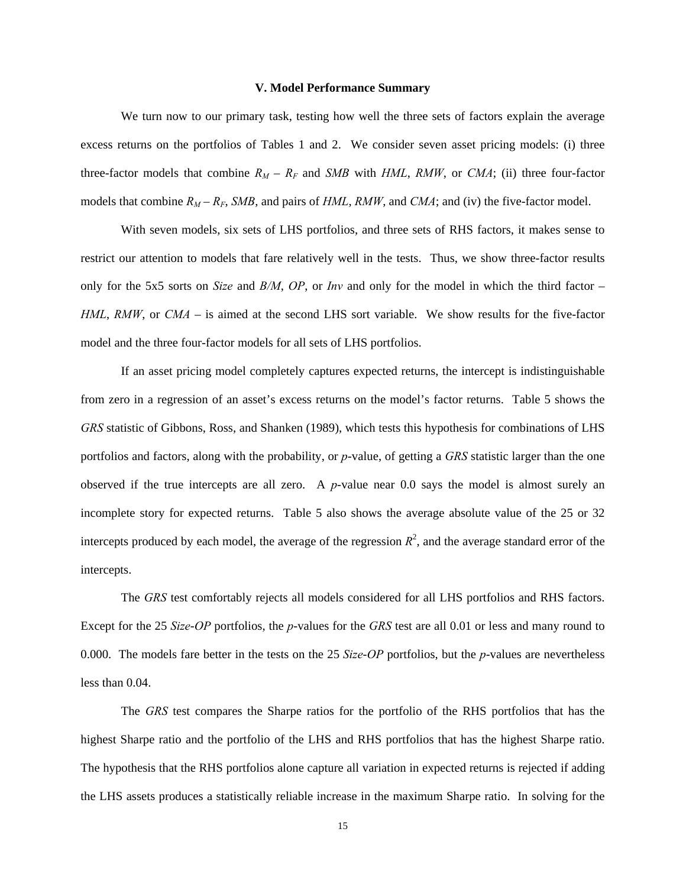#### **V. Model Performance Summary**

 We turn now to our primary task, testing how well the three sets of factors explain the average excess returns on the portfolios of Tables 1 and 2. We consider seven asset pricing models: (i) three three-factor models that combine  $R_M - R_F$  and *SMB* with *HML*, *RMW*, or *CMA*; (ii) three four-factor models that combine  $R_M - R_F$ , *SMB*, and pairs of *HML*, *RMW*, and *CMA*; and (iv) the five-factor model.

With seven models, six sets of LHS portfolios, and three sets of RHS factors, it makes sense to restrict our attention to models that fare relatively well in the tests. Thus, we show three-factor results only for the 5x5 sorts on *Size* and *B/M*, *OP*, or *Inv* and only for the model in which the third factor – *HML*, *RMW*, or *CMA* – is aimed at the second LHS sort variable. We show results for the five-factor model and the three four-factor models for all sets of LHS portfolios.

If an asset pricing model completely captures expected returns, the intercept is indistinguishable from zero in a regression of an asset's excess returns on the model's factor returns. Table 5 shows the *GRS* statistic of Gibbons, Ross, and Shanken (1989), which tests this hypothesis for combinations of LHS portfolios and factors, along with the probability, or *p*-value, of getting a *GRS* statistic larger than the one observed if the true intercepts are all zero. A *p*-value near 0.0 says the model is almost surely an incomplete story for expected returns. Table 5 also shows the average absolute value of the 25 or 32 intercepts produced by each model, the average of the regression  $R<sup>2</sup>$ , and the average standard error of the intercepts.

The *GRS* test comfortably rejects all models considered for all LHS portfolios and RHS factors. Except for the 25 *Size*-*OP* portfolios, the *p*-values for the *GRS* test are all 0.01 or less and many round to 0.000. The models fare better in the tests on the 25 *Size*-*OP* portfolios, but the *p*-values are nevertheless less than 0.04.

 The *GRS* test compares the Sharpe ratios for the portfolio of the RHS portfolios that has the highest Sharpe ratio and the portfolio of the LHS and RHS portfolios that has the highest Sharpe ratio. The hypothesis that the RHS portfolios alone capture all variation in expected returns is rejected if adding the LHS assets produces a statistically reliable increase in the maximum Sharpe ratio. In solving for the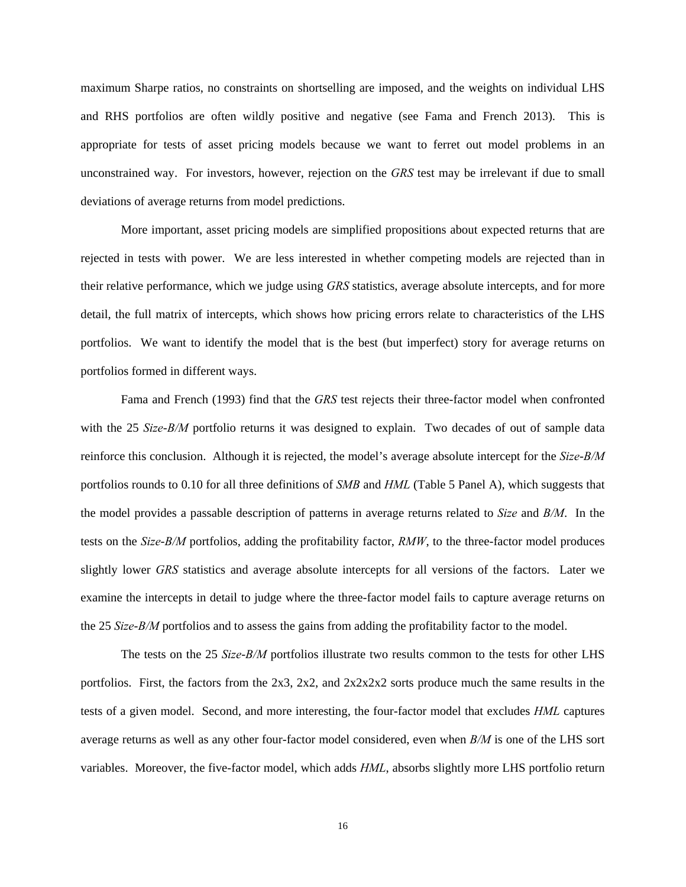maximum Sharpe ratios, no constraints on shortselling are imposed, and the weights on individual LHS and RHS portfolios are often wildly positive and negative (see Fama and French 2013). This is appropriate for tests of asset pricing models because we want to ferret out model problems in an unconstrained way. For investors, however, rejection on the *GRS* test may be irrelevant if due to small deviations of average returns from model predictions.

 More important, asset pricing models are simplified propositions about expected returns that are rejected in tests with power. We are less interested in whether competing models are rejected than in their relative performance, which we judge using *GRS* statistics, average absolute intercepts, and for more detail, the full matrix of intercepts, which shows how pricing errors relate to characteristics of the LHS portfolios. We want to identify the model that is the best (but imperfect) story for average returns on portfolios formed in different ways.

Fama and French (1993) find that the *GRS* test rejects their three-factor model when confronted with the 25 *Size*-*B/M* portfolio returns it was designed to explain. Two decades of out of sample data reinforce this conclusion. Although it is rejected, the model's average absolute intercept for the *Size*-*B/M* portfolios rounds to 0.10 for all three definitions of *SMB* and *HML* (Table 5 Panel A), which suggests that the model provides a passable description of patterns in average returns related to *Size* and *B/M*. In the tests on the *Size*-*B/M* portfolios, adding the profitability factor, *RMW*, to the three-factor model produces slightly lower *GRS* statistics and average absolute intercepts for all versions of the factors. Later we examine the intercepts in detail to judge where the three-factor model fails to capture average returns on the 25 *Size*-*B/M* portfolios and to assess the gains from adding the profitability factor to the model.

The tests on the 25 *Size*-*B/M* portfolios illustrate two results common to the tests for other LHS portfolios. First, the factors from the 2x3, 2x2, and 2x2x2x2 sorts produce much the same results in the tests of a given model. Second, and more interesting, the four-factor model that excludes *HML* captures average returns as well as any other four-factor model considered, even when *B/M* is one of the LHS sort variables. Moreover, the five-factor model, which adds *HML*, absorbs slightly more LHS portfolio return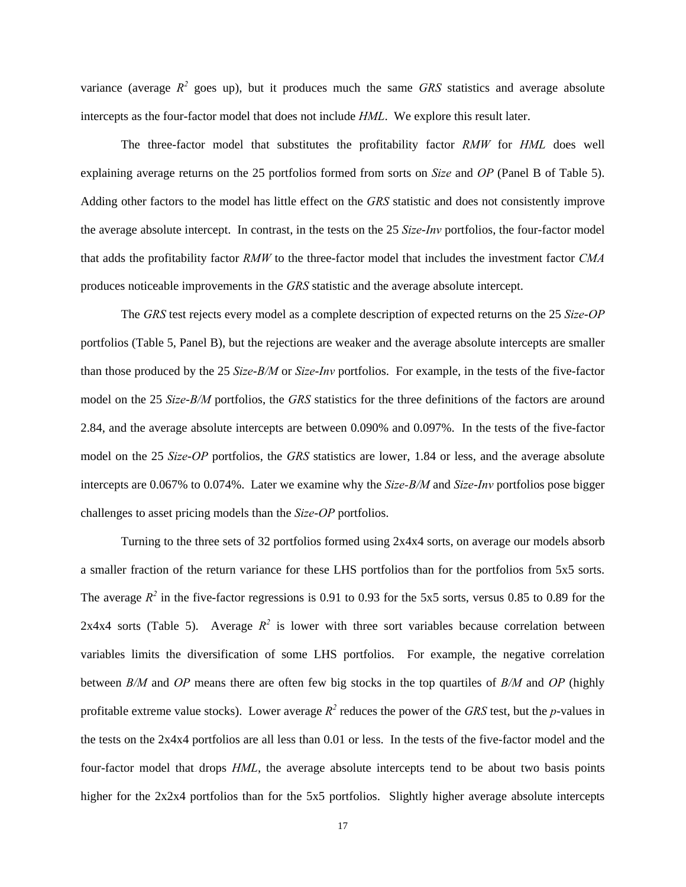variance (average  $R^2$  goes up), but it produces much the same *GRS* statistics and average absolute intercepts as the four-factor model that does not include *HML*. We explore this result later.

The three-factor model that substitutes the profitability factor *RMW* for *HML* does well explaining average returns on the 25 portfolios formed from sorts on *Size* and *OP* (Panel B of Table 5). Adding other factors to the model has little effect on the *GRS* statistic and does not consistently improve the average absolute intercept. In contrast, in the tests on the 25 *Size*-*Inv* portfolios, the four-factor model that adds the profitability factor *RMW* to the three-factor model that includes the investment factor *CMA* produces noticeable improvements in the *GRS* statistic and the average absolute intercept.

The *GRS* test rejects every model as a complete description of expected returns on the 25 *Size*-*OP* portfolios (Table 5, Panel B), but the rejections are weaker and the average absolute intercepts are smaller than those produced by the 25 *Size*-*B/M* or *Size*-*Inv* portfolios. For example, in the tests of the five-factor model on the 25 *Size*-*B/M* portfolios, the *GRS* statistics for the three definitions of the factors are around 2.84, and the average absolute intercepts are between 0.090% and 0.097%. In the tests of the five-factor model on the 25 *Size*-*OP* portfolios, the *GRS* statistics are lower, 1.84 or less, and the average absolute intercepts are 0.067% to 0.074%. Later we examine why the *Size-B/M* and *Size*-*Inv* portfolios pose bigger challenges to asset pricing models than the *Size*-*OP* portfolios.

Turning to the three sets of 32 portfolios formed using 2x4x4 sorts, on average our models absorb a smaller fraction of the return variance for these LHS portfolios than for the portfolios from 5x5 sorts. The average  $R^2$  in the five-factor regressions is 0.91 to 0.93 for the 5x5 sorts, versus 0.85 to 0.89 for the 2x4x4 sorts (Table 5). Average  $R^2$  is lower with three sort variables because correlation between variables limits the diversification of some LHS portfolios. For example, the negative correlation between *B/M* and *OP* means there are often few big stocks in the top quartiles of *B/M* and *OP* (highly profitable extreme value stocks). Lower average  $R^2$  reduces the power of the *GRS* test, but the *p*-values in the tests on the 2x4x4 portfolios are all less than 0.01 or less. In the tests of the five-factor model and the four-factor model that drops *HML*, the average absolute intercepts tend to be about two basis points higher for the 2x2x4 portfolios than for the 5x5 portfolios. Slightly higher average absolute intercepts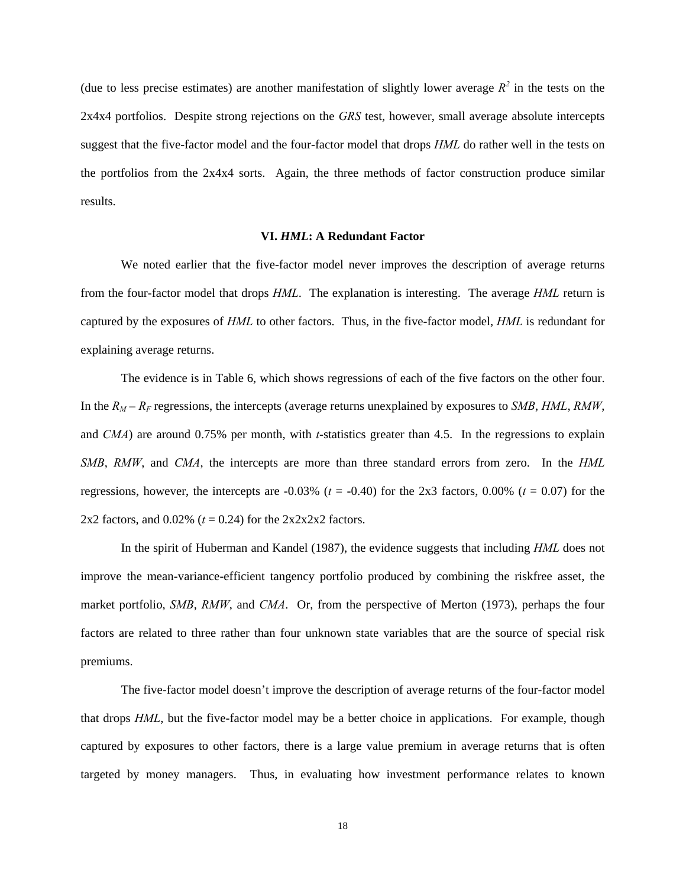(due to less precise estimates) are another manifestation of slightly lower average  $R^2$  in the tests on the 2x4x4 portfolios. Despite strong rejections on the *GRS* test, however, small average absolute intercepts suggest that the five-factor model and the four-factor model that drops *HML* do rather well in the tests on the portfolios from the 2x4x4 sorts. Again, the three methods of factor construction produce similar results.

#### **VI.** *HML***: A Redundant Factor**

We noted earlier that the five-factor model never improves the description of average returns from the four-factor model that drops *HML*. The explanation is interesting. The average *HML* return is captured by the exposures of *HML* to other factors. Thus, in the five-factor model, *HML* is redundant for explaining average returns.

The evidence is in Table 6, which shows regressions of each of the five factors on the other four. In the  $R_M - R_F$  regressions, the intercepts (average returns unexplained by exposures to *SMB*, *HML*, *RMW*, and *CMA*) are around 0.75% per month, with *t*-statistics greater than 4.5. In the regressions to explain *SMB*, *RMW*, and *CMA*, the intercepts are more than three standard errors from zero. In the *HML* regressions, however, the intercepts are  $-0.03\%$  ( $t = -0.40$ ) for the 2x3 factors, 0.00% ( $t = 0.07$ ) for the 2x2 factors, and  $0.02\%$  ( $t = 0.24$ ) for the  $2x2x2x2$  factors.

In the spirit of Huberman and Kandel (1987), the evidence suggests that including *HML* does not improve the mean-variance-efficient tangency portfolio produced by combining the riskfree asset, the market portfolio, *SMB*, *RMW*, and *CMA*. Or, from the perspective of Merton (1973), perhaps the four factors are related to three rather than four unknown state variables that are the source of special risk premiums.

The five-factor model doesn't improve the description of average returns of the four-factor model that drops *HML*, but the five-factor model may be a better choice in applications. For example, though captured by exposures to other factors, there is a large value premium in average returns that is often targeted by money managers. Thus, in evaluating how investment performance relates to known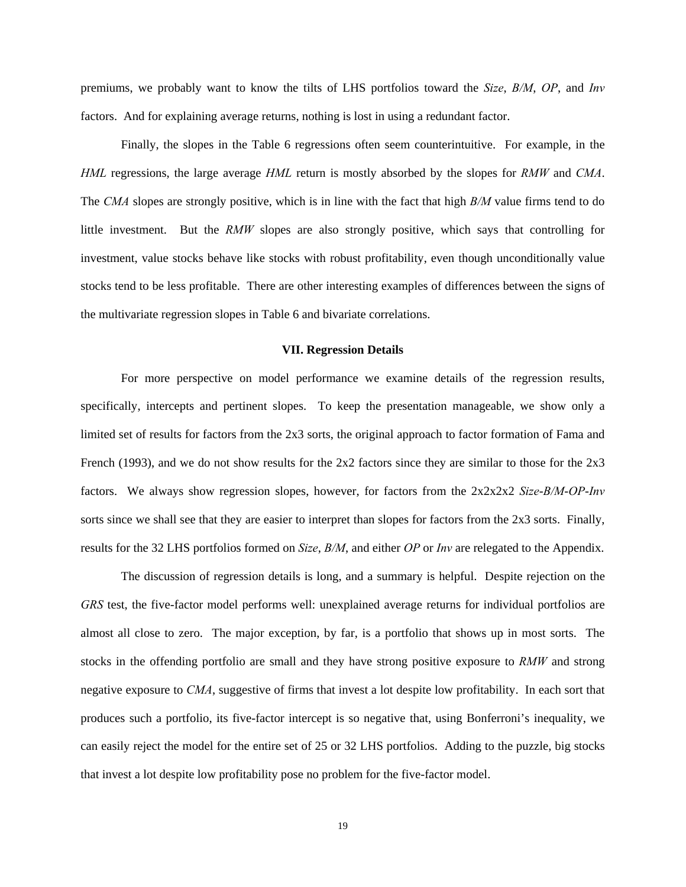premiums, we probably want to know the tilts of LHS portfolios toward the *Size*, *B/M*, *OP*, and *Inv* factors. And for explaining average returns, nothing is lost in using a redundant factor.

Finally, the slopes in the Table 6 regressions often seem counterintuitive. For example, in the *HML* regressions, the large average *HML* return is mostly absorbed by the slopes for *RMW* and *CMA*. The *CMA* slopes are strongly positive, which is in line with the fact that high *B/M* value firms tend to do little investment. But the *RMW* slopes are also strongly positive, which says that controlling for investment, value stocks behave like stocks with robust profitability, even though unconditionally value stocks tend to be less profitable. There are other interesting examples of differences between the signs of the multivariate regression slopes in Table 6 and bivariate correlations.

## **VII. Regression Details**

For more perspective on model performance we examine details of the regression results, specifically, intercepts and pertinent slopes. To keep the presentation manageable, we show only a limited set of results for factors from the 2x3 sorts, the original approach to factor formation of Fama and French (1993), and we do not show results for the 2x2 factors since they are similar to those for the 2x3 factors. We always show regression slopes, however, for factors from the 2x2x2x2 *Size*-*B/M*-*OP*-*Inv* sorts since we shall see that they are easier to interpret than slopes for factors from the 2x3 sorts. Finally, results for the 32 LHS portfolios formed on *Size*, *B/M*, and either *OP* or *Inv* are relegated to the Appendix.

The discussion of regression details is long, and a summary is helpful. Despite rejection on the *GRS* test, the five-factor model performs well: unexplained average returns for individual portfolios are almost all close to zero. The major exception, by far, is a portfolio that shows up in most sorts. The stocks in the offending portfolio are small and they have strong positive exposure to *RMW* and strong negative exposure to *CMA*, suggestive of firms that invest a lot despite low profitability. In each sort that produces such a portfolio, its five-factor intercept is so negative that, using Bonferroni's inequality, we can easily reject the model for the entire set of 25 or 32 LHS portfolios. Adding to the puzzle, big stocks that invest a lot despite low profitability pose no problem for the five-factor model.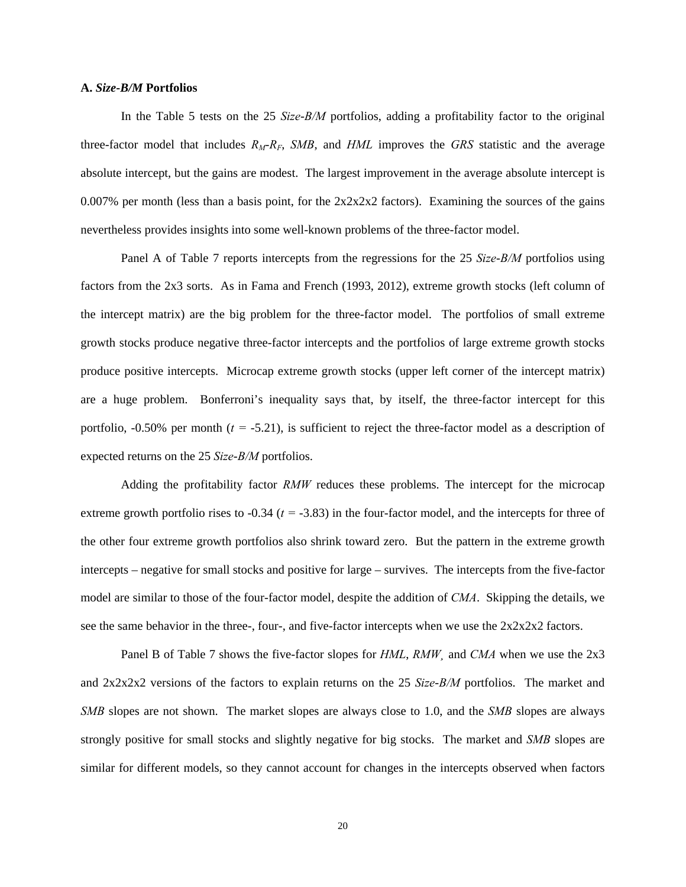## **A.** *Size***-***B/M* **Portfolios**

 In the Table 5 tests on the 25 *Size*-*B/M* portfolios, adding a profitability factor to the original three-factor model that includes  $R_M-R_F$ , *SMB*, and *HML* improves the *GRS* statistic and the average absolute intercept, but the gains are modest. The largest improvement in the average absolute intercept is 0.007% per month (less than a basis point, for the  $2x2x2x2$  factors). Examining the sources of the gains nevertheless provides insights into some well-known problems of the three-factor model.

Panel A of Table 7 reports intercepts from the regressions for the 25 *Size*-*B/M* portfolios using factors from the 2x3 sorts. As in Fama and French (1993, 2012), extreme growth stocks (left column of the intercept matrix) are the big problem for the three-factor model. The portfolios of small extreme growth stocks produce negative three-factor intercepts and the portfolios of large extreme growth stocks produce positive intercepts. Microcap extreme growth stocks (upper left corner of the intercept matrix) are a huge problem. Bonferroni's inequality says that, by itself, the three-factor intercept for this portfolio, -0.50% per month (*t =* -5.21), is sufficient to reject the three-factor model as a description of expected returns on the 25 *Size*-*B/M* portfolios.

 Adding the profitability factor *RMW* reduces these problems. The intercept for the microcap extreme growth portfolio rises to -0.34 (*t =* -3.83) in the four-factor model, and the intercepts for three of the other four extreme growth portfolios also shrink toward zero. But the pattern in the extreme growth intercepts – negative for small stocks and positive for large – survives. The intercepts from the five-factor model are similar to those of the four-factor model, despite the addition of *CMA*. Skipping the details, we see the same behavior in the three-, four-, and five-factor intercepts when we use the  $2x2x2x2$  factors.

 Panel B of Table 7 shows the five-factor slopes for *HML*, *RMW¸* and *CMA* when we use the 2x3 and 2x2x2x2 versions of the factors to explain returns on the 25 *Size*-*B/M* portfolios. The market and *SMB* slopes are not shown. The market slopes are always close to 1.0, and the *SMB* slopes are always strongly positive for small stocks and slightly negative for big stocks. The market and *SMB* slopes are similar for different models, so they cannot account for changes in the intercepts observed when factors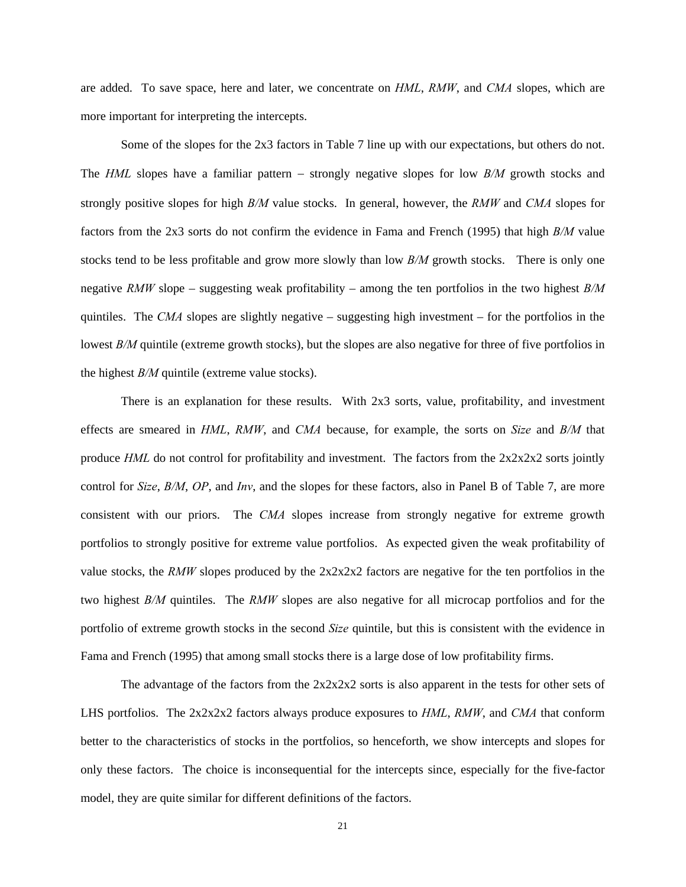are added. To save space, here and later, we concentrate on *HML*, *RMW*, and *CMA* slopes, which are more important for interpreting the intercepts.

 Some of the slopes for the 2x3 factors in Table 7 line up with our expectations, but others do not. The *HML* slopes have a familiar pattern – strongly negative slopes for low *B/M* growth stocks and strongly positive slopes for high *B/M* value stocks. In general, however, the *RMW* and *CMA* slopes for factors from the 2x3 sorts do not confirm the evidence in Fama and French (1995) that high *B/M* value stocks tend to be less profitable and grow more slowly than low *B/M* growth stocks. There is only one negative *RMW* slope – suggesting weak profitability – among the ten portfolios in the two highest *B/M* quintiles. The *CMA* slopes are slightly negative – suggesting high investment – for the portfolios in the lowest *B/M* quintile (extreme growth stocks), but the slopes are also negative for three of five portfolios in the highest *B/M* quintile (extreme value stocks).

There is an explanation for these results. With 2x3 sorts, value, profitability, and investment effects are smeared in *HML*, *RMW*, and *CMA* because, for example, the sorts on *Size* and *B/M* that produce *HML* do not control for profitability and investment. The factors from the  $2x2x2x2$  sorts jointly control for *Size*, *B/M*, *OP*, and *Inv*, and the slopes for these factors, also in Panel B of Table 7, are more consistent with our priors. The *CMA* slopes increase from strongly negative for extreme growth portfolios to strongly positive for extreme value portfolios. As expected given the weak profitability of value stocks, the *RMW* slopes produced by the  $2x2x2x2$  factors are negative for the ten portfolios in the two highest *B/M* quintiles. The *RMW* slopes are also negative for all microcap portfolios and for the portfolio of extreme growth stocks in the second *Size* quintile, but this is consistent with the evidence in Fama and French (1995) that among small stocks there is a large dose of low profitability firms.

The advantage of the factors from the  $2x2x2x2$  sorts is also apparent in the tests for other sets of LHS portfolios. The 2x2x2x2 factors always produce exposures to *HML*, *RMW*, and *CMA* that conform better to the characteristics of stocks in the portfolios, so henceforth, we show intercepts and slopes for only these factors. The choice is inconsequential for the intercepts since, especially for the five-factor model, they are quite similar for different definitions of the factors.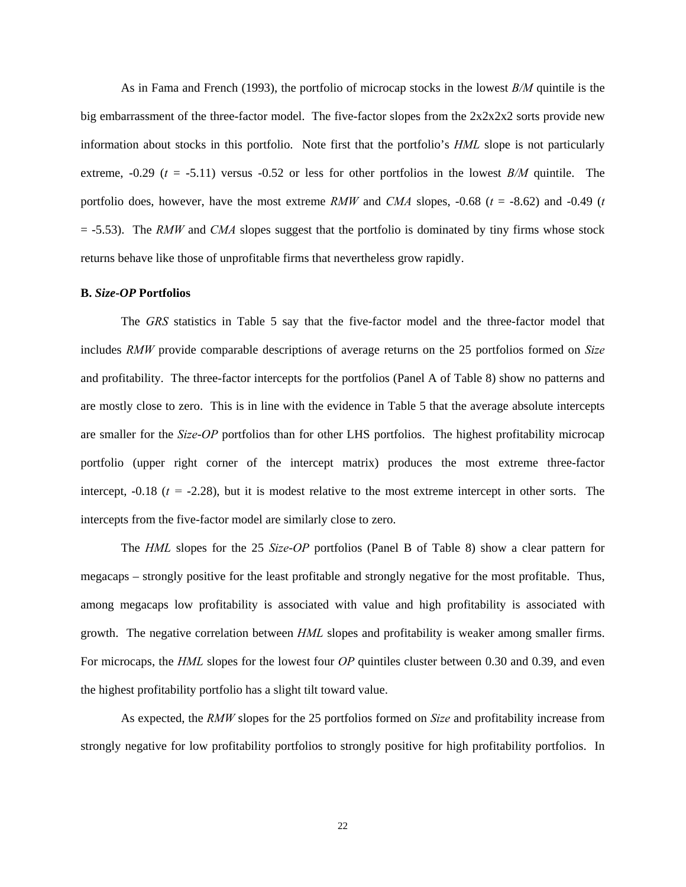As in Fama and French (1993), the portfolio of microcap stocks in the lowest *B/M* quintile is the big embarrassment of the three-factor model. The five-factor slopes from the 2x2x2x2 sorts provide new information about stocks in this portfolio. Note first that the portfolio's *HML* slope is not particularly extreme,  $-0.29$  ( $t = -5.11$ ) versus  $-0.52$  or less for other portfolios in the lowest *B/M* quintile. The portfolio does, however, have the most extreme *RMW* and *CMA* slopes, -0.68 (*t* = -8.62) and -0.49 (*t*  $=$  -5.53). The *RMW* and *CMA* slopes suggest that the portfolio is dominated by tiny firms whose stock returns behave like those of unprofitable firms that nevertheless grow rapidly.

#### **B.** *Size***-***OP* **Portfolios**

The *GRS* statistics in Table 5 say that the five-factor model and the three-factor model that includes *RMW* provide comparable descriptions of average returns on the 25 portfolios formed on *Size* and profitability. The three-factor intercepts for the portfolios (Panel A of Table 8) show no patterns and are mostly close to zero. This is in line with the evidence in Table 5 that the average absolute intercepts are smaller for the *Size*-*OP* portfolios than for other LHS portfolios. The highest profitability microcap portfolio (upper right corner of the intercept matrix) produces the most extreme three-factor intercept,  $-0.18$  ( $t = -2.28$ ), but it is modest relative to the most extreme intercept in other sorts. The intercepts from the five-factor model are similarly close to zero.

 The *HML* slopes for the 25 *Size*-*OP* portfolios (Panel B of Table 8) show a clear pattern for megacaps – strongly positive for the least profitable and strongly negative for the most profitable. Thus, among megacaps low profitability is associated with value and high profitability is associated with growth. The negative correlation between *HML* slopes and profitability is weaker among smaller firms. For microcaps, the *HML* slopes for the lowest four *OP* quintiles cluster between 0.30 and 0.39, and even the highest profitability portfolio has a slight tilt toward value.

As expected, the *RMW* slopes for the 25 portfolios formed on *Size* and profitability increase from strongly negative for low profitability portfolios to strongly positive for high profitability portfolios. In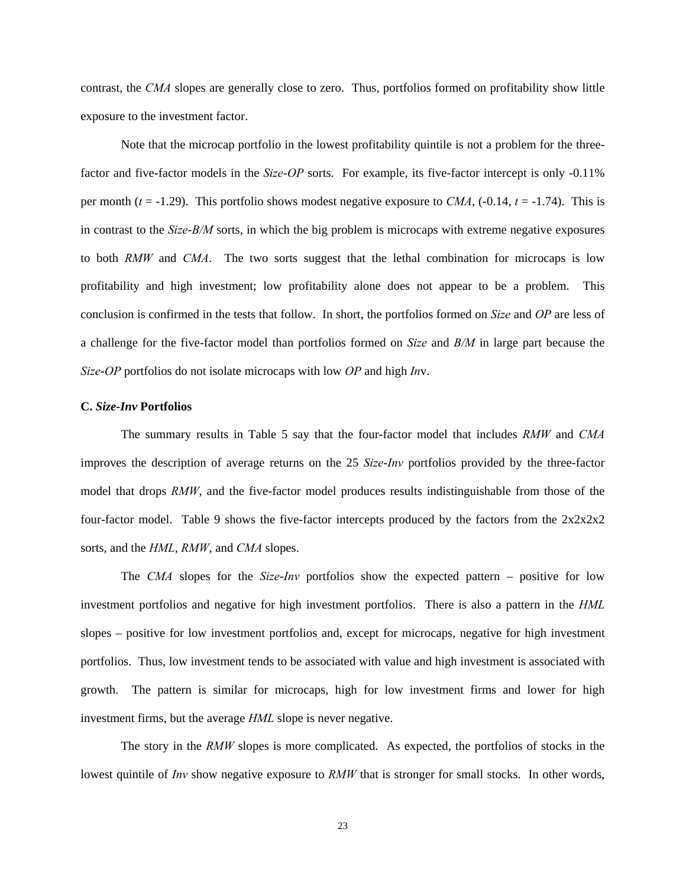contrast, the *CMA* slopes are generally close to zero. Thus, portfolios formed on profitability show little exposure to the investment factor.

Note that the microcap portfolio in the lowest profitability quintile is not a problem for the threefactor and five-factor models in the *Size*-*OP* sorts. For example, its five-factor intercept is only -0.11% per month  $(t = -1.29)$ . This portfolio shows modest negative exposure to *CMA*,  $(-0.14, t = -1.74)$ . This is in contrast to the *Size*-*B/M* sorts, in which the big problem is microcaps with extreme negative exposures to both *RMW* and *CMA*. The two sorts suggest that the lethal combination for microcaps is low profitability and high investment; low profitability alone does not appear to be a problem. This conclusion is confirmed in the tests that follow. In short, the portfolios formed on *Size* and *OP* are less of a challenge for the five-factor model than portfolios formed on *Size* and *B/M* in large part because the *Size*-*OP* portfolios do not isolate microcaps with low *OP* and high *In*v.

## **C.** *Size***-***Inv* **Portfolios**

The summary results in Table 5 say that the four-factor model that includes *RMW* and *CMA* improves the description of average returns on the 25 *Size*-*Inv* portfolios provided by the three-factor model that drops *RMW*, and the five-factor model produces results indistinguishable from those of the four-factor model. Table 9 shows the five-factor intercepts produced by the factors from the  $2x2x2x2$ sorts, and the *HML*, *RMW*, and *CMA* slopes.

The *CMA* slopes for the *Size*-*Inv* portfolios show the expected pattern – positive for low investment portfolios and negative for high investment portfolios. There is also a pattern in the *HML* slopes – positive for low investment portfolios and, except for microcaps, negative for high investment portfolios. Thus, low investment tends to be associated with value and high investment is associated with growth. The pattern is similar for microcaps, high for low investment firms and lower for high investment firms, but the average *HML* slope is never negative.

The story in the *RMW* slopes is more complicated. As expected, the portfolios of stocks in the lowest quintile of *Inv* show negative exposure to *RMW* that is stronger for small stocks. In other words,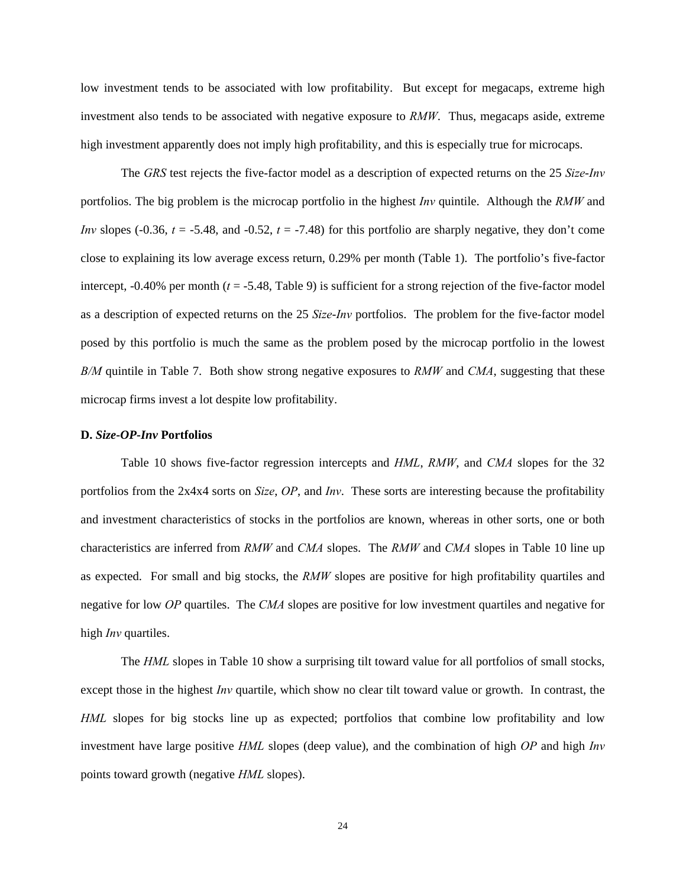low investment tends to be associated with low profitability. But except for megacaps, extreme high investment also tends to be associated with negative exposure to *RMW*. Thus, megacaps aside, extreme high investment apparently does not imply high profitability, and this is especially true for microcaps.

The *GRS* test rejects the five-factor model as a description of expected returns on the 25 *Size*-*Inv* portfolios. The big problem is the microcap portfolio in the highest *Inv* quintile. Although the *RMW* and *Inv* slopes (-0.36, *t* = -5.48, and -0.52, *t* = -7.48) for this portfolio are sharply negative, they don't come close to explaining its low average excess return, 0.29% per month (Table 1). The portfolio's five-factor intercept, -0.40% per month (*t* = -5.48, Table 9) is sufficient for a strong rejection of the five-factor model as a description of expected returns on the 25 *Size*-*Inv* portfolios. The problem for the five-factor model posed by this portfolio is much the same as the problem posed by the microcap portfolio in the lowest *B/M* quintile in Table 7. Both show strong negative exposures to *RMW* and *CMA*, suggesting that these microcap firms invest a lot despite low profitability.

#### **D.** *Size***-***OP***-***Inv* **Portfolios**

 Table 10 shows five-factor regression intercepts and *HML*, *RMW*, and *CMA* slopes for the 32 portfolios from the 2x4x4 sorts on *Size*, *OP*, and *Inv*. These sorts are interesting because the profitability and investment characteristics of stocks in the portfolios are known, whereas in other sorts, one or both characteristics are inferred from *RMW* and *CMA* slopes. The *RMW* and *CMA* slopes in Table 10 line up as expected. For small and big stocks, the *RMW* slopes are positive for high profitability quartiles and negative for low *OP* quartiles. The *CMA* slopes are positive for low investment quartiles and negative for high *Inv* quartiles.

 The *HML* slopes in Table 10 show a surprising tilt toward value for all portfolios of small stocks, except those in the highest *Inv* quartile, which show no clear tilt toward value or growth. In contrast, the *HML* slopes for big stocks line up as expected; portfolios that combine low profitability and low investment have large positive *HML* slopes (deep value), and the combination of high *OP* and high *Inv* points toward growth (negative *HML* slopes).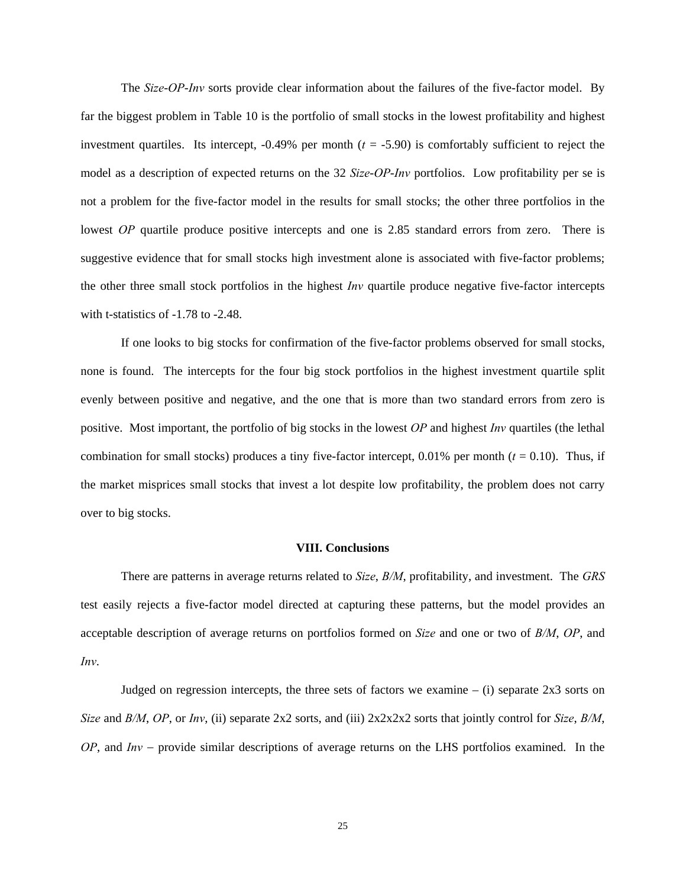The *Size*-*OP*-*Inv* sorts provide clear information about the failures of the five-factor model. By far the biggest problem in Table 10 is the portfolio of small stocks in the lowest profitability and highest investment quartiles. Its intercept,  $-0.49\%$  per month  $(t = -5.90)$  is comfortably sufficient to reject the model as a description of expected returns on the 32 *Size*-*OP*-*Inv* portfolios. Low profitability per se is not a problem for the five-factor model in the results for small stocks; the other three portfolios in the lowest *OP* quartile produce positive intercepts and one is 2.85 standard errors from zero. There is suggestive evidence that for small stocks high investment alone is associated with five-factor problems; the other three small stock portfolios in the highest *Inv* quartile produce negative five-factor intercepts with t-statistics of -1.78 to -2.48.

If one looks to big stocks for confirmation of the five-factor problems observed for small stocks, none is found. The intercepts for the four big stock portfolios in the highest investment quartile split evenly between positive and negative, and the one that is more than two standard errors from zero is positive. Most important, the portfolio of big stocks in the lowest *OP* and highest *Inv* quartiles (the lethal combination for small stocks) produces a tiny five-factor intercept,  $0.01\%$  per month ( $t = 0.10$ ). Thus, if the market misprices small stocks that invest a lot despite low profitability, the problem does not carry over to big stocks.

## **VIII. Conclusions**

There are patterns in average returns related to *Size*, *B/M*, profitability, and investment. The *GRS* test easily rejects a five-factor model directed at capturing these patterns, but the model provides an acceptable description of average returns on portfolios formed on *Size* and one or two of *B/M*, *OP*, and *Inv*.

Judged on regression intercepts, the three sets of factors we examine  $-$  (i) separate 2x3 sorts on *Size* and *B/M*, *OP*, or *Inv*, (ii) separate 2x2 sorts, and (iii) 2x2x2x2 sorts that jointly control for *Size*, *B/M*, *OP*, and *Inv* – provide similar descriptions of average returns on the LHS portfolios examined. In the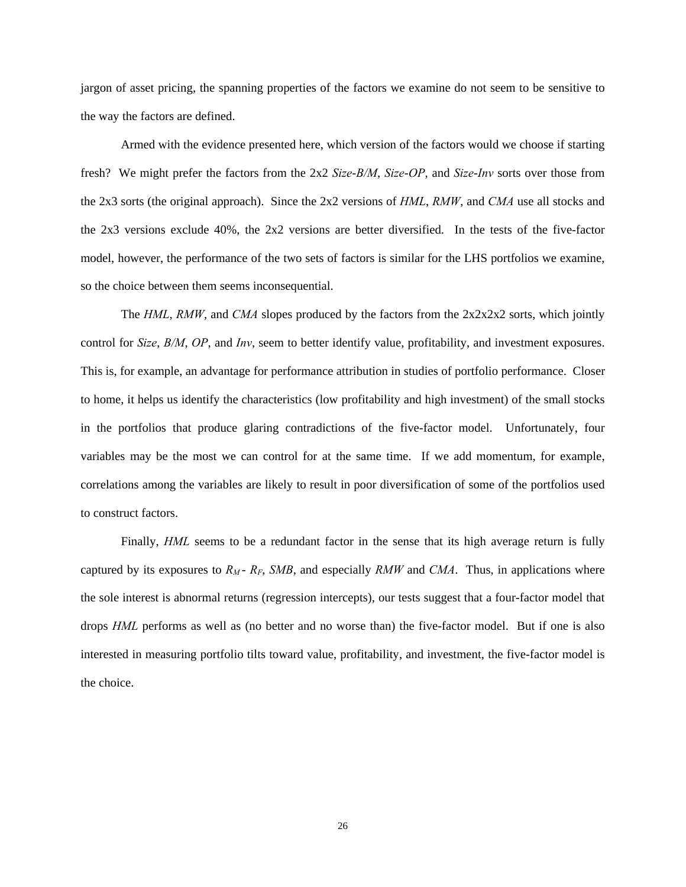jargon of asset pricing, the spanning properties of the factors we examine do not seem to be sensitive to the way the factors are defined.

 Armed with the evidence presented here, which version of the factors would we choose if starting fresh? We might prefer the factors from the 2x2 *Size*-*B/M*, *Size*-*OP*, and *Size*-*Inv* sorts over those from the 2x3 sorts (the original approach). Since the 2x2 versions of *HML*, *RMW*, and *CMA* use all stocks and the 2x3 versions exclude 40%, the 2x2 versions are better diversified. In the tests of the five-factor model, however, the performance of the two sets of factors is similar for the LHS portfolios we examine, so the choice between them seems inconsequential.

The *HML*, *RMW*, and *CMA* slopes produced by the factors from the 2x2x2x2 sorts, which jointly control for *Size*, *B/M*, *OP*, and *Inv*, seem to better identify value, profitability, and investment exposures. This is, for example, an advantage for performance attribution in studies of portfolio performance. Closer to home, it helps us identify the characteristics (low profitability and high investment) of the small stocks in the portfolios that produce glaring contradictions of the five-factor model. Unfortunately, four variables may be the most we can control for at the same time. If we add momentum, for example, correlations among the variables are likely to result in poor diversification of some of the portfolios used to construct factors.

Finally, *HML* seems to be a redundant factor in the sense that its high average return is fully captured by its exposures to  $R_M$ -  $R_F$ , *SMB*, and especially *RMW* and *CMA*. Thus, in applications where the sole interest is abnormal returns (regression intercepts), our tests suggest that a four-factor model that drops *HML* performs as well as (no better and no worse than) the five-factor model. But if one is also interested in measuring portfolio tilts toward value, profitability, and investment, the five-factor model is the choice.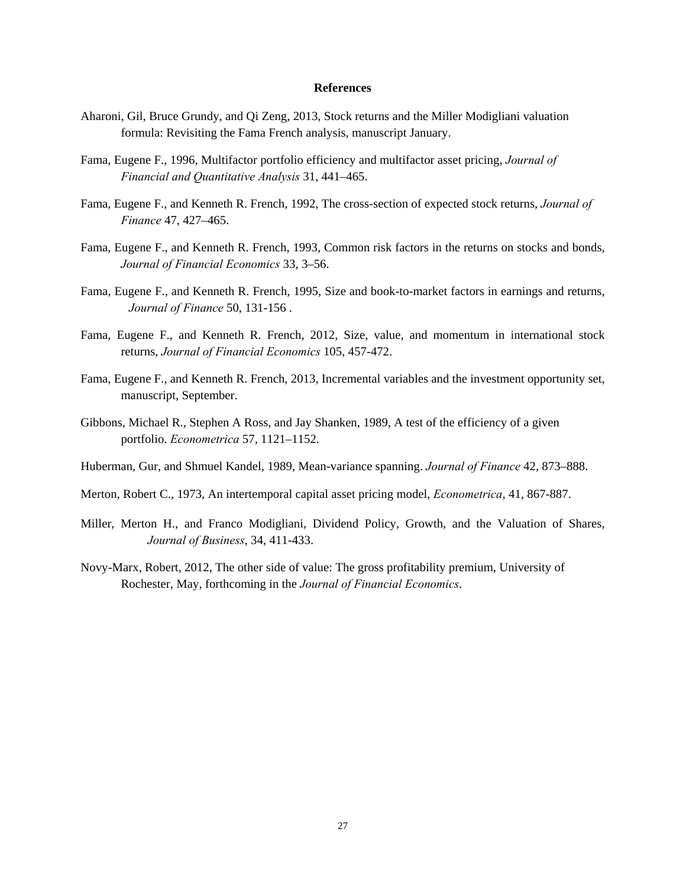#### **References**

- Aharoni, Gil, Bruce Grundy, and Qi Zeng, 2013, Stock returns and the Miller Modigliani valuation formula: Revisiting the Fama French analysis, manuscript January.
- Fama, Eugene F., 1996, Multifactor portfolio efficiency and multifactor asset pricing, *Journal of Financial and Quantitative Analysis* 31, 441–465.
- Fama, Eugene F., and Kenneth R. French, 1992, The cross-section of expected stock returns, *Journal of Finance* 47, 427–465.
- Fama, Eugene F., and Kenneth R. French, 1993, Common risk factors in the returns on stocks and bonds, *Journal of Financial Economics* 33, 3–56.
- Fama, Eugene F., and Kenneth R. French, 1995, Size and book-to-market factors in earnings and returns, *Journal of Finance* 50, 131-156 .
- Fama, Eugene F., and Kenneth R. French, 2012, Size, value, and momentum in international stock returns, *Journal of Financial Economics* 105, 457-472.
- Fama, Eugene F., and Kenneth R. French, 2013, Incremental variables and the investment opportunity set, manuscript, September.
- Gibbons, Michael R., Stephen A Ross, and Jay Shanken, 1989, A test of the efficiency of a given portfolio. *Econometrica* 57, 1121–1152.
- Huberman, Gur, and Shmuel Kandel, 1989, Mean-variance spanning. *Journal of Finance* 42, 873–888.
- Merton, Robert C., 1973, An intertemporal capital asset pricing model, *Econometrica*, 41, 867-887.
- Miller, Merton H., and Franco Modigliani, Dividend Policy, Growth, and the Valuation of Shares, *Journal of Business*, 34, 411-433.
- Novy-Marx, Robert, 2012, The other side of value: The gross profitability premium, University of Rochester, May, forthcoming in the *Journal of Financial Economics*.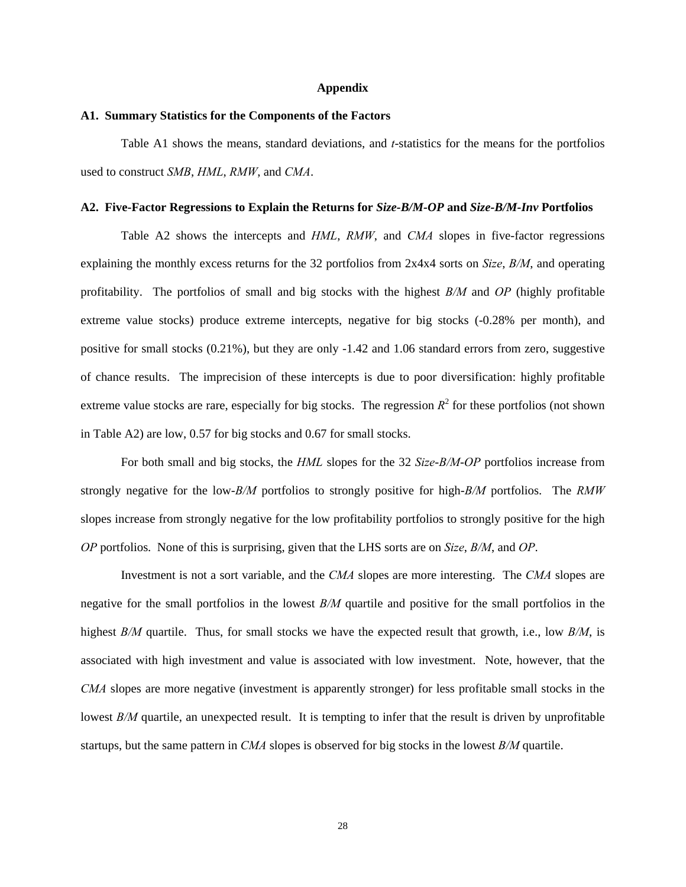#### **Appendix**

#### **A1. Summary Statistics for the Components of the Factors**

 Table A1 shows the means, standard deviations, and *t*-statistics for the means for the portfolios used to construct *SMB*, *HML*, *RMW*, and *CMA*.

#### **A2. Five-Factor Regressions to Explain the Returns for** *Size-B/M-OP* **and** *Size-B/M-Inv* **Portfolios**

 Table A2 shows the intercepts and *HML*, *RMW*, and *CMA* slopes in five-factor regressions explaining the monthly excess returns for the 32 portfolios from 2x4x4 sorts on *Size*, *B/M*, and operating profitability. The portfolios of small and big stocks with the highest *B/M* and *OP* (highly profitable extreme value stocks) produce extreme intercepts, negative for big stocks (-0.28% per month), and positive for small stocks (0.21%), but they are only -1.42 and 1.06 standard errors from zero, suggestive of chance results. The imprecision of these intercepts is due to poor diversification: highly profitable extreme value stocks are rare, especially for big stocks. The regression  $R^2$  for these portfolios (not shown in Table A2) are low, 0.57 for big stocks and 0.67 for small stocks.

 For both small and big stocks, the *HML* slopes for the 32 *Size*-*B/M*-*OP* portfolios increase from strongly negative for the low-*B/M* portfolios to strongly positive for high-*B/M* portfolios. The *RMW* slopes increase from strongly negative for the low profitability portfolios to strongly positive for the high *OP* portfolios. None of this is surprising, given that the LHS sorts are on *Size*, *B/M*, and *OP*.

Investment is not a sort variable, and the *CMA* slopes are more interesting. The *CMA* slopes are negative for the small portfolios in the lowest *B/M* quartile and positive for the small portfolios in the highest *B/M* quartile. Thus, for small stocks we have the expected result that growth, i.e., low *B/M*, is associated with high investment and value is associated with low investment. Note, however, that the *CMA* slopes are more negative (investment is apparently stronger) for less profitable small stocks in the lowest *B/M* quartile, an unexpected result. It is tempting to infer that the result is driven by unprofitable startups, but the same pattern in *CMA* slopes is observed for big stocks in the lowest *B/M* quartile.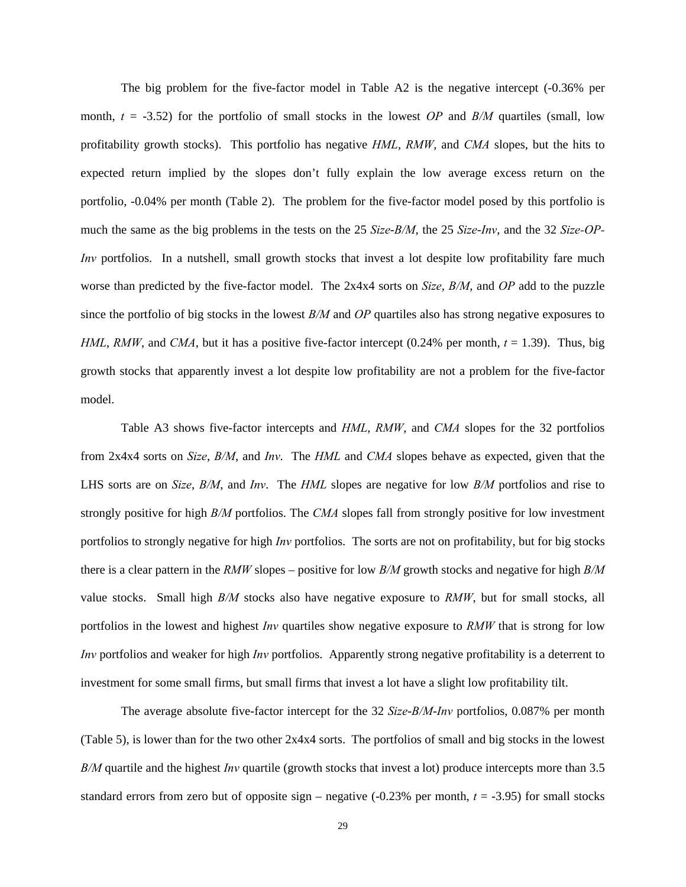The big problem for the five-factor model in Table A2 is the negative intercept (-0.36% per month,  $t = -3.52$ ) for the portfolio of small stocks in the lowest *OP* and *B/M* quartiles (small, low profitability growth stocks). This portfolio has negative *HML*, *RMW*, and *CMA* slopes, but the hits to expected return implied by the slopes don't fully explain the low average excess return on the portfolio, -0.04% per month (Table 2). The problem for the five-factor model posed by this portfolio is much the same as the big problems in the tests on the 25 *Size*-*B/M*, the 25 *Size*-*Inv*, and the 32 *Size-OP-Inv* portfolios. In a nutshell, small growth stocks that invest a lot despite low profitability fare much worse than predicted by the five-factor model. The 2x4x4 sorts on *Size*, *B/M*, and *OP* add to the puzzle since the portfolio of big stocks in the lowest *B/M* and *OP* quartiles also has strong negative exposures to *HML*, *RMW*, and *CMA*, but it has a positive five-factor intercept (0.24% per month,  $t = 1.39$ ). Thus, big growth stocks that apparently invest a lot despite low profitability are not a problem for the five-factor model.

 Table A3 shows five-factor intercepts and *HML*, *RMW*, and *CMA* slopes for the 32 portfolios from 2x4x4 sorts on *Size*, *B/M*, and *Inv*. The *HML* and *CMA* slopes behave as expected, given that the LHS sorts are on *Size*, *B/M*, and *Inv*. The *HML* slopes are negative for low *B/M* portfolios and rise to strongly positive for high *B/M* portfolios. The *CMA* slopes fall from strongly positive for low investment portfolios to strongly negative for high *Inv* portfolios. The sorts are not on profitability, but for big stocks there is a clear pattern in the *RMW* slopes – positive for low *B/M* growth stocks and negative for high *B/M* value stocks. Small high *B/M* stocks also have negative exposure to *RMW*, but for small stocks, all portfolios in the lowest and highest *Inv* quartiles show negative exposure to *RMW* that is strong for low *Inv* portfolios and weaker for high *Inv* portfolios. Apparently strong negative profitability is a deterrent to investment for some small firms, but small firms that invest a lot have a slight low profitability tilt.

The average absolute five-factor intercept for the 32 *Size*-*B/M*-*Inv* portfolios, 0.087% per month (Table 5), is lower than for the two other 2x4x4 sorts. The portfolios of small and big stocks in the lowest *B/M* quartile and the highest *Inv* quartile (growth stocks that invest a lot) produce intercepts more than 3.5 standard errors from zero but of opposite sign – negative  $(-0.23\%$  per month,  $t = -3.95$ ) for small stocks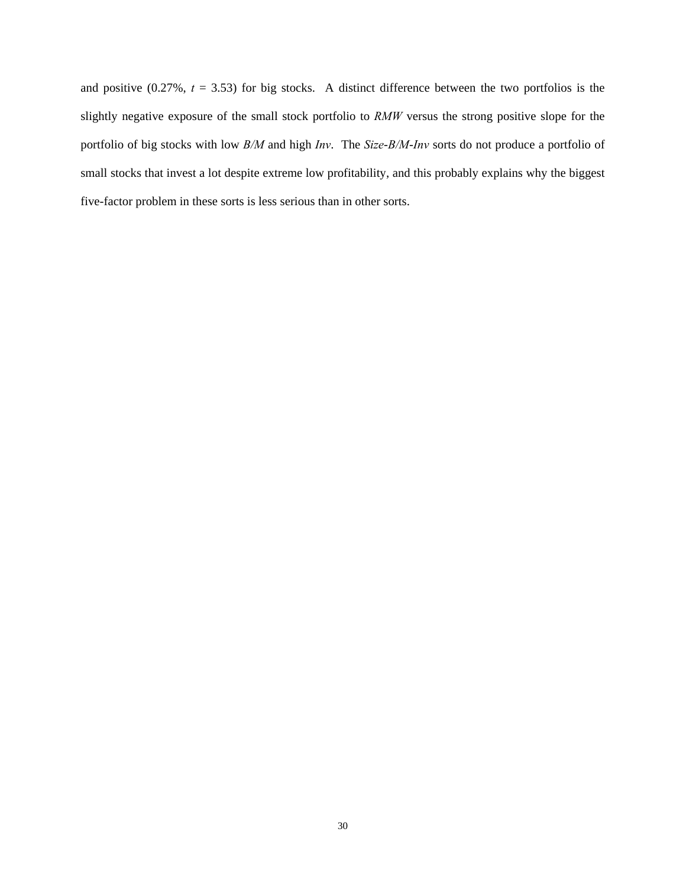and positive  $(0.27\%, t = 3.53)$  for big stocks. A distinct difference between the two portfolios is the slightly negative exposure of the small stock portfolio to *RMW* versus the strong positive slope for the portfolio of big stocks with low *B/M* and high *Inv*. The *Size*-*B/M*-*Inv* sorts do not produce a portfolio of small stocks that invest a lot despite extreme low profitability, and this probably explains why the biggest five-factor problem in these sorts is less serious than in other sorts.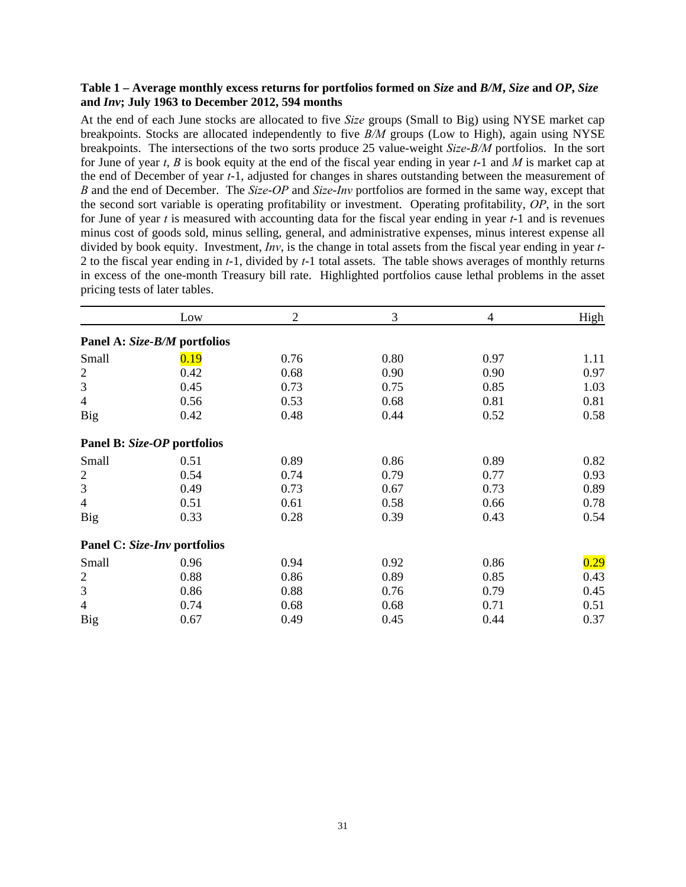## **Table 1 – Average monthly excess returns for portfolios formed on** *Size* **and** *B/M***,** *Size* **and** *OP***,** *Size*  **and** *Inv***; July 1963 to December 2012, 594 months**

At the end of each June stocks are allocated to five *Size* groups (Small to Big) using NYSE market cap breakpoints. Stocks are allocated independently to five *B/M* groups (Low to High), again using NYSE breakpoints. The intersections of the two sorts produce 25 value-weight *Size*-*B/M* portfolios. In the sort for June of year *t*, *B* is book equity at the end of the fiscal year ending in year *t*-1 and *M* is market cap at the end of December of year *t*-1, adjusted for changes in shares outstanding between the measurement of *B* and the end of December. The *Size*-*OP* and *Size*-*Inv* portfolios are formed in the same way, except that the second sort variable is operating profitability or investment. Operating profitability, *OP*, in the sort for June of year *t* is measured with accounting data for the fiscal year ending in year *t*-1 and is revenues minus cost of goods sold, minus selling, general, and administrative expenses, minus interest expense all divided by book equity. Investment, *Inv*, is the change in total assets from the fiscal year ending in year *t*-2 to the fiscal year ending in *t*-1, divided by *t*-1 total assets. The table shows averages of monthly returns in excess of the one-month Treasury bill rate. Highlighted portfolios cause lethal problems in the asset pricing tests of later tables.

|                  | Low                          | $\overline{2}$ | 3    | 4    | High |
|------------------|------------------------------|----------------|------|------|------|
|                  | Panel A: Size-B/M portfolios |                |      |      |      |
| Small            | 0.19                         | 0.76           | 0.80 | 0.97 | 1.11 |
| $\boldsymbol{2}$ | 0.42                         | 0.68           | 0.90 | 0.90 | 0.97 |
| $\mathfrak{Z}$   | 0.45                         | 0.73           | 0.75 | 0.85 | 1.03 |
| $\overline{4}$   | 0.56                         | 0.53           | 0.68 | 0.81 | 0.81 |
| Big              | 0.42                         | 0.48           | 0.44 | 0.52 | 0.58 |
|                  | Panel B: Size-OP portfolios  |                |      |      |      |
| Small            | 0.51                         | 0.89           | 0.86 | 0.89 | 0.82 |
| $\overline{c}$   | 0.54                         | 0.74           | 0.79 | 0.77 | 0.93 |
| 3                | 0.49                         | 0.73           | 0.67 | 0.73 | 0.89 |
| $\overline{4}$   | 0.51                         | 0.61           | 0.58 | 0.66 | 0.78 |
| Big              | 0.33                         | 0.28           | 0.39 | 0.43 | 0.54 |
|                  | Panel C: Size-Inv portfolios |                |      |      |      |
| Small            | 0.96                         | 0.94           | 0.92 | 0.86 | 0.29 |
| $\overline{c}$   | 0.88                         | 0.86           | 0.89 | 0.85 | 0.43 |
| 3                | 0.86                         | 0.88           | 0.76 | 0.79 | 0.45 |
| $\overline{4}$   | 0.74                         | 0.68           | 0.68 | 0.71 | 0.51 |
| Big              | 0.67                         | 0.49           | 0.45 | 0.44 | 0.37 |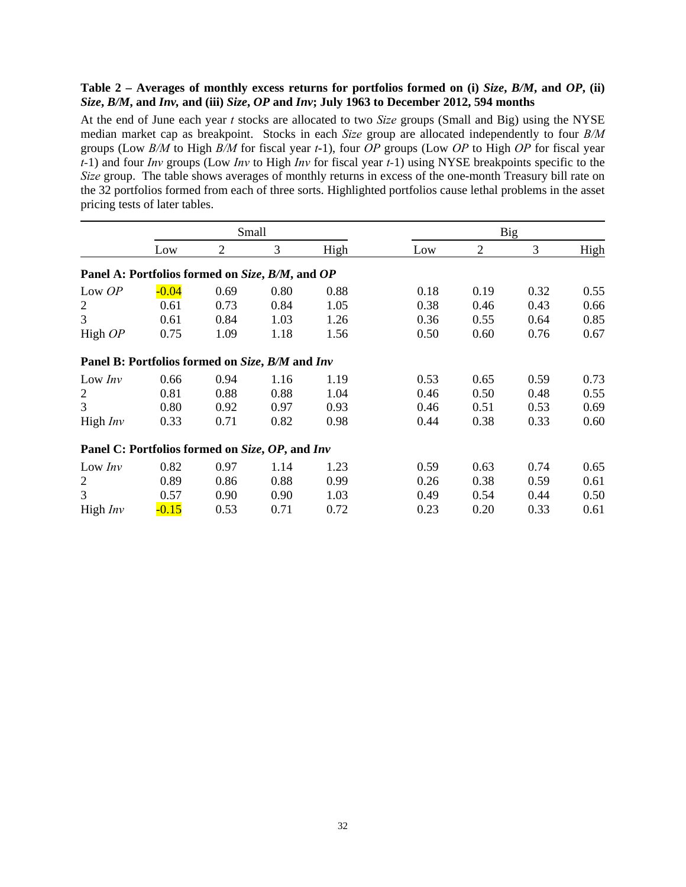## **Table 2 – Averages of monthly excess returns for portfolios formed on (i)** *Size***,** *B/M***, and** *OP***, (ii)**  *Size***,** *B/M***, and** *Inv,* **and (iii)** *Size***,** *OP* **and** *Inv***; July 1963 to December 2012, 594 months**

At the end of June each year *t* stocks are allocated to two *Size* groups (Small and Big) using the NYSE median market cap as breakpoint. Stocks in each *Size* group are allocated independently to four *B/M* groups (Low *B/M* to High *B/M* for fiscal year *t*-1), four *OP* groups (Low *OP* to High *OP* for fiscal year *t-*1) and four *Inv* groups (Low *Inv* to High *Inv* for fiscal year *t-*1) using NYSE breakpoints specific to the *Size* group. The table shows averages of monthly returns in excess of the one-month Treasury bill rate on the 32 portfolios formed from each of three sorts. Highlighted portfolios cause lethal problems in the asset pricing tests of later tables.

|                                                 |         | Small          |      |      |      |                | <b>Big</b> |      |  |
|-------------------------------------------------|---------|----------------|------|------|------|----------------|------------|------|--|
|                                                 | Low     | $\overline{2}$ | 3    | High | Low  | $\overline{2}$ | 3          | High |  |
| Panel A: Portfolios formed on Size, B/M, and OP |         |                |      |      |      |                |            |      |  |
| Low OP                                          | $-0.04$ | 0.69           | 0.80 | 0.88 | 0.18 | 0.19           | 0.32       | 0.55 |  |
| $\overline{c}$                                  | 0.61    | 0.73           | 0.84 | 1.05 | 0.38 | 0.46           | 0.43       | 0.66 |  |
| 3                                               | 0.61    | 0.84           | 1.03 | 1.26 | 0.36 | 0.55           | 0.64       | 0.85 |  |
| High OP                                         | 0.75    | 1.09           | 1.18 | 1.56 | 0.50 | 0.60           | 0.76       | 0.67 |  |
| Panel B: Portfolios formed on Size, B/M and Inv |         |                |      |      |      |                |            |      |  |
| Low Inv                                         | 0.66    | 0.94           | 1.16 | 1.19 | 0.53 | 0.65           | 0.59       | 0.73 |  |
| $\overline{2}$                                  | 0.81    | 0.88           | 0.88 | 1.04 | 0.46 | 0.50           | 0.48       | 0.55 |  |
| 3                                               | 0.80    | 0.92           | 0.97 | 0.93 | 0.46 | 0.51           | 0.53       | 0.69 |  |
| High $Inv$                                      | 0.33    | 0.71           | 0.82 | 0.98 | 0.44 | 0.38           | 0.33       | 0.60 |  |
| Panel C: Portfolios formed on Size, OP, and Inv |         |                |      |      |      |                |            |      |  |
| Low Inv                                         | 0.82    | 0.97           | 1.14 | 1.23 | 0.59 | 0.63           | 0.74       | 0.65 |  |
| $\overline{2}$                                  | 0.89    | 0.86           | 0.88 | 0.99 | 0.26 | 0.38           | 0.59       | 0.61 |  |
| 3                                               | 0.57    | 0.90           | 0.90 | 1.03 | 0.49 | 0.54           | 0.44       | 0.50 |  |
| High $Inv$                                      | $-0.15$ | 0.53           | 0.71 | 0.72 | 0.23 | 0.20           | 0.33       | 0.61 |  |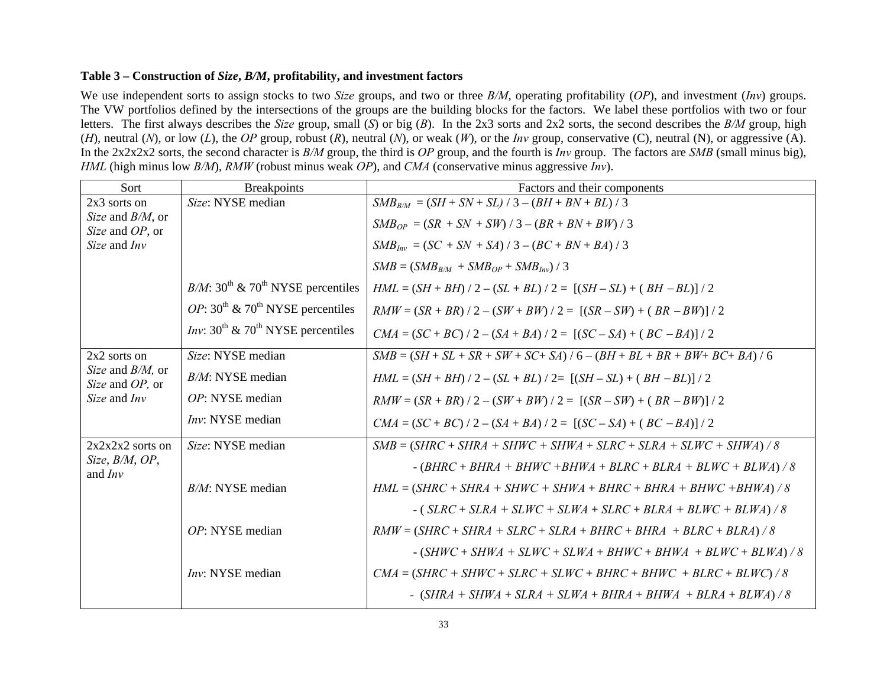## **Table 3 – Construction of** *Size***,** *B/M***, profitability, and investment factors**

We use independent sorts to assign stocks to two *Size* groups, and two or three *B/M*, operating profitability (*OP*), and investment (*Inv*) groups. The VW portfolios defined by the intersections of the groups are the building blocks for the factors. We label these portfolios with two or four letters. The first always describes the *Size* group, small (*S*) or big (*B*). In the 2x3 sorts and 2x2 sorts, the second describes the *B/M* group, high (*H*), neutral (*N*), or low (*L*), the *OP* group, robust (*R*), neutral (*N*), or weak (*W*), or the *Inv* group, conservative (C), neutral (N), or aggressive (A). In the 2x2x2x2 sorts, the second character is *B/M* group, the third is *OP* group, and the fourth is *Inv* group. The factors are *SMB* (small minus big), *HML* (high minus low *B/M*), *RMW* (robust minus weak *OP*), and *CMA* (conservative minus aggressive *Inv*).

| Sort                                   | <b>Breakpoints</b>                                           | Factors and their components                                                  |
|----------------------------------------|--------------------------------------------------------------|-------------------------------------------------------------------------------|
| $2x3$ sorts on                         | Size: NYSE median                                            | $SMB_{B/M} = (SH + SN + SL)/3 - (BH + BN + BL)/3$                             |
| Size and B/M, or<br>Size and OP, or    |                                                              | $SMB_{OP} = (SR + SN + SW) / 3 - (BR + BN + BW) / 3$                          |
| Size and Inv                           |                                                              | $SMB_{Inv} = (SC + SN + SA)/3 - (BC + BN + BA)/3$                             |
|                                        |                                                              | $SMB = (SMB_{B/M} + SMB_{OP} + SMB_{Inv})/3$                                  |
|                                        | $B/M$ : 30 <sup>th</sup> & 70 <sup>th</sup> NYSE percentiles | $HML = (SH + BH) / 2 - (SL + BL) / 2 = [(SH - SL) + (BH - BL) / 2]$           |
|                                        | <i>OP</i> : $30^{th}$ & $70^{th}$ NYSE percentiles           | $RMW = (SR + BR) / 2 - (SW + BW) / 2 = [(SR - SW) + (BR - BW) / 2]$           |
|                                        | <i>Inv</i> : $30^{th}$ & $70^{th}$ NYSE percentiles          | $CMA = (SC + BC) / 2 - (SA + BA) / 2 = [(SC - SA) + (BC - BA)] / 2$           |
| 2x2 sorts on                           | Size: NYSE median                                            | $SMB = (SH + SL + SR + SW + SC + SA) / 6 - (BH + BL + BR + BW + BC + BA) / 6$ |
| Size and $B/M$ , or<br>Size and OP, or | $B/M$ : NYSE median                                          | $HML = (SH + BH) / 2 - (SL + BL) / 2 = [(SH - SL) + (BH - BL) / 2]$           |
| <i>Size</i> and <i>Inv</i>             | OP: NYSE median                                              | $RMW = (SR + BR) / 2 - (SW + BW) / 2 = [(SR - SW) + (BR - BW) / 2$            |
|                                        | Inv: NYSE median                                             | $CMA = (SC + BC)/2 - (SA + BA)/2 = [(SC - SA) + (BC - BA)/2]$                 |
| $2x2x2x2$ sorts on                     | Size: NYSE median                                            | $SMB = (SHRC + SHRA + SHWC + SHWA + SLRC + SLRA + SLWC + SHWA) / 8$           |
| Size, B/M, OP,<br>and $Inv$            |                                                              | $-$ (BHRC + BHRA + BHWC +BHWA + BLRC + BLRA + BLWC + BLWA) / 8                |
|                                        | $B/M$ : NYSE median                                          | $HML = (SHRC + SHRA + SHWC + SHWA + BHRC + BHRA + BHWC + BHWA)$ / 8           |
|                                        |                                                              | $-$ (SLRC + SLRA + SLWC + SLWA + SLRC + BLRA + BLWC + BLWA) / 8               |
|                                        | OP: NYSE median                                              | $RMW = (SHRC + SHRA + SLRC + SLRA + BHRC + BHRA + BLRC + BLRA) / 8$           |
|                                        |                                                              | $-$ (SHWC + SHWA + SLWC + SLWA + BHWC + BHWA + BLWC + BLWA) / 8               |
|                                        | Inv: NYSE median                                             | $CMA = (SHRC + SHWC + SLRC + SLWC + BHRC + BHWC + BLRC + BLWC) / 8$           |
|                                        |                                                              | - $(SHRA + SHWA + SLRA + SLWA + BHRA + BHWA + BLRA + BLWA) / 8$               |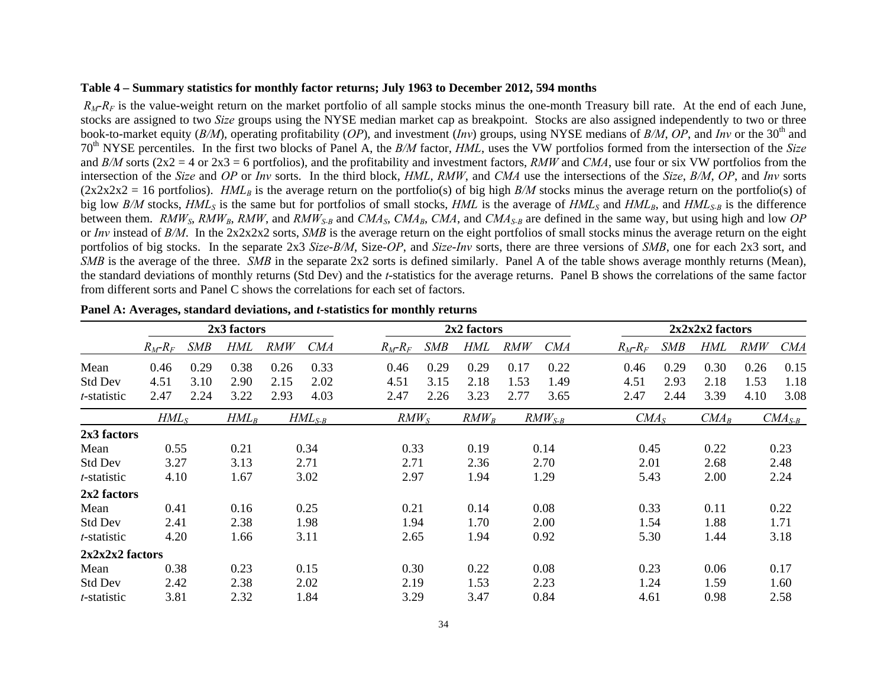## **Table 4 – Summary statistics for monthly factor returns; July 1963 to December 2012, 594 months**

 $R_M-R_F$  is the value-weight return on the market portfolio of all sample stocks minus the one-month Treasury bill rate. At the end of each June, stocks are assigned to two *Size* groups using the NYSE median market cap as breakpoint. Stocks are also assigned independently to two or three book-to-market equity (*B/M*), operating profitability (*OP*), and investment (*Inv*) groups, using NYSE medians of *B/M*, *OP*, and *Inv* or the 30<sup>th</sup> and <sup>70</sup>th NYSE percentiles. In the first two blocks of Panel A, the *B/M* factor, *HML*, uses the VW portfolios formed from the intersection of the *Size* and  $B/M$  sorts ( $2x2 = 4$  or  $2x3 = 6$  portfolios), and the profitability and investment factors,  $RMW$  and  $CMA$ , use four or six VW portfolios from the intersection of the *Size* and *OP* or *Inv* sorts. In the third block, *HML*, *RMW*, and *CMA* use the intersections of the *Size*, *B/M*, *OP*, and *Inv* sorts  $(2x2x2x2 = 16$  portfolios). *HML<sub>B</sub>* is the average return on the portfolio(s) of big high *B/M* stocks minus the average return on the portfolio(s) of big low  $B/M$  stocks,  $HML_S$  is the same but for portfolios of small stocks,  $HML$  is the average of  $HML_S$  and  $HML_B$ , and  $HML_{S-B}$  is the difference between them. *RMW<sub>S</sub>*, *RMW<sub>B</sub>*, *RMW*, and *RMW<sub>S-B</sub>* and *CMA<sub>S</sub>*, *CMA<sub>B</sub>*, *CMA*, and *CMA<sub>S-B</sub>* are defined in the same way, but using high and low *OP* or *Inv* instead of *B/M*. In the 2x2x2x2 sorts, *SMB* is the average return on the eight portfolios of small stocks minus the average return on the eight portfolios of big stocks. In the separate 2x3 *Size*-*B/M*, Size-*OP*, and *Size*-*Inv* sorts, there are three versions of *SMB*, one for each 2x3 sort, and *SMB* is the average of the three. *SMB* in the separate 2x2 sorts is defined similarly. Panel A of the table shows average monthly returns (Mean), the standard deviations of monthly returns (Std Dev) and the *t*-statistics for the average returns. Panel B shows the correlations of the same factor from different sorts and Panel C shows the correlations for each set of factors.

|                     |               |            | 2x3 factors |            |             | 2x2 factors |                  |            |            |             | $2x2x2x2$ factors |            |         |            |             |
|---------------------|---------------|------------|-------------|------------|-------------|-------------|------------------|------------|------------|-------------|-------------------|------------|---------|------------|-------------|
|                     | $R_M$ - $R_F$ | <b>SMB</b> | HML         | <b>RMW</b> | <b>CMA</b>  | $R_M-R_F$   | <b>SMB</b>       | <b>HML</b> | <b>RMW</b> | <i>CMA</i>  | $R_M$ - $R_F$     | <b>SMB</b> | HML     | <b>RMW</b> | <b>CMA</b>  |
| Mean                | 0.46          | 0.29       | 0.38        | 0.26       | 0.33        | 0.46        | 0.29             | 0.29       | 0.17       | 0.22        | 0.46              | 0.29       | 0.30    | 0.26       | 0.15        |
| <b>Std Dev</b>      | 4.51          | 3.10       | 2.90        | 2.15       | 2.02        | 4.51        | 3.15             | 2.18       | 1.53       | 1.49        | 4.51              | 2.93       | 2.18    | 1.53       | 1.18        |
| t-statistic         | 2.47          | 2.24       | 3.22        | 2.93       | 4.03        | 2.47        | 2.26             | 3.23       | 2.77       | 3.65        | 2.47              | 2.44       | 3.39    | 4.10       | 3.08        |
|                     | $HML_S$       |            | $HML_B$     |            | $HML_{S-B}$ |             | RMW <sub>S</sub> | $RMW_B$    |            | $RMW_{S-B}$ | CMA <sub>S</sub>  |            | $CMA_B$ |            | $CMA_{S-B}$ |
| 2x3 factors         |               |            |             |            |             |             |                  |            |            |             |                   |            |         |            |             |
| Mean                | 0.55          |            | 0.21        |            | 0.34        |             | 0.33             | 0.19       |            | 0.14        | 0.45              |            | 0.22    |            | 0.23        |
| <b>Std Dev</b>      | 3.27          |            | 3.13        |            | 2.71        |             | 2.71             | 2.36       |            | 2.70        | 2.01              |            | 2.68    |            | 2.48        |
| t-statistic         | 4.10          |            | 1.67        |            | 3.02        |             | 2.97             | 1.94       |            | 1.29        | 5.43              |            | 2.00    |            | 2.24        |
| 2x2 factors         |               |            |             |            |             |             |                  |            |            |             |                   |            |         |            |             |
| Mean                | 0.41          |            | 0.16        |            | 0.25        |             | 0.21             | 0.14       |            | 0.08        | 0.33              |            | 0.11    |            | 0.22        |
| <b>Std Dev</b>      | 2.41          |            | 2.38        |            | 1.98        |             | 1.94             | 1.70       |            | 2.00        | 1.54              |            | 1.88    |            | 1.71        |
| t-statistic         | 4.20          |            | 1.66        |            | 3.11        |             | 2.65             | 1.94       |            | 0.92        | 5.30              |            | 1.44    |            | 3.18        |
| $2x2x2x2$ factors   |               |            |             |            |             |             |                  |            |            |             |                   |            |         |            |             |
| Mean                | 0.38          |            | 0.23        |            | 0.15        |             | 0.30             | 0.22       |            | 0.08        | 0.23              |            | 0.06    |            | 0.17        |
| <b>Std Dev</b>      | 2.42          |            | 2.38        |            | 2.02        |             | 2.19             | 1.53       |            | 2.23        | 1.24              |            | 1.59    |            | 1.60        |
| <i>t</i> -statistic | 3.81          |            | 2.32        |            | 1.84        |             | 3.29             | 3.47       |            | 0.84        | 4.61              |            | 0.98    |            | 2.58        |

| Panel A: Averages, standard deviations, and <i>t</i> -statistics for monthly returns |  |  |
|--------------------------------------------------------------------------------------|--|--|
|                                                                                      |  |  |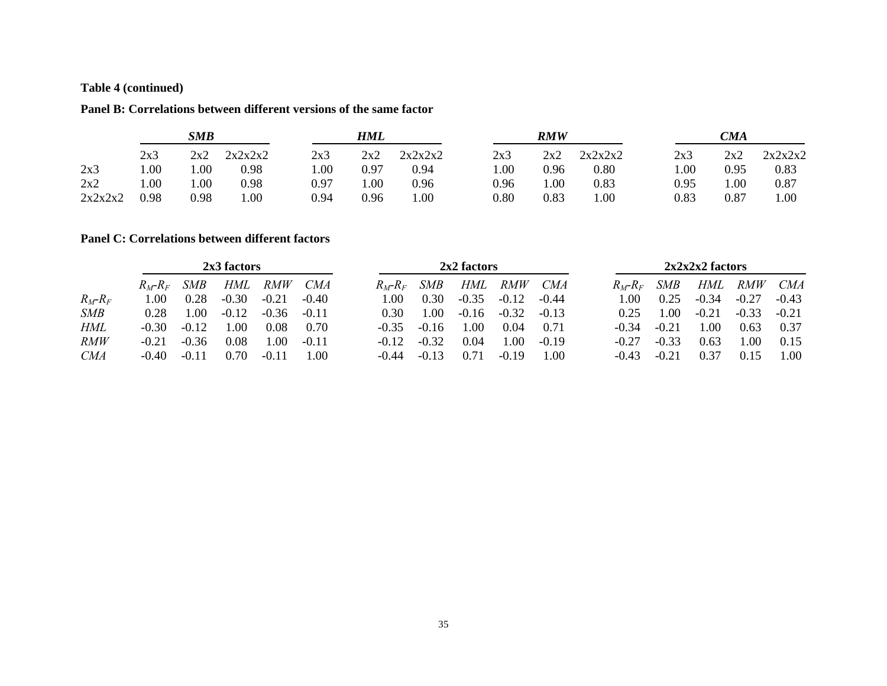# **Table 4 (continued)**

#### **Panel B: Correlations between different versions of the same factor**

|         | <b>SMB</b> |      |         | HML  |      |         | <b>RMW</b> |      |         | CMA  |            |         |  |
|---------|------------|------|---------|------|------|---------|------------|------|---------|------|------------|---------|--|
|         | 2x3        | 2x2  | 2x2x2x2 | 2x3  | 2x2  | 2x2x2x2 | 2x3        | 2x2  | 2x2x2x2 | 2x3  | 2x2        | 2x2x2x2 |  |
| 2x3     | 00.        | .00  | 0.98    | .00  | 0.97 | 0.94    | .00.       | 0.96 | 0.80    | 00.1 | 0.95       | 0.83    |  |
| 2x2     | 00.1       | .00  | 0.98    | 0.97 | 00.1 | 0.96    | 0.96       | 00.1 | 0.83    | 0.95 | $1.00\,$   | 0.87    |  |
| 2x2x2x2 | 0.98       | 0.98 | 00.1    | 0.94 | 0.96 | .00.    | 0.80       | 0.83 | 00.1    | 0.83 | $\rm 0.87$ | 00.1    |  |

#### **Panel C: Correlations between different factors**

|            | 2x3 factors   |            |         |            |            | 2x2 factors   |            |         |         |         | $2x2x2x2$ factors |         |         |            |         |
|------------|---------------|------------|---------|------------|------------|---------------|------------|---------|---------|---------|-------------------|---------|---------|------------|---------|
|            | $R_M$ - $R_F$ | <i>SMB</i> | HML     | <i>RMW</i> | <i>CMA</i> | $R_M$ - $R_F$ | <b>SMB</b> | HML     | RMW     | CMA     | $R_M-R_F$         | SMB     | HML     | <i>RMW</i> | CMA     |
| $R_M-R_F$  | 1.00.         | 0.28       | $-0.30$ | $-0.21$    | $-0.40$    | .00           | 0.30       | $-0.35$ | $-0.12$ | $-0.44$ | LOO.              | 0.25    | $-0.34$ | $-0.27$    | $-0.43$ |
| <b>SMB</b> | 0.28          | .00.       | $-0.12$ | $-0.36$    | $-0.11$    | 0.30          | .00.       | $-0.16$ | $-0.32$ | $-0.13$ | 0.25              | 1.00    | $-0.21$ | $-0.33$    | $-0.21$ |
| <b>HML</b> | -0.30         | $-0.12$    | .00     | 0.08       | 0.70       | $-0.35$       | $-0.16$    | 00.1    | 0.04    | 0.71    | $-0.34$           | $-0.21$ | .00     | 0.63       | 0.37    |
| RMW        | $-0.21$       | $-0.36$    | 0.08    | .00.       | $-0.11$    | $-0.12$       | $-0.32$    | 0.04    | 1.00    | $-0.19$ | $-0.27$           | $-0.33$ | 0.63    | .00        | 0.15    |
| <i>CMA</i> | $-0.40$       | $-011$     | 0.70    | $-0.11$    | .00        | -0 44         | $-0.13$    | O 71    | $-0.19$ | 00.     | -0.43             | $-0.21$ | 0.37    | 0.15       | .00     |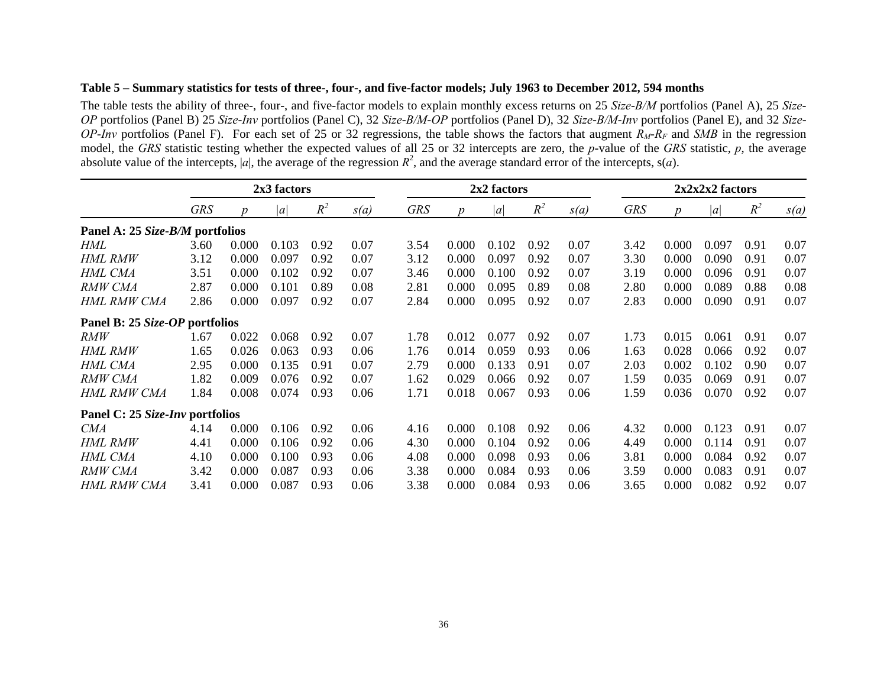## **Table 5 – Summary statistics for tests of three-, four-, and five-factor models; July 1963 to December 2012, 594 months**

The table tests the ability of three-, four-, and five-factor models to explain monthly excess returns on 25 *Size*-*B/M* portfolios (Panel A), 25 *Size*-*OP* portfolios (Panel B) 25 *Size*-*Inv* portfolios (Panel C), 32 *Size*-*B/M*-*OP* portfolios (Panel D), 32 *Size*-*B/M*-*Inv* portfolios (Panel E), and 32 *Size*-*OP*-*Inv* portfolios (Panel F). For each set of 25 or 32 regressions, the table shows the factors that augment *RM*-*RF* and *SMB* in the regression model, the *GRS* statistic testing whether the expected values of all 25 or 32 intercepts are zero, the *p*-value of the *GRS* statistic, *p*, the average absolute value of the intercepts,  $|a|$ , the average of the regression  $R^2$ , and the average standard error of the intercepts,  $s(a)$ .

|                                 | 2x3 factors |       |       | 2x2 factors |      |            |       |       | $2x2x2x2$ factors |      |            |       |       |       |      |
|---------------------------------|-------------|-------|-------|-------------|------|------------|-------|-------|-------------------|------|------------|-------|-------|-------|------|
|                                 | <b>GRS</b>  |       | a     | $R^2$       | s(a) | <b>GRS</b> |       | a     | $R^2$             | s(a) | <b>GRS</b> | D     | a     | $R^2$ | s(a) |
| Panel A: 25 Size-B/M portfolios |             |       |       |             |      |            |       |       |                   |      |            |       |       |       |      |
| HML                             | 3.60        | 0.000 | 0.103 | 0.92        | 0.07 | 3.54       | 0.000 | 0.102 | 0.92              | 0.07 | 3.42       | 0.000 | 0.097 | 0.91  | 0.07 |
| <b>HML RMW</b>                  | 3.12        | 0.000 | 0.097 | 0.92        | 0.07 | 3.12       | 0.000 | 0.097 | 0.92              | 0.07 | 3.30       | 0.000 | 0.090 | 0.91  | 0.07 |
| HML CMA                         | 3.51        | 0.000 | 0.102 | 0.92        | 0.07 | 3.46       | 0.000 | 0.100 | 0.92              | 0.07 | 3.19       | 0.000 | 0.096 | 0.91  | 0.07 |
| RMW CMA                         | 2.87        | 0.000 | 0.101 | 0.89        | 0.08 | 2.81       | 0.000 | 0.095 | 0.89              | 0.08 | 2.80       | 0.000 | 0.089 | 0.88  | 0.08 |
| HML RMW CMA                     | 2.86        | 0.000 | 0.097 | 0.92        | 0.07 | 2.84       | 0.000 | 0.095 | 0.92              | 0.07 | 2.83       | 0.000 | 0.090 | 0.91  | 0.07 |
| Panel B: 25 Size-OP portfolios  |             |       |       |             |      |            |       |       |                   |      |            |       |       |       |      |
| RMW                             | 1.67        | 0.022 | 0.068 | 0.92        | 0.07 | 1.78       | 0.012 | 0.077 | 0.92              | 0.07 | 1.73       | 0.015 | 0.061 | 0.91  | 0.07 |
| HML RMW                         | 1.65        | 0.026 | 0.063 | 0.93        | 0.06 | 1.76       | 0.014 | 0.059 | 0.93              | 0.06 | 1.63       | 0.028 | 0.066 | 0.92  | 0.07 |
| HML CMA                         | 2.95        | 0.000 | 0.135 | 0.91        | 0.07 | 2.79       | 0.000 | 0.133 | 0.91              | 0.07 | 2.03       | 0.002 | 0.102 | 0.90  | 0.07 |
| RMW CMA                         | 1.82        | 0.009 | 0.076 | 0.92        | 0.07 | 1.62       | 0.029 | 0.066 | 0.92              | 0.07 | 1.59       | 0.035 | 0.069 | 0.91  | 0.07 |
| <b>HML RMW CMA</b>              | 1.84        | 0.008 | 0.074 | 0.93        | 0.06 | 1.71       | 0.018 | 0.067 | 0.93              | 0.06 | 1.59       | 0.036 | 0.070 | 0.92  | 0.07 |
| Panel C: 25 Size-Inv portfolios |             |       |       |             |      |            |       |       |                   |      |            |       |       |       |      |
| <b>CMA</b>                      | 4.14        | 0.000 | 0.106 | 0.92        | 0.06 | 4.16       | 0.000 | 0.108 | 0.92              | 0.06 | 4.32       | 0.000 | 0.123 | 0.91  | 0.07 |
| HML RMW                         | 4.41        | 0.000 | 0.106 | 0.92        | 0.06 | 4.30       | 0.000 | 0.104 | 0.92              | 0.06 | 4.49       | 0.000 | 0.114 | 0.91  | 0.07 |
| HML CMA                         | 4.10        | 0.000 | 0.100 | 0.93        | 0.06 | 4.08       | 0.000 | 0.098 | 0.93              | 0.06 | 3.81       | 0.000 | 0.084 | 0.92  | 0.07 |
| <b>RMW CMA</b>                  | 3.42        | 0.000 | 0.087 | 0.93        | 0.06 | 3.38       | 0.000 | 0.084 | 0.93              | 0.06 | 3.59       | 0.000 | 0.083 | 0.91  | 0.07 |
| HML RMW CMA                     | 3.41        | 0.000 | 0.087 | 0.93        | 0.06 | 3.38       | 0.000 | 0.084 | 0.93              | 0.06 | 3.65       | 0.000 | 0.082 | 0.92  | 0.07 |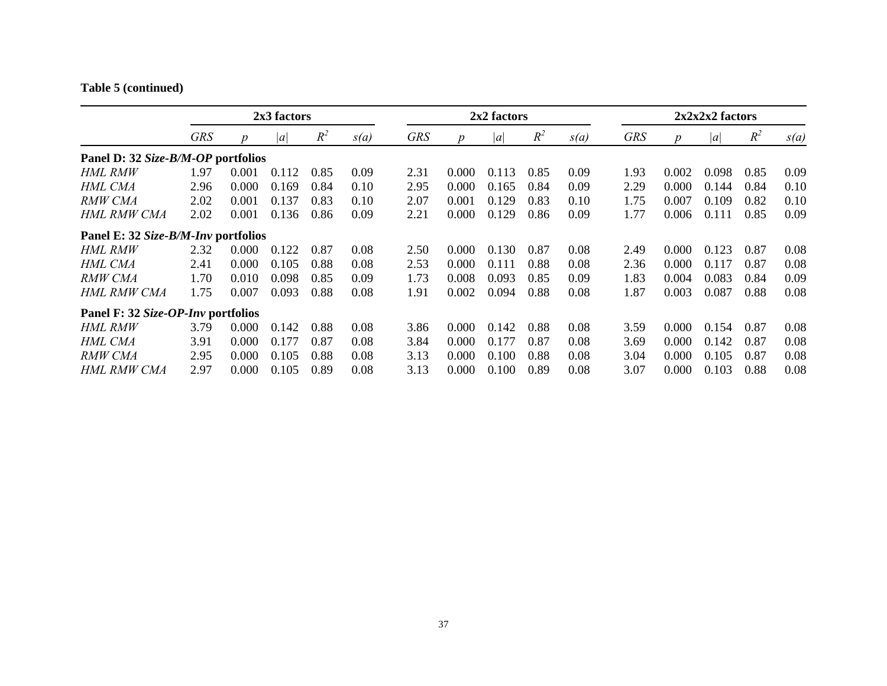# **Table 5 (continued)**

|                                     | 2x3 factors |                  |       | 2x2 factors |      |            |                  |       | $2x2x2x2$ factors |      |            |                  |       |       |      |
|-------------------------------------|-------------|------------------|-------|-------------|------|------------|------------------|-------|-------------------|------|------------|------------------|-------|-------|------|
|                                     | <b>GRS</b>  | $\boldsymbol{p}$ | a     | $R^2$       | s(a) | <b>GRS</b> | $\boldsymbol{p}$ | a     | $R^2$             | s(a) | <b>GRS</b> | $\boldsymbol{p}$ | a     | $R^2$ | s(a) |
| Panel D: 32 Size-B/M-OP portfolios  |             |                  |       |             |      |            |                  |       |                   |      |            |                  |       |       |      |
| HML RMW                             | 1.97        | 0.001            | 0.112 | 0.85        | 0.09 | 2.31       | 0.000            | 0.113 | 0.85              | 0.09 | 1.93       | 0.002            | 0.098 | 0.85  | 0.09 |
| HML CMA                             | 2.96        | 0.000            | 0.169 | 0.84        | 0.10 | 2.95       | 0.000            | 0.165 | 0.84              | 0.09 | 2.29       | 0.000            | 0.144 | 0.84  | 0.10 |
| RMW CMA                             | 2.02        | 0.001            | 0.137 | 0.83        | 0.10 | 2.07       | 0.001            | 0.129 | 0.83              | 0.10 | 1.75       | 0.007            | 0.109 | 0.82  | 0.10 |
| HML RMW CMA                         | 2.02        | 0.001            | 0.136 | 0.86        | 0.09 | 2.21       | 0.000            | 0.129 | 0.86              | 0.09 | 1.77       | 0.006            | 0.111 | 0.85  | 0.09 |
| Panel E: 32 Size-B/M-Inv portfolios |             |                  |       |             |      |            |                  |       |                   |      |            |                  |       |       |      |
| HML RMW                             | 2.32        | 0.000            | 0.122 | 0.87        | 0.08 | 2.50       | 0.000            | 0.130 | 0.87              | 0.08 | 2.49       | 0.000            | 0.123 | 0.87  | 0.08 |
| HML CMA                             | 2.41        | 0.000            | 0.105 | 0.88        | 0.08 | 2.53       | 0.000            | 0.111 | 0.88              | 0.08 | 2.36       | 0.000            | 0.117 | 0.87  | 0.08 |
| RMW CMA                             | 1.70        | 0.010            | 0.098 | 0.85        | 0.09 | 1.73       | 0.008            | 0.093 | 0.85              | 0.09 | 1.83       | 0.004            | 0.083 | 0.84  | 0.09 |
| HML RMW CMA                         | 1.75        | 0.007            | 0.093 | 0.88        | 0.08 | 1.91       | 0.002            | 0.094 | 0.88              | 0.08 | 1.87       | 0.003            | 0.087 | 0.88  | 0.08 |
| Panel F: 32 Size-OP-Inv portfolios  |             |                  |       |             |      |            |                  |       |                   |      |            |                  |       |       |      |
| HML RMW                             | 3.79        | 0.000            | 0.142 | 0.88        | 0.08 | 3.86       | 0.000            | 0.142 | 0.88              | 0.08 | 3.59       | 0.000            | 0.154 | 0.87  | 0.08 |
| HML CMA                             | 3.91        | 0.000            | 0.177 | 0.87        | 0.08 | 3.84       | 0.000            | 0.177 | 0.87              | 0.08 | 3.69       | 0.000            | 0.142 | 0.87  | 0.08 |
| RMW CMA                             | 2.95        | 0.000            | 0.105 | 0.88        | 0.08 | 3.13       | 0.000            | 0.100 | 0.88              | 0.08 | 3.04       | 0.000            | 0.105 | 0.87  | 0.08 |
| <b>HML RMW CMA</b>                  | 2.97        | 0.000            | 0.105 | 0.89        | 0.08 | 3.13       | 0.000            | 0.100 | 0.89              | 0.08 | 3.07       | 0.000            | 0.103 | 0.88  | 0.08 |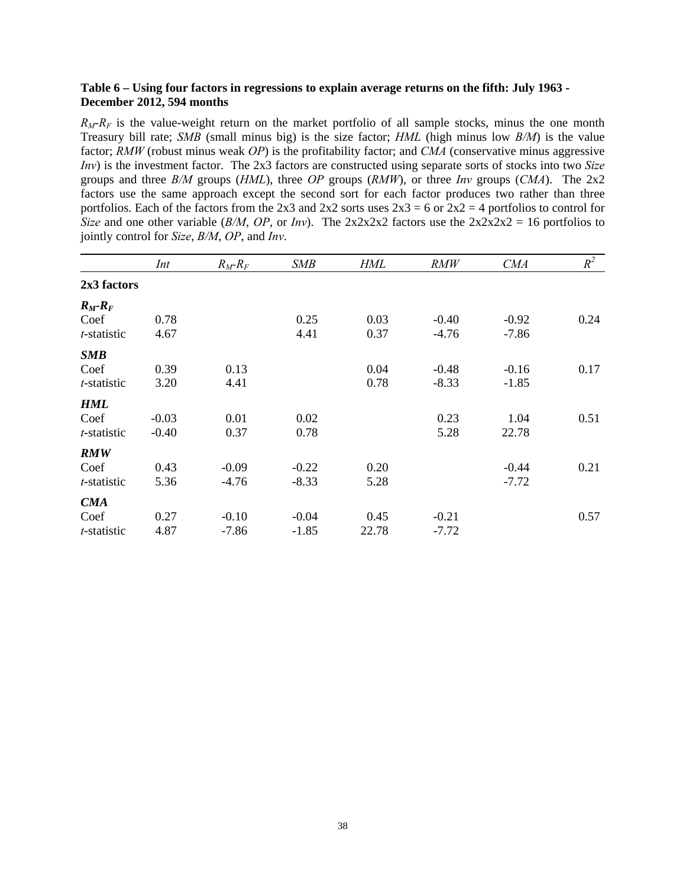## **Table 6 – Using four factors in regressions to explain average returns on the fifth: July 1963 - December 2012, 594 months**

 $R_M-R_F$  is the value-weight return on the market portfolio of all sample stocks, minus the one month Treasury bill rate; *SMB* (small minus big) is the size factor; *HML* (high minus low *B/M*) is the value factor; *RMW* (robust minus weak *OP*) is the profitability factor; and *CMA* (conservative minus aggressive *Inv*) is the investment factor. The 2x3 factors are constructed using separate sorts of stocks into two *Size* groups and three *B/M* groups (*HML*), three *OP* groups (*RMW*), or three *Inv* groups (*CMA*). The 2x2 factors use the same approach except the second sort for each factor produces two rather than three portfolios. Each of the factors from the 2x3 and 2x2 sorts uses  $2x3 = 6$  or  $2x2 = 4$  portfolios to control for *Size* and one other variable (*B/M*, *OP*, or *Inv*). The 2x2x2x2 factors use the  $2x2x2x2 = 16$  portfolios to jointly control for *Size*, *B/M*, *OP*, and *Inv*.

|             | Int     | $R_M-R_F$ | <b>SMB</b> | <b>HML</b> | <b>RMW</b> | <b>CMA</b> | $R^2$ |
|-------------|---------|-----------|------------|------------|------------|------------|-------|
| 2x3 factors |         |           |            |            |            |            |       |
| $R_M-R_F$   |         |           |            |            |            |            |       |
| Coef        | 0.78    |           | 0.25       | 0.03       | $-0.40$    | $-0.92$    | 0.24  |
| t-statistic | 4.67    |           | 4.41       | 0.37       | $-4.76$    | $-7.86$    |       |
| SMB         |         |           |            |            |            |            |       |
| Coef        | 0.39    | 0.13      |            | 0.04       | $-0.48$    | $-0.16$    | 0.17  |
| t-statistic | 3.20    | 4.41      |            | 0.78       | $-8.33$    | $-1.85$    |       |
| <b>HML</b>  |         |           |            |            |            |            |       |
| Coef        | $-0.03$ | 0.01      | 0.02       |            | 0.23       | 1.04       | 0.51  |
| t-statistic | $-0.40$ | 0.37      | 0.78       |            | 5.28       | 22.78      |       |
| <b>RMW</b>  |         |           |            |            |            |            |       |
| Coef        | 0.43    | $-0.09$   | $-0.22$    | 0.20       |            | $-0.44$    | 0.21  |
| t-statistic | 5.36    | $-4.76$   | $-8.33$    | 5.28       |            | $-7.72$    |       |
| CMA         |         |           |            |            |            |            |       |
| Coef        | 0.27    | $-0.10$   | $-0.04$    | 0.45       | $-0.21$    |            | 0.57  |
| t-statistic | 4.87    | $-7.86$   | $-1.85$    | 22.78      | $-7.72$    |            |       |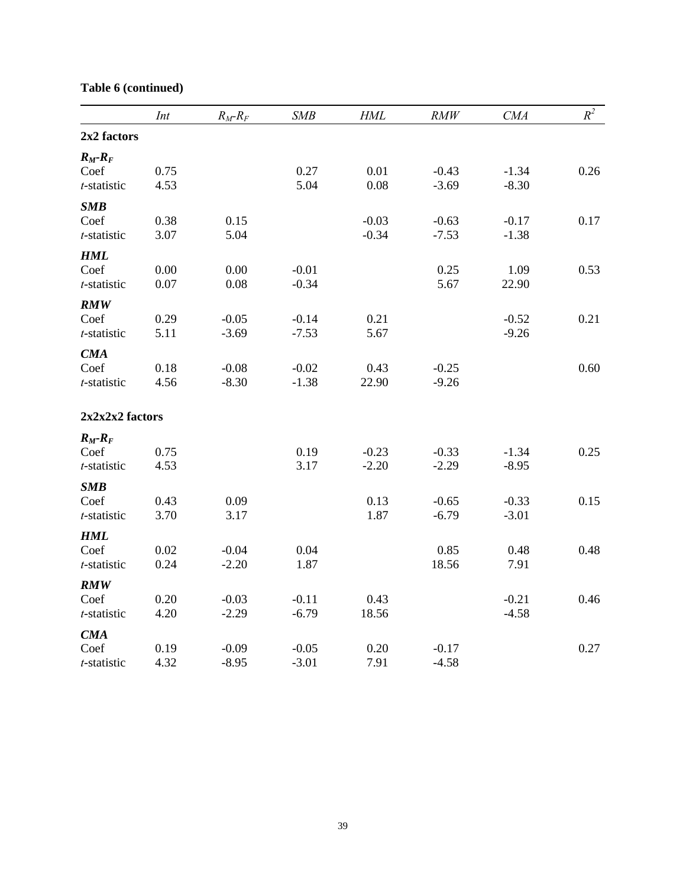|                | Int  | $R_M$ - $R_F$ | <b>SMB</b> | <b>HML</b> | RMW     | CMA     | $R^2$ |
|----------------|------|---------------|------------|------------|---------|---------|-------|
| 2x2 factors    |      |               |            |            |         |         |       |
| $R_M$ - $R_F$  |      |               |            |            |         |         |       |
| Coef           | 0.75 |               | 0.27       | 0.01       | $-0.43$ | $-1.34$ | 0.26  |
| t-statistic    | 4.53 |               | 5.04       | 0.08       | $-3.69$ | $-8.30$ |       |
| SMB            |      |               |            |            |         |         |       |
| Coef           | 0.38 | 0.15          |            | $-0.03$    | $-0.63$ | $-0.17$ | 0.17  |
| t-statistic    | 3.07 | 5.04          |            | $-0.34$    | $-7.53$ | $-1.38$ |       |
| <b>HML</b>     |      |               |            |            |         |         |       |
| Coef           | 0.00 | 0.00          | $-0.01$    |            | 0.25    | 1.09    | 0.53  |
| t-statistic    | 0.07 | 0.08          | $-0.34$    |            | 5.67    | 22.90   |       |
| <b>RMW</b>     |      |               |            |            |         |         |       |
| Coef           | 0.29 | $-0.05$       | $-0.14$    | 0.21       |         | $-0.52$ | 0.21  |
| t-statistic    | 5.11 | $-3.69$       | $-7.53$    | 5.67       |         | $-9.26$ |       |
| <b>CMA</b>     |      |               |            |            |         |         |       |
| Coef           | 0.18 | $-0.08$       | $-0.02$    | 0.43       | $-0.25$ |         | 0.60  |
| t-statistic    | 4.56 | $-8.30$       | $-1.38$    | 22.90      | $-9.26$ |         |       |
| 2x2x22 factors |      |               |            |            |         |         |       |
| $R_M-R_F$      |      |               |            |            |         |         |       |
| Coef           | 0.75 |               | 0.19       | $-0.23$    | $-0.33$ | $-1.34$ | 0.25  |
| t-statistic    | 4.53 |               | 3.17       | $-2.20$    | $-2.29$ | $-8.95$ |       |
| <b>SMB</b>     |      |               |            |            |         |         |       |
| Coef           | 0.43 | 0.09          |            | 0.13       | $-0.65$ | $-0.33$ | 0.15  |
| t-statistic    | 3.70 | 3.17          |            | 1.87       | $-6.79$ | $-3.01$ |       |
| <b>HML</b>     |      |               |            |            |         |         |       |
| Coef           | 0.02 | $-0.04$       | 0.04       |            | 0.85    | 0.48    | 0.48  |
| t-statistic    | 0.24 | $-2.20$       | 1.87       |            | 18.56   | 7.91    |       |
| <b>RMW</b>     |      |               |            |            |         |         |       |
| Coef           | 0.20 | $-0.03$       | $-0.11$    | 0.43       |         | $-0.21$ | 0.46  |
| t-statistic    | 4.20 | $-2.29$       | $-6.79$    | 18.56      |         | $-4.58$ |       |
| <b>CMA</b>     |      |               |            |            |         |         |       |
| Coef           | 0.19 | $-0.09$       | $-0.05$    | 0.20       | $-0.17$ |         | 0.27  |
| t-statistic    | 4.32 | $-8.95$       | $-3.01$    | 7.91       | $-4.58$ |         |       |

# **Table 6 (continued)**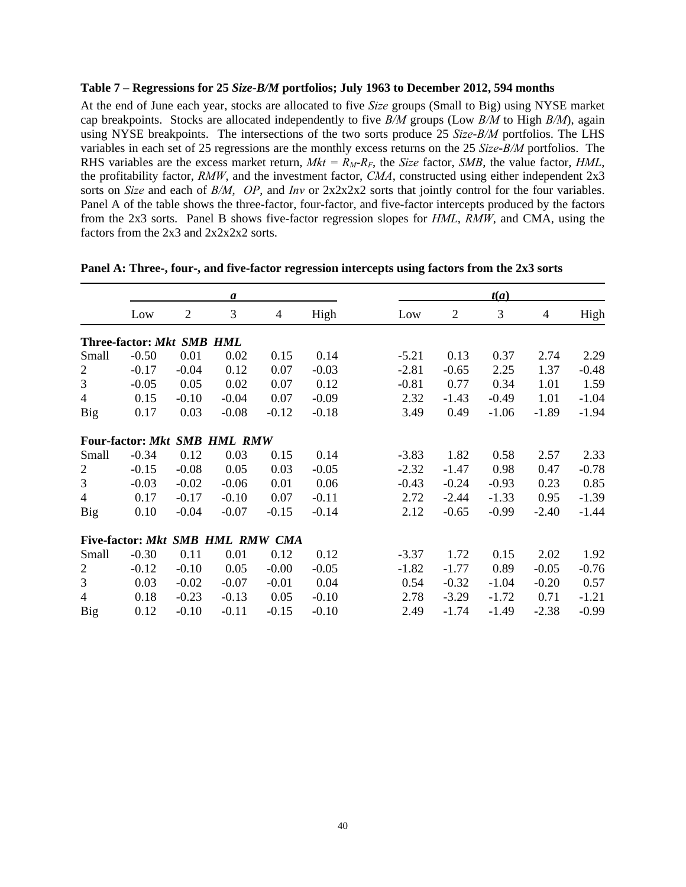## **Table 7 – Regressions for 25** *Size***-***B/M* **portfolios; July 1963 to December 2012, 594 months**

At the end of June each year, stocks are allocated to five *Size* groups (Small to Big) using NYSE market cap breakpoints. Stocks are allocated independently to five *B/M* groups (Low *B/M* to High *B/M*), again using NYSE breakpoints. The intersections of the two sorts produce 25 *Size*-*B/M* portfolios. The LHS variables in each set of 25 regressions are the monthly excess returns on the 25 *Size*-*B/M* portfolios. The RHS variables are the excess market return,  $Mkt = R_M-R_F$ , the *Size* factor, *SMB*, the value factor, *HML*, the profitability factor, *RMW*, and the investment factor, *CMA*, constructed using either independent 2x3 sorts on *Size* and each of *B/M*, *OP*, and *Inv* or 2x2x2x2 sorts that jointly control for the four variables. Panel A of the table shows the three-factor, four-factor, and five-factor intercepts produced by the factors from the 2x3 sorts. Panel B shows five-factor regression slopes for *HML*, *RMW*, and CMA, using the factors from the 2x3 and 2x2x2x2 sorts.

|                |                                  |                | a                  |                |         |         |                | t(a)    |         |         |
|----------------|----------------------------------|----------------|--------------------|----------------|---------|---------|----------------|---------|---------|---------|
|                | Low                              | $\overline{2}$ | 3                  | $\overline{4}$ | High    | Low     | $\overline{2}$ | 3       | 4       | High    |
|                | Three-factor: Mkt                |                | <b>SMB HML</b>     |                |         |         |                |         |         |         |
| Small          | $-0.50$                          | 0.01           | 0.02               | 0.15           | 0.14    | $-5.21$ | 0.13           | 0.37    | 2.74    | 2.29    |
| $\overline{2}$ | $-0.17$                          | $-0.04$        | 0.12               | 0.07           | $-0.03$ | $-2.81$ | $-0.65$        | 2.25    | 1.37    | $-0.48$ |
| 3              | $-0.05$                          | 0.05           | 0.02               | 0.07           | 0.12    | $-0.81$ | 0.77           | 0.34    | 1.01    | 1.59    |
| 4              | 0.15                             | $-0.10$        | $-0.04$            | 0.07           | $-0.09$ | 2.32    | $-1.43$        | $-0.49$ | 1.01    | $-1.04$ |
| Big            | 0.17                             | 0.03           | $-0.08$            | $-0.12$        | $-0.18$ | 3.49    | 0.49           | $-1.06$ | $-1.89$ | $-1.94$ |
|                | Four-factor: Mkt                 |                | <b>SMB HML RMW</b> |                |         |         |                |         |         |         |
| Small          | $-0.34$                          | 0.12           | 0.03               | 0.15           | 0.14    | $-3.83$ | 1.82           | 0.58    | 2.57    | 2.33    |
| $\overline{c}$ | $-0.15$                          | $-0.08$        | 0.05               | 0.03           | $-0.05$ | $-2.32$ | $-1.47$        | 0.98    | 0.47    | $-0.78$ |
| 3              | $-0.03$                          | $-0.02$        | $-0.06$            | 0.01           | 0.06    | $-0.43$ | $-0.24$        | $-0.93$ | 0.23    | 0.85    |
| $\overline{4}$ | 0.17                             | $-0.17$        | $-0.10$            | 0.07           | $-0.11$ | 2.72    | $-2.44$        | $-1.33$ | 0.95    | $-1.39$ |
| Big            | 0.10                             | $-0.04$        | $-0.07$            | $-0.15$        | $-0.14$ | 2.12    | $-0.65$        | $-0.99$ | $-2.40$ | $-1.44$ |
|                | Five-factor: Mkt SMB HML RMW CMA |                |                    |                |         |         |                |         |         |         |
| Small          | $-0.30$                          | 0.11           | 0.01               | 0.12           | 0.12    | $-3.37$ | 1.72           | 0.15    | 2.02    | 1.92    |
| $\overline{c}$ | $-0.12$                          | $-0.10$        | 0.05               | $-0.00$        | $-0.05$ | $-1.82$ | $-1.77$        | 0.89    | $-0.05$ | $-0.76$ |
| 3              | 0.03                             | $-0.02$        | $-0.07$            | $-0.01$        | 0.04    | 0.54    | $-0.32$        | $-1.04$ | $-0.20$ | 0.57    |
| $\overline{4}$ | 0.18                             | $-0.23$        | $-0.13$            | 0.05           | $-0.10$ | 2.78    | $-3.29$        | $-1.72$ | 0.71    | $-1.21$ |
| Big            | 0.12                             | $-0.10$        | $-0.11$            | $-0.15$        | $-0.10$ | 2.49    | $-1.74$        | $-1.49$ | $-2.38$ | $-0.99$ |

|  |  | Panel A: Three-, four-, and five-factor regression intercepts using factors from the 2x3 sorts |  |  |  |
|--|--|------------------------------------------------------------------------------------------------|--|--|--|
|  |  |                                                                                                |  |  |  |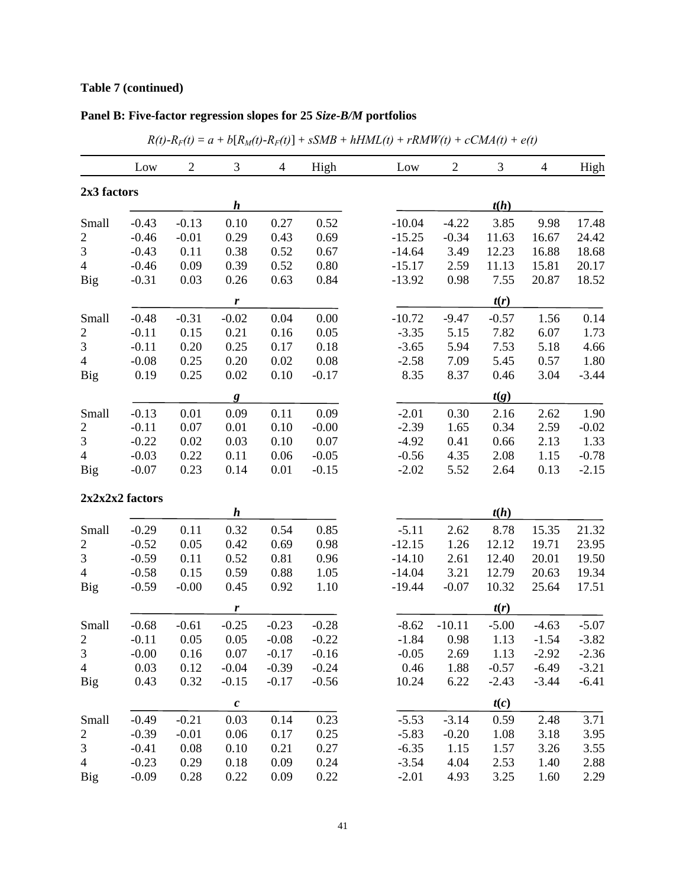# **Table 7 (continued)**

| Panel B: Five-factor regression slopes for 25 Size-B/M portfolios |  |
|-------------------------------------------------------------------|--|
|-------------------------------------------------------------------|--|

|                  | Low            | $\overline{2}$ | 3                | $\overline{4}$ | High    | $\overline{c}$<br>3<br>Low<br>$\overline{4}$<br>High |
|------------------|----------------|----------------|------------------|----------------|---------|------------------------------------------------------|
| 2x3 factors      |                |                |                  |                |         |                                                      |
|                  |                |                | $\bm{h}$         |                |         | t(h)                                                 |
| Small            | $-0.43$        | $-0.13$        | 0.10             | 0.27           | 0.52    | $-10.04$<br>3.85<br>17.48<br>$-4.22$<br>9.98         |
| $\overline{2}$   | $-0.46$        | $-0.01$        | 0.29             | 0.43           | 0.69    | $-15.25$<br>$-0.34$<br>11.63<br>16.67<br>24.42       |
| 3                | $-0.43$        | 0.11           | 0.38             | 0.52           | 0.67    | $-14.64$<br>3.49<br>18.68<br>12.23<br>16.88          |
| $\overline{4}$   | $-0.46$        | 0.09           | 0.39             | 0.52           | 0.80    | $-15.17$<br>2.59<br>11.13<br>20.17<br>15.81          |
| Big              | $-0.31$        | 0.03           | 0.26             | 0.63           | 0.84    | 0.98<br>18.52<br>$-13.92$<br>7.55<br>20.87           |
|                  |                |                | $\boldsymbol{r}$ |                |         | t(r)                                                 |
| Small            | $-0.48$        | $-0.31$        | $-0.02$          | 0.04           | 0.00    | $-10.72$<br>1.56<br>0.14<br>$-9.47$<br>$-0.57$       |
| $\overline{c}$   | $-0.11$        | 0.15           | 0.21             | 0.16           | 0.05    | 6.07<br>$-3.35$<br>5.15<br>7.82<br>1.73              |
| $\mathfrak{Z}$   | $-0.11$        | 0.20           | 0.25             | 0.17           | 0.18    | $-3.65$<br>5.94<br>7.53<br>5.18<br>4.66              |
| $\overline{4}$   | $-0.08$        | 0.25           | 0.20             | 0.02           | 0.08    | 5.45<br>$-2.58$<br>7.09<br>0.57<br>1.80              |
| Big              | 0.19           | 0.25           | 0.02             | 0.10           | $-0.17$ | 8.35<br>0.46<br>3.04<br>8.37<br>$-3.44$              |
|                  |                |                | $\mathbf{g}$     |                |         | t(g)                                                 |
| Small            | $-0.13$        | 0.01           | 0.09             | 0.11           | 0.09    | $-2.01$<br>1.90<br>0.30<br>2.16<br>2.62              |
| $\boldsymbol{2}$ | $-0.11$        | 0.07           | 0.01             | 0.10           | $-0.00$ | 0.34<br>2.59<br>$-2.39$<br>$-0.02$<br>1.65           |
| 3                | $-0.22$        | 0.02           | 0.03             | 0.10           | 0.07    | $-4.92$<br>0.41<br>0.66<br>2.13<br>1.33              |
| $\overline{4}$   | $-0.03$        | 0.22           | 0.11             | 0.06           | $-0.05$ | 2.08<br>$-0.56$<br>4.35<br>1.15<br>$-0.78$           |
| Big              | $-0.07$        | 0.23           | 0.14             | 0.01           | $-0.15$ | 5.52<br>2.64<br>0.13<br>$-2.15$<br>$-2.02$           |
|                  | 2x2x22 factors |                |                  |                |         |                                                      |
|                  |                |                | $\boldsymbol{h}$ |                |         | t(h)                                                 |
| Small            | $-0.29$        | 0.11           | 0.32             | 0.54           | 0.85    | $-5.11$<br>8.78<br>21.32<br>2.62<br>15.35            |
| $\overline{c}$   | $-0.52$        | 0.05           | 0.42             | 0.69           | 0.98    | $-12.15$<br>1.26<br>23.95<br>12.12<br>19.71          |
| $\mathfrak{Z}$   | $-0.59$        | 0.11           | 0.52             | 0.81           | 0.96    | $-14.10$<br>2.61<br>12.40<br>19.50<br>20.01          |
| $\overline{4}$   | $-0.58$        | 0.15           | 0.59             | 0.88           | 1.05    | 3.21<br>20.63<br>19.34<br>$-14.04$<br>12.79          |
| <b>Big</b>       | $-0.59$        | $-0.00$        | 0.45             | 0.92           | 1.10    | $-0.07$<br>$-19.44$<br>10.32<br>25.64<br>17.51       |
|                  |                |                | $\boldsymbol{r}$ |                |         | t(r)                                                 |
| Small            | $-0.68$        | $-0.61$        | $-0.25$          | $-0.23$        | $-0.28$ | $-4.63$<br>$-8.62$<br>$-10.11$<br>$-5.00$<br>$-5.07$ |
| $\overline{2}$   | $-0.11$        | 0.05           | 0.05             | $-0.08$        | $-0.22$ | $-1.84$<br>0.98<br>1.13<br>$-1.54$<br>$-3.82$        |
| 3                | $-0.00$        | 0.16           | 0.07             | $-0.17$        | $-0.16$ | $-2.36$<br>$-0.05$<br>2.69<br>1.13<br>$-2.92$        |
| $\overline{4}$   | 0.03           | 0.12           | $-0.04$          | $-0.39$        | $-0.24$ | 0.46<br>$-0.57$<br>$-6.49$<br>1.88<br>$-3.21$        |
| <b>Big</b>       | 0.43           | 0.32           | $-0.15$          | $-0.17$        | $-0.56$ | 10.24<br>6.22<br>$-6.41$<br>$-2.43$<br>$-3.44$       |
|                  |                |                | $\pmb{c}$        |                |         | t(c)                                                 |
| Small            | $-0.49$        | $-0.21$        | 0.03             | 0.14           | 0.23    | $-3.14$<br>3.71<br>$-5.53$<br>0.59<br>2.48           |
| $\overline{c}$   | $-0.39$        | $-0.01$        | 0.06             | 0.17           | 0.25    | 3.95<br>$-5.83$<br>$-0.20$<br>1.08<br>3.18           |
| 3                | $-0.41$        | 0.08           | 0.10             | 0.21           | 0.27    | $-6.35$<br>1.57<br>1.15<br>3.26<br>3.55              |
| $\overline{4}$   | $-0.23$        | 0.29           | 0.18             | 0.09           | 0.24    | 4.04<br>2.53<br>2.88<br>$-3.54$<br>1.40              |
| <b>Big</b>       | $-0.09$        | 0.28           | 0.22             | 0.09           | 0.22    | 3.25<br>$-2.01$<br>4.93<br>1.60<br>2.29              |

|  |  |  | $R(t) - R_F(t) = a + b[R_M(t) - R_F(t)] + sSMB + hHML(t) + rRMW(t) + cCMA(t) + e(t)$ |  |
|--|--|--|--------------------------------------------------------------------------------------|--|
|  |  |  |                                                                                      |  |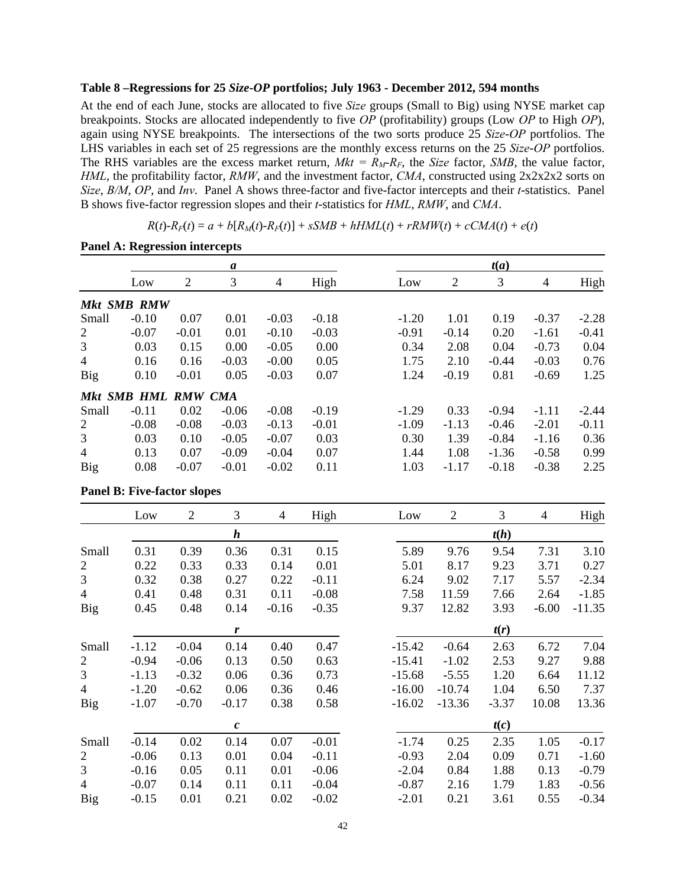## **Table 8 –Regressions for 25** *Size***-***OP* **portfolios; July 1963 - December 2012, 594 months**

At the end of each June, stocks are allocated to five *Size* groups (Small to Big) using NYSE market cap breakpoints. Stocks are allocated independently to five *OP* (profitability) groups (Low *OP* to High *OP*), again using NYSE breakpoints. The intersections of the two sorts produce 25 *Size*-*OP* portfolios. The LHS variables in each set of 25 regressions are the monthly excess returns on the 25 *Size*-*OP* portfolios. The RHS variables are the excess market return,  $Mkt = R_M-R_F$ , the *Size* factor, *SMB*, the value factor, *HML*, the profitability factor, *RMW*, and the investment factor, *CMA*, constructed using 2x2x2x2 sorts on *Size*, *B/M*, *OP*, and *Inv*. Panel A shows three-factor and five-factor intercepts and their *t*-statistics. Panel B shows five-factor regression slopes and their *t*-statistics for *HML*, *RMW*, and *CMA*.

 $R(t)$ - $R_F(t) = a + b[R_M(t)$ - $R_F(t)]$  +  $sSMB + hHML(t) + rRMW(t) + cCMA(t) + e(t)$ 

|                |                     |         | a       |         |         | t(a)    |         |         |         |         |  |  |
|----------------|---------------------|---------|---------|---------|---------|---------|---------|---------|---------|---------|--|--|
|                | Low                 | 2       | 3       | 4       | High    | Low     | 2       | 3       | 4       | High    |  |  |
|                | <b>Mkt SMB RMW</b>  |         |         |         |         |         |         |         |         |         |  |  |
| Small          | $-0.10$             | 0.07    | 0.01    | $-0.03$ | $-0.18$ | $-1.20$ | 1.01    | 0.19    | $-0.37$ | $-2.28$ |  |  |
| 2              | $-0.07$             | $-0.01$ | 0.01    | $-0.10$ | $-0.03$ | $-0.91$ | $-0.14$ | 0.20    | $-1.61$ | $-0.41$ |  |  |
| 3              | 0.03                | 0.15    | 0.00    | $-0.05$ | 0.00    | 0.34    | 2.08    | 0.04    | $-0.73$ | 0.04    |  |  |
| $\overline{4}$ | 0.16                | 0.16    | $-0.03$ | $-0.00$ | 0.05    | 1.75    | 2.10    | $-0.44$ | $-0.03$ | 0.76    |  |  |
| <b>Big</b>     | 0.10                | $-0.01$ | 0.05    | $-0.03$ | 0.07    | 1.24    | $-0.19$ | 0.81    | $-0.69$ | 1.25    |  |  |
|                | Mkt SMB HML RMW CMA |         |         |         |         |         |         |         |         |         |  |  |
| Small          | $-0.11$             | 0.02    | $-0.06$ | $-0.08$ | $-0.19$ | $-1.29$ | 0.33    | $-0.94$ | $-1.11$ | $-2.44$ |  |  |
| 2              | $-0.08$             | $-0.08$ | $-0.03$ | $-0.13$ | $-0.01$ | $-1.09$ | $-1.13$ | $-0.46$ | $-2.01$ | $-0.11$ |  |  |
| 3              | 0.03                | 0.10    | $-0.05$ | $-0.07$ | 0.03    | 0.30    | 1.39    | $-0.84$ | $-1.16$ | 0.36    |  |  |
| $\overline{4}$ | 0.13                | 0.07    | $-0.09$ | $-0.04$ | 0.07    | 1.44    | 1.08    | $-1.36$ | $-0.58$ | 0.99    |  |  |
| Big            | 0.08                | $-0.07$ | $-0.01$ | $-0.02$ | 0.11    | 1.03    | $-1.17$ | $-0.18$ | $-0.38$ | 2.25    |  |  |

**Panel A: Regression intercepts** 

**Panel B: Five-factor slopes** 

|                | Low     | $\overline{2}$ | 3                | $\overline{4}$ | High    | Low      | $\overline{2}$ | 3       | $\overline{4}$ | High     |
|----------------|---------|----------------|------------------|----------------|---------|----------|----------------|---------|----------------|----------|
|                |         |                | $\boldsymbol{h}$ |                |         |          |                | t(h)    |                |          |
| Small          | 0.31    | 0.39           | 0.36             | 0.31           | 0.15    | 5.89     | 9.76           | 9.54    | 7.31           | 3.10     |
| $\overline{c}$ | 0.22    | 0.33           | 0.33             | 0.14           | 0.01    | 5.01     | 8.17           | 9.23    | 3.71           | 0.27     |
| 3              | 0.32    | 0.38           | 0.27             | 0.22           | $-0.11$ | 6.24     | 9.02           | 7.17    | 5.57           | $-2.34$  |
| 4              | 0.41    | 0.48           | 0.31             | 0.11           | $-0.08$ | 7.58     | 11.59          | 7.66    | 2.64           | $-1.85$  |
| <b>Big</b>     | 0.45    | 0.48           | 0.14             | $-0.16$        | $-0.35$ | 9.37     | 12.82          | 3.93    | $-6.00$        | $-11.35$ |
|                |         |                | r                |                |         |          |                | t(r)    |                |          |
| Small          | $-1.12$ | $-0.04$        | 0.14             | 0.40           | 0.47    | $-15.42$ | $-0.64$        | 2.63    | 6.72           | 7.04     |
| 2              | $-0.94$ | $-0.06$        | 0.13             | 0.50           | 0.63    | $-15.41$ | $-1.02$        | 2.53    | 9.27           | 9.88     |
| $\overline{3}$ | $-1.13$ | $-0.32$        | 0.06             | 0.36           | 0.73    | $-15.68$ | $-5.55$        | 1.20    | 6.64           | 11.12    |
| $\overline{4}$ | $-1.20$ | $-0.62$        | 0.06             | 0.36           | 0.46    | $-16.00$ | $-10.74$       | 1.04    | 6.50           | 7.37     |
| <b>Big</b>     | $-1.07$ | $-0.70$        | $-0.17$          | 0.38           | 0.58    | $-16.02$ | $-13.36$       | $-3.37$ | 10.08          | 13.36    |
|                |         |                | $\boldsymbol{c}$ |                |         |          |                | t(c)    |                |          |
| Small          | $-0.14$ | 0.02           | 0.14             | 0.07           | $-0.01$ | $-1.74$  | 0.25           | 2.35    | 1.05           | $-0.17$  |
| 2              | $-0.06$ | 0.13           | 0.01             | 0.04           | $-0.11$ | $-0.93$  | 2.04           | 0.09    | 0.71           | $-1.60$  |
| 3              | $-0.16$ | 0.05           | 0.11             | 0.01           | $-0.06$ | $-2.04$  | 0.84           | 1.88    | 0.13           | $-0.79$  |
| $\overline{4}$ | $-0.07$ | 0.14           | 0.11             | 0.11           | $-0.04$ | $-0.87$  | 2.16           | 1.79    | 1.83           | $-0.56$  |
| <b>Big</b>     | $-0.15$ | 0.01           | 0.21             | 0.02           | $-0.02$ | $-2.01$  | 0.21           | 3.61    | 0.55           | $-0.34$  |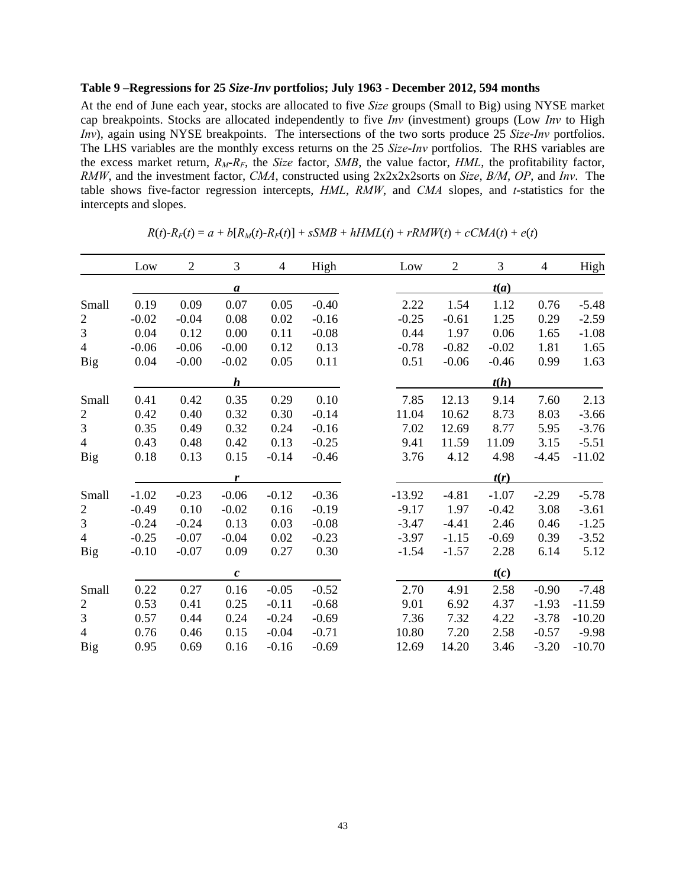## **Table 9 –Regressions for 25** *Size***-***Inv* **portfolios; July 1963 - December 2012, 594 months**

At the end of June each year, stocks are allocated to five *Size* groups (Small to Big) using NYSE market cap breakpoints. Stocks are allocated independently to five *Inv* (investment) groups (Low *Inv* to High *Inv*), again using NYSE breakpoints. The intersections of the two sorts produce 25 *Size*-*Inv* portfolios. The LHS variables are the monthly excess returns on the 25 *Size*-*Inv* portfolios. The RHS variables are the excess market return,  $R_M-R_F$ , the *Size* factor, *SMB*, the value factor, *HML*, the profitability factor, *RMW*, and the investment factor, *CMA*, constructed using 2x2x2x2sorts on *Size*, *B/M*, *OP*, and *Inv*. The table shows five-factor regression intercepts, *HML*, *RMW*, and *CMA* slopes, and *t*-statistics for the intercepts and slopes.

|                | Low     | $\overline{2}$ | $\mathfrak{Z}$   | $\overline{4}$ | High    | Low      | $\mathbf{2}$ | $\mathfrak{Z}$ | $\overline{4}$ | High     |
|----------------|---------|----------------|------------------|----------------|---------|----------|--------------|----------------|----------------|----------|
|                |         |                | $\boldsymbol{a}$ |                |         |          |              | t(a)           |                |          |
| Small          | 0.19    | 0.09           | 0.07             | 0.05           | $-0.40$ | 2.22     | 1.54         | 1.12           | 0.76           | $-5.48$  |
| $\mathbf{2}$   | $-0.02$ | $-0.04$        | 0.08             | 0.02           | $-0.16$ | $-0.25$  | $-0.61$      | 1.25           | 0.29           | $-2.59$  |
| 3              | 0.04    | 0.12           | 0.00             | 0.11           | $-0.08$ | 0.44     | 1.97         | 0.06           | 1.65           | $-1.08$  |
| $\overline{4}$ | $-0.06$ | $-0.06$        | $-0.00$          | 0.12           | 0.13    | $-0.78$  | $-0.82$      | $-0.02$        | 1.81           | 1.65     |
| Big            | 0.04    | $-0.00$        | $-0.02$          | 0.05           | 0.11    | 0.51     | $-0.06$      | $-0.46$        | 0.99           | 1.63     |
|                |         |                | $\boldsymbol{h}$ |                |         |          |              | t(h)           |                |          |
| Small          | 0.41    | 0.42           | 0.35             | 0.29           | 0.10    | 7.85     | 12.13        | 9.14           | 7.60           | 2.13     |
| $\overline{2}$ | 0.42    | 0.40           | 0.32             | 0.30           | $-0.14$ | 11.04    | 10.62        | 8.73           | 8.03           | $-3.66$  |
| 3              | 0.35    | 0.49           | 0.32             | 0.24           | $-0.16$ | 7.02     | 12.69        | 8.77           | 5.95           | $-3.76$  |
| $\overline{4}$ | 0.43    | 0.48           | 0.42             | 0.13           | $-0.25$ | 9.41     | 11.59        | 11.09          | 3.15           | $-5.51$  |
| Big            | 0.18    | 0.13           | 0.15             | $-0.14$        | $-0.46$ | 3.76     | 4.12         | 4.98           | $-4.45$        | $-11.02$ |
|                |         |                | r                |                |         |          |              | t(r)           |                |          |
| Small          | $-1.02$ | $-0.23$        | $-0.06$          | $-0.12$        | $-0.36$ | $-13.92$ | $-4.81$      | $-1.07$        | $-2.29$        | $-5.78$  |
| $\overline{2}$ | $-0.49$ | 0.10           | $-0.02$          | 0.16           | $-0.19$ | $-9.17$  | 1.97         | $-0.42$        | 3.08           | $-3.61$  |
| 3              | $-0.24$ | $-0.24$        | 0.13             | 0.03           | $-0.08$ | $-3.47$  | $-4.41$      | 2.46           | 0.46           | $-1.25$  |
| $\overline{4}$ | $-0.25$ | $-0.07$        | $-0.04$          | 0.02           | $-0.23$ | $-3.97$  | $-1.15$      | $-0.69$        | 0.39           | $-3.52$  |
| Big            | $-0.10$ | $-0.07$        | 0.09             | 0.27           | 0.30    | $-1.54$  | $-1.57$      | 2.28           | 6.14           | 5.12     |
|                |         |                | $\pmb{c}$        |                |         |          |              | t(c)           |                |          |
| Small          | 0.22    | 0.27           | 0.16             | $-0.05$        | $-0.52$ | 2.70     | 4.91         | 2.58           | $-0.90$        | $-7.48$  |
| $\overline{2}$ | 0.53    | 0.41           | 0.25             | $-0.11$        | $-0.68$ | 9.01     | 6.92         | 4.37           | $-1.93$        | $-11.59$ |
| 3              | 0.57    | 0.44           | 0.24             | $-0.24$        | $-0.69$ | 7.36     | 7.32         | 4.22           | $-3.78$        | $-10.20$ |
| $\overline{4}$ | 0.76    | 0.46           | 0.15             | $-0.04$        | $-0.71$ | 10.80    | 7.20         | 2.58           | $-0.57$        | $-9.98$  |
| <b>Big</b>     | 0.95    | 0.69           | 0.16             | $-0.16$        | $-0.69$ | 12.69    | 14.20        | 3.46           | $-3.20$        | $-10.70$ |

 $R(t) - R_F(t) = a + b[R_M(t) - R_F(t)] + sSMB + hHML(t) + rRMW(t) + cCMA(t) + e(t)$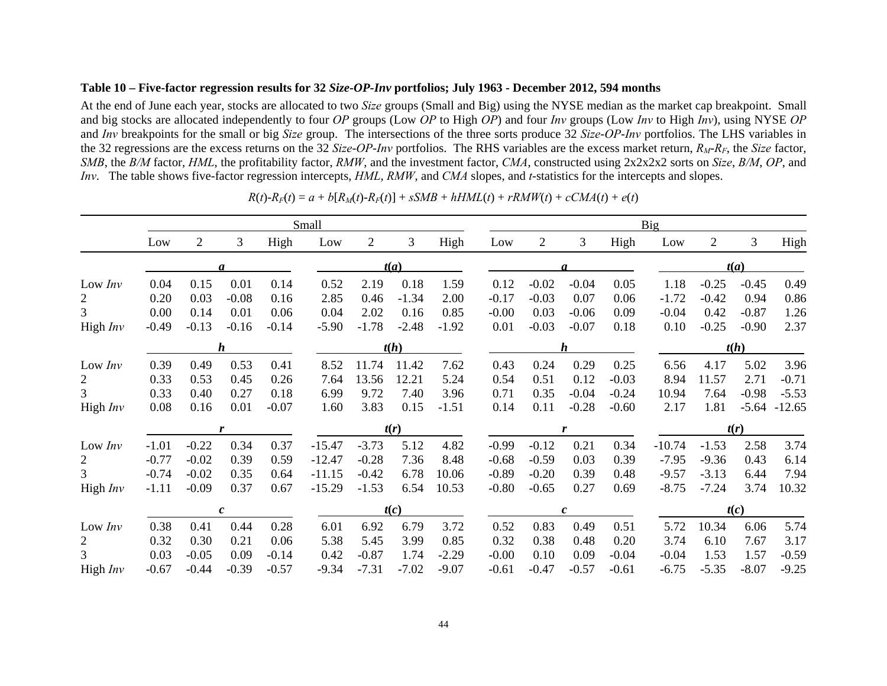## **Table 10 – Five-factor regression results for 32** *Size***-***OP-Inv* **portfolios; July 1963 - December 2012, 594 months**

At the end of June each year, stocks are allocated to two *Size* groups (Small and Big) using the NYSE median as the market cap breakpoint. Small and big stocks are allocated independently to four *OP* groups (Low *OP* to High *OP*) and four *Inv* groups (Low *Inv* to High *Inv*), using NYSE *OP* and *Inv* breakpoints for the small or big *Size* group. The intersections of the three sorts produce 32 *Size*-*OP*-*Inv* portfolios. The LHS variables in the 32 regressions are the excess returns on the 32 *Size*-*OP*-*Inv* portfolios. The RHS variables are the excess market return, *RM*-*RF*, the *Size* factor, *SMB*, the *B/M* factor, *HML*, the profitability factor, *RMW*, and the investment factor, *CMA*, constructed using 2x2x2x2 sorts on *Size*, *B/M*, *OP*, and *Inv*. The table shows five-factor regression intercepts, *HML*, *RMW*, and *CMA* slopes, and *t*-statistics for the intercepts and slopes.

|                |         |                |              |         | Small    |                |         |         | Big     |                |              |         |          |                |         |          |  |  |
|----------------|---------|----------------|--------------|---------|----------|----------------|---------|---------|---------|----------------|--------------|---------|----------|----------------|---------|----------|--|--|
|                | Low     | $\overline{2}$ | 3            | High    | Low      | $\overline{2}$ | 3       | High    | Low     | $\overline{2}$ | 3            | High    | Low      | $\overline{2}$ | 3       | High     |  |  |
|                |         |                |              |         |          |                | t(a)    |         |         |                |              |         |          | t(a)           |         |          |  |  |
| Low $Inv$      | 0.04    | 0.15           | 0.01         | 0.14    | 0.52     | 2.19           | 0.18    | 1.59    | 0.12    | $-0.02$        | $-0.04$      | 0.05    | 1.18     | $-0.25$        | $-0.45$ | 0.49     |  |  |
| $\overline{2}$ | 0.20    | 0.03           | $-0.08$      | 0.16    | 2.85     | 0.46           | $-1.34$ | 2.00    | $-0.17$ | $-0.03$        | 0.07         | 0.06    | $-1.72$  | $-0.42$        | 0.94    | 0.86     |  |  |
| 3              | 0.00    | 0.14           | 0.01         | 0.06    | 0.04     | 2.02           | 0.16    | 0.85    | $-0.00$ | 0.03           | $-0.06$      | 0.09    | $-0.04$  | 0.42           | $-0.87$ | 1.26     |  |  |
| High $Inv$     | $-0.49$ | $-0.13$        | $-0.16$      | $-0.14$ | $-5.90$  | $-1.78$        | $-2.48$ | $-1.92$ | 0.01    | $-0.03$        | $-0.07$      | 0.18    | 0.10     | $-0.25$        | $-0.90$ | 2.37     |  |  |
|                |         |                | h            |         |          |                |         | h       |         |                | t(h)         |         |          |                |         |          |  |  |
| Low $Inv$      | 0.39    | 0.49           | 0.53         | 0.41    | 8.52     | 11.74          | 11.42   | 7.62    | 0.43    | 0.24           | 0.29         | 0.25    | 6.56     | 4.17           | 5.02    | 3.96     |  |  |
| 2              | 0.33    | 0.53           | 0.45         | 0.26    | 7.64     | 13.56          | 12.21   | 5.24    | 0.54    | 0.51           | 0.12         | $-0.03$ | 8.94     | 11.57          | 2.71    | $-0.71$  |  |  |
| 3              | 0.33    | 0.40           | 0.27         | 0.18    | 6.99     | 9.72           | 7.40    | 3.96    | 0.71    | 0.35           | $-0.04$      | $-0.24$ | 10.94    | 7.64           | $-0.98$ | $-5.53$  |  |  |
| High Inv       | 0.08    | 0.16           | 0.01         | $-0.07$ | 1.60     | 3.83           | 0.15    | $-1.51$ | 0.14    | 0.11           | $-0.28$      | $-0.60$ | 2.17     | 1.81           | $-5.64$ | $-12.65$ |  |  |
|                |         |                |              |         |          |                | t(r)    |         |         |                | r            |         |          |                | t(r)    |          |  |  |
| Low $Inv$      | $-1.01$ | $-0.22$        | 0.34         | 0.37    | $-15.47$ | $-3.73$        | 5.12    | 4.82    | $-0.99$ | $-0.12$        | 0.21         | 0.34    | $-10.74$ | $-1.53$        | 2.58    | 3.74     |  |  |
| $\overline{2}$ | $-0.77$ | $-0.02$        | 0.39         | 0.59    | $-12.47$ | $-0.28$        | 7.36    | 8.48    | $-0.68$ | $-0.59$        | 0.03         | 0.39    | $-7.95$  | $-9.36$        | 0.43    | 6.14     |  |  |
| 3              | $-0.74$ | $-0.02$        | 0.35         | 0.64    | $-11.15$ | $-0.42$        | 6.78    | 10.06   | $-0.89$ | $-0.20$        | 0.39         | 0.48    | $-9.57$  | $-3.13$        | 6.44    | 7.94     |  |  |
| High $Inv$     | $-1.11$ | $-0.09$        | 0.37         | 0.67    | $-15.29$ | $-1.53$        | 6.54    | 10.53   | $-0.80$ | $-0.65$        | 0.27         | 0.69    | $-8.75$  | $-7.24$        | 3.74    | 10.32    |  |  |
|                |         |                | $\mathbf{c}$ |         |          |                | t(c)    |         |         |                | $\mathbf{c}$ |         |          |                | t(c)    |          |  |  |
| Low $Inv$      | 0.38    | 0.41           | 0.44         | 0.28    | 6.01     | 6.92           | 6.79    | 3.72    | 0.52    | 0.83           | 0.49         | 0.51    | 5.72     | 10.34          | 6.06    | 5.74     |  |  |
| $\overline{2}$ | 0.32    | 0.30           | 0.21         | 0.06    | 5.38     | 5.45           | 3.99    | 0.85    | 0.32    | 0.38           | 0.48         | 0.20    | 3.74     | 6.10           | 7.67    | 3.17     |  |  |
| 3              | 0.03    | $-0.05$        | 0.09         | $-0.14$ | 0.42     | $-0.87$        | 1.74    | $-2.29$ | $-0.00$ | 0.10           | 0.09         | $-0.04$ | $-0.04$  | 1.53           | 1.57    | $-0.59$  |  |  |
| High $Inv$     | $-0.67$ | $-0.44$        | $-0.39$      | $-0.57$ | $-9.34$  | $-7.31$        | $-7.02$ | $-9.07$ | $-0.61$ | $-0.47$        | $-0.57$      | $-0.61$ | $-6.75$  | $-5.35$        | $-8.07$ | $-9.25$  |  |  |

 $R(t) - R_F(t) = a + b[R_M(t) - R_F(t)] + sSMB + hHML(t) + rRMW(t) + cCMA(t) + e(t)$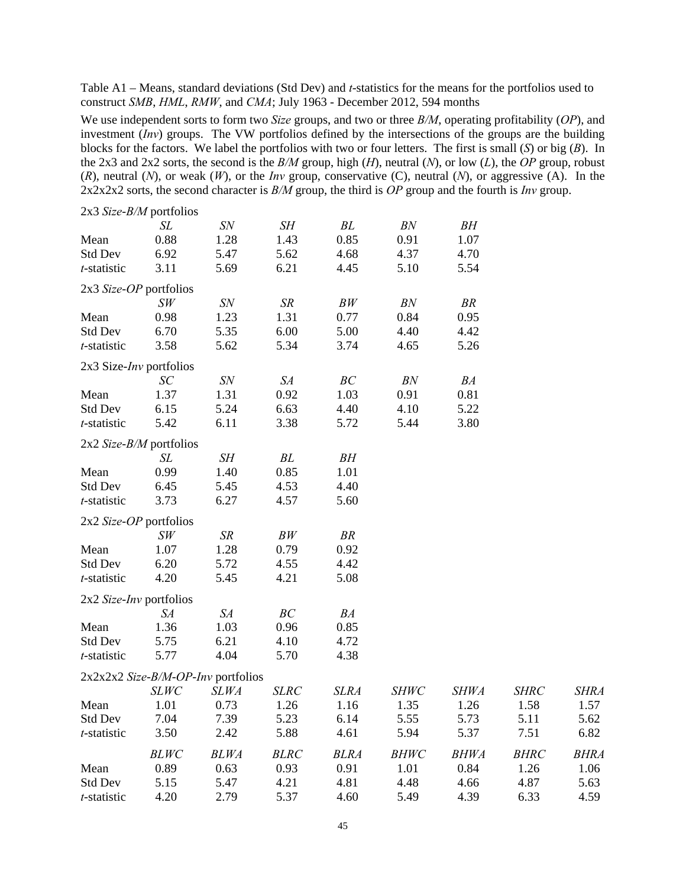Table A1 – Means, standard deviations (Std Dev) and *t*-statistics for the means for the portfolios used to construct *SMB*, *HML*, *RMW*, and *CMA*; July 1963 - December 2012, 594 months

We use independent sorts to form two *Size* groups, and two or three *B/M*, operating profitability (*OP*), and investment (*Inv*) groups. The VW portfolios defined by the intersections of the groups are the building blocks for the factors. We label the portfolios with two or four letters. The first is small (*S*) or big (*B*). In the 2x3 and 2x2 sorts, the second is the *B/M* group, high (*H*), neutral (*N*), or low (*L*), the *OP* group, robust (*R*), neutral (*N*), or weak (*W*), or the *Inv* group, conservative (C), neutral (*N*), or aggressive (A). In the 2x2x2x2 sorts, the second character is *B/M* group, the third is *OP* group and the fourth is *Inv* group.

| $2x3$ Size-B/M portfolios         |             |                                    |             |             |             |             |             |             |
|-----------------------------------|-------------|------------------------------------|-------------|-------------|-------------|-------------|-------------|-------------|
|                                   | SL          | SN                                 | SН          | BL          | BN          | BH          |             |             |
| Mean                              | 0.88        | 1.28                               | 1.43        | 0.85        | 0.91        | 1.07        |             |             |
| <b>Std Dev</b>                    | 6.92        | 5.47                               | 5.62        | 4.68        | 4.37        | 4.70        |             |             |
| t-statistic                       | 3.11        | 5.69                               | 6.21        | 4.45        | 5.10        | 5.54        |             |             |
| 2x3 Size-OP portfolios            |             |                                    |             |             |             |             |             |             |
|                                   | SW          | SN                                 | SR          | BW          | BN          | BR          |             |             |
| Mean                              | 0.98        | 1.23                               | 1.31        | 0.77        | 0.84        | 0.95        |             |             |
| <b>Std Dev</b>                    | 6.70        | 5.35                               | 6.00        | 5.00        | 4.40        | 4.42        |             |             |
| t-statistic                       | 3.58        | 5.62                               | 5.34        | 3.74        | 4.65        | 5.26        |             |             |
| $2x3$ Size- <i>Inv</i> portfolios |             |                                    |             |             |             |             |             |             |
|                                   | SC          | <b>SN</b>                          | SA          | BC          | BN          | BA          |             |             |
| Mean                              | 1.37        | 1.31                               | 0.92        | 1.03        | 0.91        | 0.81        |             |             |
| <b>Std Dev</b>                    | 6.15        | 5.24                               | 6.63        | 4.40        | 4.10        | 5.22        |             |             |
| t-statistic                       | 5.42        | 6.11                               | 3.38        | 5.72        | 5.44        | 3.80        |             |             |
| $2x2$ <i>Size-B/M</i> portfolios  |             |                                    |             |             |             |             |             |             |
|                                   | SL          | SH                                 | BL          | BH          |             |             |             |             |
| Mean                              | 0.99        | 1.40                               | 0.85        | 1.01        |             |             |             |             |
| <b>Std Dev</b>                    | 6.45        | 5.45                               | 4.53        | 4.40        |             |             |             |             |
| t-statistic                       | 3.73        | 6.27                               | 4.57        | 5.60        |             |             |             |             |
| 2x2 Size-OP portfolios            |             |                                    |             |             |             |             |             |             |
|                                   | SW          | SR                                 | BW          | <b>BR</b>   |             |             |             |             |
| Mean                              | 1.07        | 1.28                               | 0.79        | 0.92        |             |             |             |             |
| <b>Std Dev</b>                    | 6.20        | 5.72                               | 4.55        | 4.42        |             |             |             |             |
| t-statistic                       | 4.20        | 5.45                               | 4.21        | 5.08        |             |             |             |             |
| 2x2 Size-Inv portfolios           |             |                                    |             |             |             |             |             |             |
|                                   | SA          | SA                                 | BC          | BA          |             |             |             |             |
| Mean                              | 1.36        | 1.03                               | 0.96        | 0.85        |             |             |             |             |
| <b>Std Dev</b>                    | 5.75        | 6.21                               | 4.10        | 4.72        |             |             |             |             |
| t-statistic                       | 5.77        | 4.04                               | 5.70        | 4.38        |             |             |             |             |
|                                   |             | 2x2x2x2 Size-B/M-OP-Inv portfolios |             |             |             |             |             |             |
|                                   | <b>SLWC</b> | <b>SLWA</b>                        | <b>SLRC</b> | <b>SLRA</b> | <b>SHWC</b> | <b>SHWA</b> | <b>SHRC</b> | <b>SHRA</b> |
| Mean                              | 1.01        | 0.73                               | 1.26        | 1.16        | 1.35        | 1.26        | 1.58        | 1.57        |
| Std Dev                           | 7.04        | 7.39                               | 5.23        | 6.14        | 5.55        | 5.73        | 5.11        | 5.62        |
| t-statistic                       | 3.50        | 2.42                               | 5.88        | 4.61        | 5.94        | 5.37        | 7.51        | 6.82        |
|                                   | <b>BLWC</b> | <b>BLWA</b>                        | <b>BLRC</b> | <b>BLRA</b> | <b>BHWC</b> | <b>BHWA</b> | <b>BHRC</b> | <b>BHRA</b> |
| Mean                              | 0.89        | 0.63                               | 0.93        | 0.91        | 1.01        | 0.84        | 1.26        | 1.06        |
| <b>Std Dev</b>                    | 5.15        | 5.47                               | 4.21        | 4.81        | 4.48        | 4.66        | 4.87        | 5.63        |
| t-statistic                       | 4.20        | 2.79                               | 5.37        | 4.60        | 5.49        | 4.39        | 6.33        | 4.59        |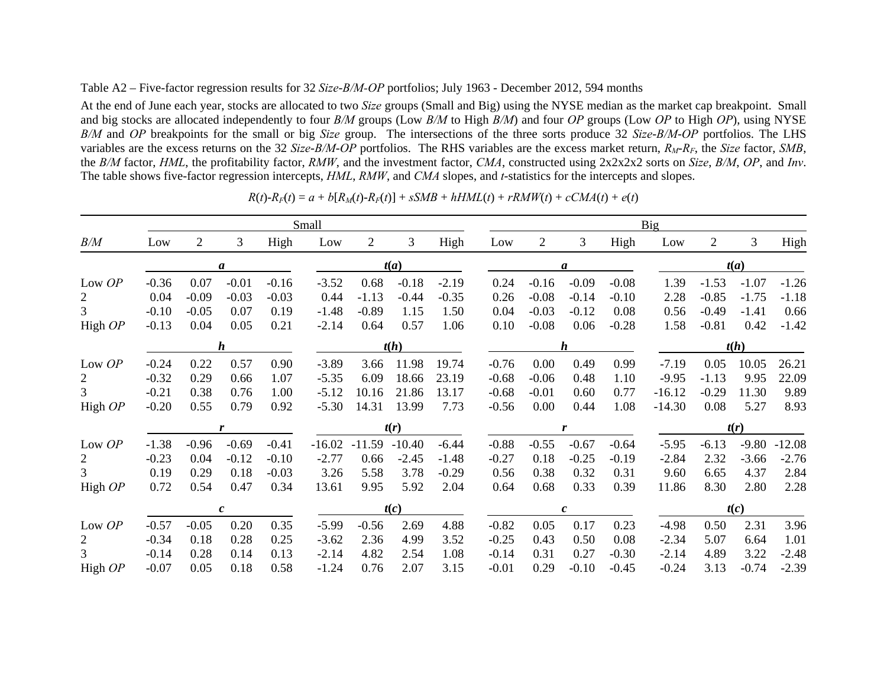## Table A2 – Five-factor regression results for 32 *Size*-*B/M-OP* portfolios; July 1963 - December 2012, 594 months

At the end of June each year, stocks are allocated to two *Size* groups (Small and Big) using the NYSE median as the market cap breakpoint. Small and big stocks are allocated independently to four *B/M* groups (Low *B/M* to High *B/M*) and four *OP* groups (Low *OP* to High *OP*), using NYSE *B/M* and *OP* breakpoints for the small or big *Size* group. The intersections of the three sorts produce 32 *Size*-*B/M*-*OP* portfolios. The LHS variables are the excess returns on the 32 *Size*-*B/M*-*OP* portfolios. The RHS variables are the excess market return, *RM*-*RF*, the *Size* factor, *SMB*, the *B/M* factor, *HML*, the profitability factor, *RMW*, and the investment factor, *CMA*, constructed using 2x2x2x2 sorts on *Size*, *B/M*, *OP*, and *Inv*. The table shows five-factor regression intercepts, *HML*, *RMW*, and *CMA* slopes, and *t*-statistics for the intercepts and slopes.

|                |         | Small          |                  |         |          |                |          |         |           |         |                | Big              |         |          |                |         |          |  |  |
|----------------|---------|----------------|------------------|---------|----------|----------------|----------|---------|-----------|---------|----------------|------------------|---------|----------|----------------|---------|----------|--|--|
| B/M            | Low     | $\overline{2}$ | 3                | High    | Low      | $\overline{2}$ | 3        | High    |           | Low     | $\overline{2}$ | 3                | High    | Low      | $\overline{2}$ | 3       | High     |  |  |
|                |         |                | a                |         |          |                | t(a)     |         |           | a       |                |                  |         |          | t(a)           |         |          |  |  |
| Low OP         | $-0.36$ | 0.07           | $-0.01$          | $-0.16$ | $-3.52$  | 0.68           | $-0.18$  | $-2.19$ |           | 0.24    | $-0.16$        | $-0.09$          | $-0.08$ | 1.39     | $-1.53$        | $-1.07$ | $-1.26$  |  |  |
| $\overline{2}$ | 0.04    | $-0.09$        | $-0.03$          | $-0.03$ | 0.44     | $-1.13$        | $-0.44$  | $-0.35$ |           | 0.26    | $-0.08$        | $-0.14$          | $-0.10$ | 2.28     | $-0.85$        | $-1.75$ | $-1.18$  |  |  |
| 3              | $-0.10$ | $-0.05$        | 0.07             | 0.19    | $-1.48$  | $-0.89$        | 1.15     | 1.50    |           | 0.04    | $-0.03$        | $-0.12$          | 0.08    | 0.56     | $-0.49$        | $-1.41$ | 0.66     |  |  |
| High OP        | $-0.13$ | 0.04           | 0.05             | 0.21    | $-2.14$  | 0.64           | 0.57     | 1.06    |           | 0.10    | $-0.08$        | 0.06             | $-0.28$ | 1.58     | $-0.81$        | 0.42    | $-1.42$  |  |  |
|                |         |                | h                |         |          |                | t(h)     | h       |           |         |                |                  |         |          | t(h)           |         |          |  |  |
| Low OP         | $-0.24$ | 0.22           | 0.57             | 0.90    | $-3.89$  | 3.66           | 11.98    | 19.74   |           | $-0.76$ | 0.00           | 0.49             | 0.99    | $-7.19$  | 0.05           | 10.05   | 26.21    |  |  |
| $\overline{2}$ | $-0.32$ | 0.29           | 0.66             | 1.07    | $-5.35$  | 6.09           | 18.66    | 23.19   |           | $-0.68$ | $-0.06$        | 0.48             | 1.10    | $-9.95$  | $-1.13$        | 9.95    | 22.09    |  |  |
| 3              | $-0.21$ | 0.38           | 0.76             | 1.00    | $-5.12$  | 10.16          | 21.86    | 13.17   |           | $-0.68$ | $-0.01$        | 0.60             | 0.77    | $-16.12$ | $-0.29$        | 11.30   | 9.89     |  |  |
| High OP        | $-0.20$ | 0.55           | 0.79             | 0.92    | $-5.30$  | 14.31          | 13.99    | 7.73    |           | $-0.56$ | 0.00           | 0.44             | 1.08    | $-14.30$ | 0.08           | 5.27    | 8.93     |  |  |
|                |         |                | r                |         |          |                | t(r)     |         | t(r)<br>r |         |                |                  |         |          |                |         |          |  |  |
| Low OP         | $-1.38$ | $-0.96$        | $-0.69$          | $-0.41$ | $-16.02$ | $-11.59$       | $-10.40$ | $-6.44$ |           | $-0.88$ | $-0.55$        | $-0.67$          | $-0.64$ | $-5.95$  | $-6.13$        | $-9.80$ | $-12.08$ |  |  |
| $\overline{2}$ | $-0.23$ | 0.04           | $-0.12$          | $-0.10$ | $-2.77$  | 0.66           | $-2.45$  | $-1.48$ |           | $-0.27$ | 0.18           | $-0.25$          | $-0.19$ | $-2.84$  | 2.32           | $-3.66$ | $-2.76$  |  |  |
| 3              | 0.19    | 0.29           | 0.18             | $-0.03$ | 3.26     | 5.58           | 3.78     | $-0.29$ |           | 0.56    | 0.38           | 0.32             | 0.31    | 9.60     | 6.65           | 4.37    | 2.84     |  |  |
| High OP        | 0.72    | 0.54           | 0.47             | 0.34    | 13.61    | 9.95           | 5.92     | 2.04    |           | 0.64    | 0.68           | 0.33             | 0.39    | 11.86    | 8.30           | 2.80    | 2.28     |  |  |
|                |         |                | $\boldsymbol{c}$ |         |          |                | t(c)     |         |           |         |                | $\boldsymbol{c}$ |         |          |                | t(c)    |          |  |  |
| Low OP         | $-0.57$ | $-0.05$        | 0.20             | 0.35    | $-5.99$  | $-0.56$        | 2.69     | 4.88    |           | $-0.82$ | 0.05           | 0.17             | 0.23    | $-4.98$  | 0.50           | 2.31    | 3.96     |  |  |
| $\overline{2}$ | $-0.34$ | 0.18           | 0.28             | 0.25    | $-3.62$  | 2.36           | 4.99     | 3.52    |           | $-0.25$ | 0.43           | 0.50             | 0.08    | $-2.34$  | 5.07           | 6.64    | 1.01     |  |  |
| 3              | $-0.14$ | 0.28           | 0.14             | 0.13    | $-2.14$  | 4.82           | 2.54     | 1.08    |           | $-0.14$ | 0.31           | 0.27             | $-0.30$ | $-2.14$  | 4.89           | 3.22    | $-2.48$  |  |  |
| High OP        | $-0.07$ | 0.05           | 0.18             | 0.58    | $-1.24$  | 0.76           | 2.07     | 3.15    |           | $-0.01$ | 0.29           | $-0.10$          | $-0.45$ | $-0.24$  | 3.13           | $-0.74$ | $-2.39$  |  |  |

 $R(t) - R_F(t) = a + b[R_M(t) - R_F(t)] + sSMB + hHML(t) + rRMW(t) + cCMA(t) + e(t)$